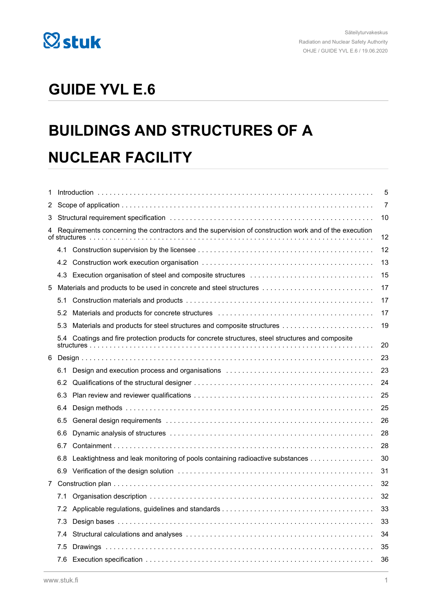

## **GUIDE YVL E.6**

## **BUILDINGS AND STRUCTURES OF A NUCLEAR FACILITY**

| 1  |     | 5                                                                                                                                                                                                                              |    |  |  |
|----|-----|--------------------------------------------------------------------------------------------------------------------------------------------------------------------------------------------------------------------------------|----|--|--|
| 2  |     | 7                                                                                                                                                                                                                              |    |  |  |
| 3. |     |                                                                                                                                                                                                                                | 10 |  |  |
| 4  |     | Requirements concerning the contractors and the supervision of construction work and of the execution                                                                                                                          | 12 |  |  |
|    |     |                                                                                                                                                                                                                                | 12 |  |  |
|    |     |                                                                                                                                                                                                                                | 13 |  |  |
|    |     |                                                                                                                                                                                                                                | 15 |  |  |
| 5  |     | Materials and products to be used in concrete and steel structures                                                                                                                                                             | 17 |  |  |
|    | 5.1 |                                                                                                                                                                                                                                | 17 |  |  |
|    | 5.2 |                                                                                                                                                                                                                                | 17 |  |  |
|    | 5.3 |                                                                                                                                                                                                                                | 19 |  |  |
|    |     | 5.4 Coatings and fire protection products for concrete structures, steel structures and composite                                                                                                                              | 20 |  |  |
| 6  |     |                                                                                                                                                                                                                                | 23 |  |  |
|    | 6.1 | Design and execution process and organisations contracts and contained and execution process and organisations contained and the set of the set of the set of the set of the set of the set of the set of the set of the set o | 23 |  |  |
|    |     |                                                                                                                                                                                                                                | 24 |  |  |
|    | 6.3 |                                                                                                                                                                                                                                | 25 |  |  |
|    | 6.4 |                                                                                                                                                                                                                                | 25 |  |  |
|    | 6.5 |                                                                                                                                                                                                                                | 26 |  |  |
|    | 6.6 |                                                                                                                                                                                                                                | 28 |  |  |
|    | 6.7 |                                                                                                                                                                                                                                | 28 |  |  |
|    |     | 6.8 Leaktightness and leak monitoring of pools containing radioactive substances                                                                                                                                               | 30 |  |  |
|    |     |                                                                                                                                                                                                                                | 31 |  |  |
| 7  |     |                                                                                                                                                                                                                                | 32 |  |  |
|    | 7.1 |                                                                                                                                                                                                                                | 32 |  |  |
|    | 7.2 |                                                                                                                                                                                                                                | 33 |  |  |
|    | 7.3 |                                                                                                                                                                                                                                | 33 |  |  |
|    | 7.4 |                                                                                                                                                                                                                                | 34 |  |  |
|    | 7.5 |                                                                                                                                                                                                                                | 35 |  |  |
|    |     |                                                                                                                                                                                                                                | 36 |  |  |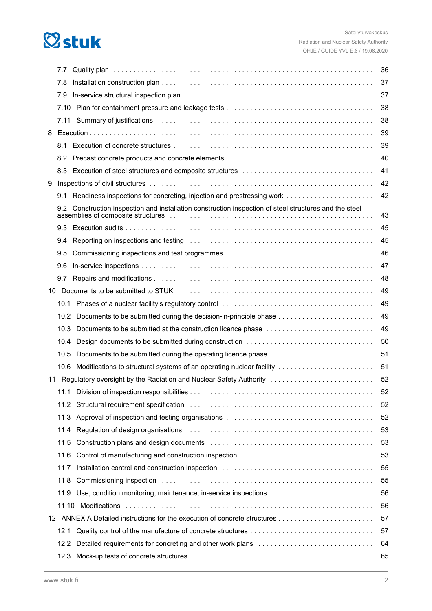## **Østuk**

|    | 7.7               |                                                                                                                                                                                                                                                                                                                                         | 36 |
|----|-------------------|-----------------------------------------------------------------------------------------------------------------------------------------------------------------------------------------------------------------------------------------------------------------------------------------------------------------------------------------|----|
|    | 7.8               |                                                                                                                                                                                                                                                                                                                                         | 37 |
|    | 7.9               |                                                                                                                                                                                                                                                                                                                                         | 37 |
|    | 7.10              |                                                                                                                                                                                                                                                                                                                                         | 38 |
|    | 7.11              |                                                                                                                                                                                                                                                                                                                                         | 38 |
| 8  |                   |                                                                                                                                                                                                                                                                                                                                         | 39 |
|    |                   |                                                                                                                                                                                                                                                                                                                                         | 39 |
|    |                   |                                                                                                                                                                                                                                                                                                                                         | 40 |
|    |                   |                                                                                                                                                                                                                                                                                                                                         | 41 |
| 9  |                   |                                                                                                                                                                                                                                                                                                                                         | 42 |
|    |                   | 9.1 Readiness inspections for concreting, injection and prestressing work                                                                                                                                                                                                                                                               | 42 |
|    |                   | 9.2 Construction inspection and installation construction inspection of steel structures and the steel<br>assemblies of composite structures entertainment in the state of composite structures entertainment in the structure of the structure of the structure of the structure of the structure of the structure of the structure of | 43 |
|    |                   |                                                                                                                                                                                                                                                                                                                                         | 45 |
|    | 9.4               |                                                                                                                                                                                                                                                                                                                                         | 45 |
|    | 9.5               |                                                                                                                                                                                                                                                                                                                                         | 46 |
|    | 9.6               |                                                                                                                                                                                                                                                                                                                                         | 47 |
|    | 9.7               |                                                                                                                                                                                                                                                                                                                                         | 48 |
| 10 |                   |                                                                                                                                                                                                                                                                                                                                         | 49 |
|    | 10.1              |                                                                                                                                                                                                                                                                                                                                         | 49 |
|    | 10.2 <sub>1</sub> | Documents to be submitted during the decision-in-principle phase                                                                                                                                                                                                                                                                        | 49 |
|    | 10.3              | Documents to be submitted at the construction licence phase                                                                                                                                                                                                                                                                             | 49 |
|    | 10.4              | Design documents to be submitted during construction                                                                                                                                                                                                                                                                                    | 50 |
|    | 10.5              | Documents to be submitted during the operating licence phase                                                                                                                                                                                                                                                                            | 51 |
|    |                   | 10.6 Modifications to structural systems of an operating nuclear facility                                                                                                                                                                                                                                                               | 51 |
| 11 |                   | Regulatory oversight by the Radiation and Nuclear Safety Authority                                                                                                                                                                                                                                                                      | 52 |
|    |                   |                                                                                                                                                                                                                                                                                                                                         | 52 |
|    | 11.2              |                                                                                                                                                                                                                                                                                                                                         | 52 |
|    | 11.3              |                                                                                                                                                                                                                                                                                                                                         | 52 |
|    | 11.4              |                                                                                                                                                                                                                                                                                                                                         | 53 |
|    | 11.5              |                                                                                                                                                                                                                                                                                                                                         | 53 |
|    | 11.6              | Control of manufacturing and construction inspection                                                                                                                                                                                                                                                                                    | 53 |
|    | 11.7              |                                                                                                                                                                                                                                                                                                                                         | 55 |
|    | 11.8              |                                                                                                                                                                                                                                                                                                                                         | 55 |
|    | 11.9              |                                                                                                                                                                                                                                                                                                                                         | 56 |
|    | 11.10             |                                                                                                                                                                                                                                                                                                                                         | 56 |
|    |                   |                                                                                                                                                                                                                                                                                                                                         | 57 |
|    | 12.1              |                                                                                                                                                                                                                                                                                                                                         | 57 |
|    | 12.2              |                                                                                                                                                                                                                                                                                                                                         | 64 |
|    | 12.3              |                                                                                                                                                                                                                                                                                                                                         | 65 |
|    |                   |                                                                                                                                                                                                                                                                                                                                         |    |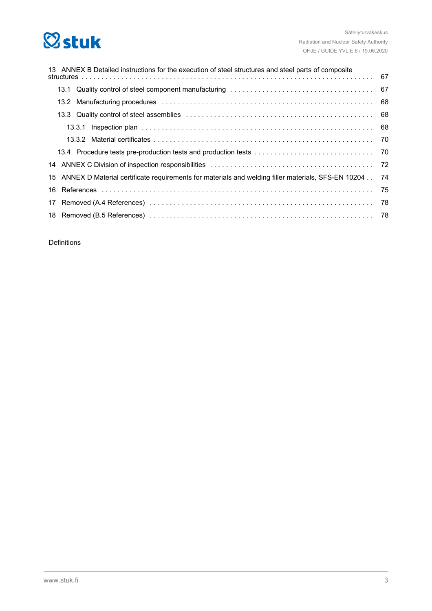## **Østuk**

| 13 ANNEX B Detailed instructions for the execution of steel structures and steel parts of composite      |  |  |  |  |  |
|----------------------------------------------------------------------------------------------------------|--|--|--|--|--|
|                                                                                                          |  |  |  |  |  |
|                                                                                                          |  |  |  |  |  |
|                                                                                                          |  |  |  |  |  |
|                                                                                                          |  |  |  |  |  |
|                                                                                                          |  |  |  |  |  |
|                                                                                                          |  |  |  |  |  |
|                                                                                                          |  |  |  |  |  |
|                                                                                                          |  |  |  |  |  |
| 15 ANNEX D Material certificate requirements for materials and welding filler materials, SFS-EN 10204 74 |  |  |  |  |  |
|                                                                                                          |  |  |  |  |  |
|                                                                                                          |  |  |  |  |  |
|                                                                                                          |  |  |  |  |  |

Definitions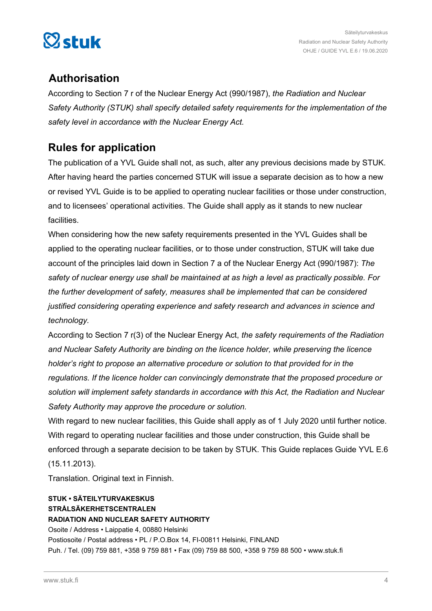

## **Authorisation**

According to Section 7 r of the Nuclear Energy Act (990/1987), *the Radiation and Nuclear Safety Authority (STUK) shall specify detailed safety requirements for the implementation of the safety level in accordance with the Nuclear Energy Act.*

## **Rules for application**

The publication of a YVL Guide shall not, as such, alter any previous decisions made by STUK. After having heard the parties concerned STUK will issue a separate decision as to how a new or revised YVL Guide is to be applied to operating nuclear facilities or those under construction, and to licensees' operational activities. The Guide shall apply as it stands to new nuclear facilities.

When considering how the new safety requirements presented in the YVL Guides shall be applied to the operating nuclear facilities, or to those under construction, STUK will take due account of the principles laid down in Section 7 a of the Nuclear Energy Act (990/1987): *The safety of nuclear energy use shall be maintained at as high a level as practically possible. For the further development of safety, measures shall be implemented that can be considered justified considering operating experience and safety research and advances in science and technology.*

According to Section 7 r(3) of the Nuclear Energy Act, *the safety requirements of the Radiation and Nuclear Safety Authority are binding on the licence holder, while preserving the licence holder's right to propose an alternative procedure or solution to that provided for in the regulations. If the licence holder can convincingly demonstrate that the proposed procedure or solution will implement safety standards in accordance with this Act, the Radiation and Nuclear Safety Authority may approve the procedure or solution.*

With regard to new nuclear facilities, this Guide shall apply as of 1 July 2020 until further notice. With regard to operating nuclear facilities and those under construction, this Guide shall be enforced through a separate decision to be taken by STUK. This Guide replaces Guide YVL E.6 (15.11.2013).

Translation. Original text in Finnish.

## **STUK • SÄTEILYTURVAKESKUS STRÅLSÄKERHETSCENTRALEN RADIATION AND NUCLEAR SAFETY AUTHORITY**

Osoite / Address • Laippatie 4, 00880 Helsinki Postiosoite / Postal address • PL / P.O.Box 14, FI-00811 Helsinki, FINLAND Puh. / Tel. (09) 759 881, +358 9 759 881 • Fax (09) 759 88 500, +358 9 759 88 500 • www.stuk.fi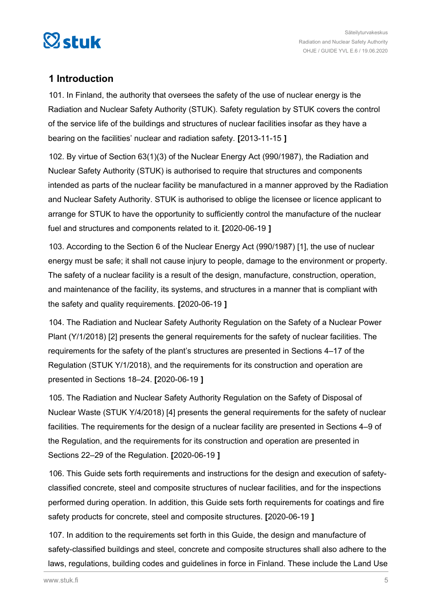<span id="page-4-0"></span>

## **1 Introduction**

101. In Finland, the authority that oversees the safety of the use of nuclear energy is the Radiation and Nuclear Safety Authority (STUK). Safety regulation by STUK covers the control of the service life of the buildings and structures of nuclear facilities insofar as they have a bearing on the facilities' nuclear and radiation safety. **[**2013-11-15 **]**

102. By virtue of Section 63(1)(3) of the Nuclear Energy Act (990/1987), the Radiation and Nuclear Safety Authority (STUK) is authorised to require that structures and components intended as parts of the nuclear facility be manufactured in a manner approved by the Radiation and Nuclear Safety Authority. STUK is authorised to oblige the licensee or licence applicant to arrange for STUK to have the opportunity to sufficiently control the manufacture of the nuclear fuel and structures and components related to it. **[**2020-06-19 **]**

103. According to the Section 6 of the Nuclear Energy Act (990/1987) [1], the use of nuclear energy must be safe; it shall not cause injury to people, damage to the environment or property. The safety of a nuclear facility is a result of the design, manufacture, construction, operation, and maintenance of the facility, its systems, and structures in a manner that is compliant with the safety and quality requirements. **[**2020-06-19 **]**

104. The Radiation and Nuclear Safety Authority Regulation on the Safety of a Nuclear Power Plant (Y/1/2018) [2] presents the general requirements for the safety of nuclear facilities. The requirements for the safety of the plant's structures are presented in Sections 4–17 of the Regulation (STUK Y/1/2018), and the requirements for its construction and operation are presented in Sections 18–24. **[**2020-06-19 **]**

105. The Radiation and Nuclear Safety Authority Regulation on the Safety of Disposal of Nuclear Waste (STUK Y/4/2018) [4] presents the general requirements for the safety of nuclear facilities. The requirements for the design of a nuclear facility are presented in Sections 4–9 of the Regulation, and the requirements for its construction and operation are presented in Sections 22–29 of the Regulation. **[**2020-06-19 **]**

106. This Guide sets forth requirements and instructions for the design and execution of safetyclassified concrete, steel and composite structures of nuclear facilities, and for the inspections performed during operation. In addition, this Guide sets forth requirements for coatings and fire safety products for concrete, steel and composite structures. **[**2020-06-19 **]**

107. In addition to the requirements set forth in this Guide, the design and manufacture of safety-classified buildings and steel, concrete and composite structures shall also adhere to the laws, regulations, building codes and guidelines in force in Finland. These include the Land Use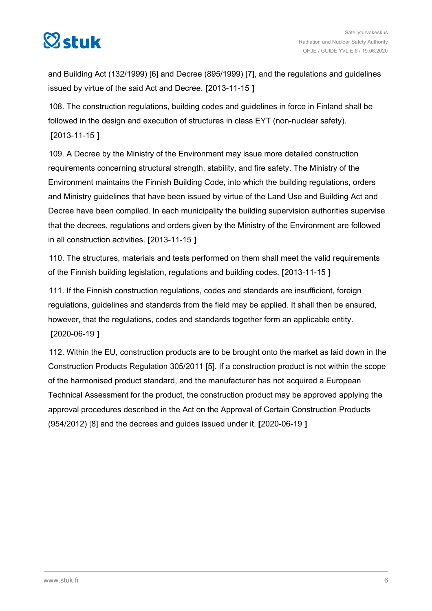

and Building Act (132/1999) [6] and Decree (895/1999) [7], and the regulations and guidelines issued by virtue of the said Act and Decree. **[**2013-11-15 **]**

108. The construction regulations, building codes and guidelines in force in Finland shall be followed in the design and execution of structures in class EYT (non-nuclear safety). **[**2013-11-15 **]**

109. A Decree by the Ministry of the Environment may issue more detailed construction requirements concerning structural strength, stability, and fire safety. The Ministry of the Environment maintains the Finnish Building Code, into which the building regulations, orders and Ministry guidelines that have been issued by virtue of the Land Use and Building Act and Decree have been compiled. In each municipality the building supervision authorities supervise that the decrees, regulations and orders given by the Ministry of the Environment are followed in all construction activities. **[**2013-11-15 **]**

110. The structures, materials and tests performed on them shall meet the valid requirements of the Finnish building legislation, regulations and building codes. **[**2013-11-15 **]**

111. If the Finnish construction regulations, codes and standards are insufficient, foreign regulations, guidelines and standards from the field may be applied. It shall then be ensured, however, that the regulations, codes and standards together form an applicable entity. **[**2020-06-19 **]**

112. Within the EU, construction products are to be brought onto the market as laid down in the Construction Products Regulation 305/2011 [5]. If a construction product is not within the scope of the harmonised product standard, and the manufacturer has not acquired a European Technical Assessment for the product, the construction product may be approved applying the approval procedures described in the Act on the Approval of Certain Construction Products (954/2012) [8] and the decrees and guides issued under it. **[**2020-06-19 **]**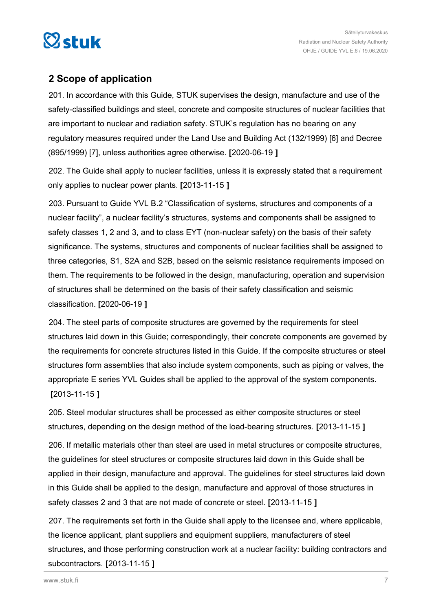<span id="page-6-0"></span>

## **2 Scope of application**

201. In accordance with this Guide, STUK supervises the design, manufacture and use of the safety-classified buildings and steel, concrete and composite structures of nuclear facilities that are important to nuclear and radiation safety. STUK's regulation has no bearing on any regulatory measures required under the Land Use and Building Act (132/1999) [6] and Decree (895/1999) [7], unless authorities agree otherwise. **[**2020-06-19 **]**

202. The Guide shall apply to nuclear facilities, unless it is expressly stated that a requirement only applies to nuclear power plants. **[**2013-11-15 **]**

203. Pursuant to Guide YVL B.2 "Classification of systems, structures and components of a nuclear facility", a nuclear facility's structures, systems and components shall be assigned to safety classes 1, 2 and 3, and to class EYT (non-nuclear safety) on the basis of their safety significance. The systems, structures and components of nuclear facilities shall be assigned to three categories, S1, S2A and S2B, based on the seismic resistance requirements imposed on them. The requirements to be followed in the design, manufacturing, operation and supervision of structures shall be determined on the basis of their safety classification and seismic classification. **[**2020-06-19 **]**

204. The steel parts of composite structures are governed by the requirements for steel structures laid down in this Guide; correspondingly, their concrete components are governed by the requirements for concrete structures listed in this Guide. If the composite structures or steel structures form assemblies that also include system components, such as piping or valves, the appropriate E series YVL Guides shall be applied to the approval of the system components. **[**2013-11-15 **]**

205. Steel modular structures shall be processed as either composite structures or steel structures, depending on the design method of the load-bearing structures. **[**2013-11-15 **]**

206. If metallic materials other than steel are used in metal structures or composite structures, the guidelines for steel structures or composite structures laid down in this Guide shall be applied in their design, manufacture and approval. The guidelines for steel structures laid down in this Guide shall be applied to the design, manufacture and approval of those structures in safety classes 2 and 3 that are not made of concrete or steel. **[**2013-11-15 **]**

207. The requirements set forth in the Guide shall apply to the licensee and, where applicable, the licence applicant, plant suppliers and equipment suppliers, manufacturers of steel structures, and those performing construction work at a nuclear facility: building contractors and subcontractors. **[**2013-11-15 **]**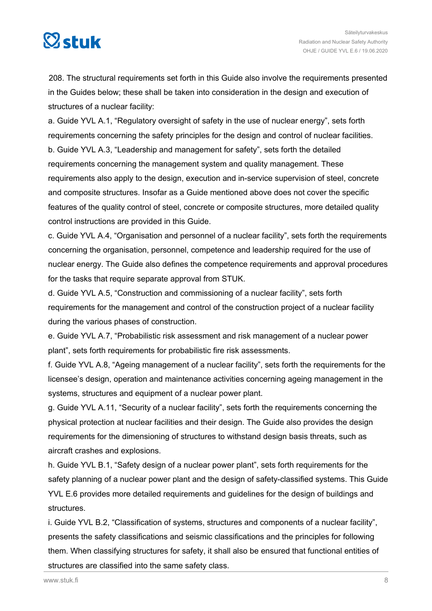

208. The structural requirements set forth in this Guide also involve the requirements presented in the Guides below; these shall be taken into consideration in the design and execution of structures of a nuclear facility:

a. Guide YVL A.1, "Regulatory oversight of safety in the use of nuclear energy", sets forth requirements concerning the safety principles for the design and control of nuclear facilities. b. Guide YVL A.3, "Leadership and management for safety", sets forth the detailed requirements concerning the management system and quality management. These requirements also apply to the design, execution and in-service supervision of steel, concrete and composite structures. Insofar as a Guide mentioned above does not cover the specific features of the quality control of steel, concrete or composite structures, more detailed quality control instructions are provided in this Guide.

c. Guide YVL A.4, "Organisation and personnel of a nuclear facility", sets forth the requirements concerning the organisation, personnel, competence and leadership required for the use of nuclear energy. The Guide also defines the competence requirements and approval procedures for the tasks that require separate approval from STUK.

d. Guide YVL A.5, "Construction and commissioning of a nuclear facility", sets forth requirements for the management and control of the construction project of a nuclear facility during the various phases of construction.

e. Guide YVL A.7, "Probabilistic risk assessment and risk management of a nuclear power plant", sets forth requirements for probabilistic fire risk assessments.

f. Guide YVL A.8, "Ageing management of a nuclear facility", sets forth the requirements for the licensee's design, operation and maintenance activities concerning ageing management in the systems, structures and equipment of a nuclear power plant.

g. Guide YVL A.11, "Security of a nuclear facility", sets forth the requirements concerning the physical protection at nuclear facilities and their design. The Guide also provides the design requirements for the dimensioning of structures to withstand design basis threats, such as aircraft crashes and explosions.

h. Guide YVL B.1, "Safety design of a nuclear power plant", sets forth requirements for the safety planning of a nuclear power plant and the design of safety-classified systems. This Guide YVL E.6 provides more detailed requirements and guidelines for the design of buildings and structures.

i. Guide YVL B.2, "Classification of systems, structures and components of a nuclear facility", presents the safety classifications and seismic classifications and the principles for following them. When classifying structures for safety, it shall also be ensured that functional entities of structures are classified into the same safety class.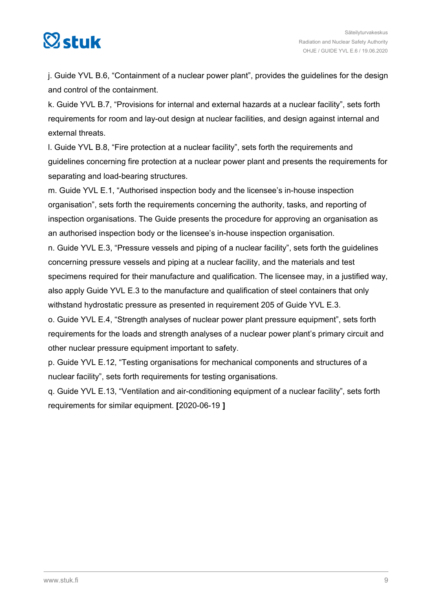## $\boxtimes$ stuk

j. Guide YVL B.6, "Containment of a nuclear power plant", provides the guidelines for the design and control of the containment.

k. Guide YVL B.7, "Provisions for internal and external hazards at a nuclear facility", sets forth requirements for room and lay-out design at nuclear facilities, and design against internal and external threats.

l. Guide YVL B.8, "Fire protection at a nuclear facility", sets forth the requirements and guidelines concerning fire protection at a nuclear power plant and presents the requirements for separating and load-bearing structures.

m. Guide YVL E.1, "Authorised inspection body and the licensee's in-house inspection organisation", sets forth the requirements concerning the authority, tasks, and reporting of inspection organisations. The Guide presents the procedure for approving an organisation as an authorised inspection body or the licensee's in-house inspection organisation.

n. Guide YVL E.3, "Pressure vessels and piping of a nuclear facility", sets forth the guidelines concerning pressure vessels and piping at a nuclear facility, and the materials and test specimens required for their manufacture and qualification. The licensee may, in a justified way, also apply Guide YVL E.3 to the manufacture and qualification of steel containers that only withstand hydrostatic pressure as presented in requirement 205 of Guide YVL E.3.

o. Guide YVL E.4, "Strength analyses of nuclear power plant pressure equipment", sets forth requirements for the loads and strength analyses of a nuclear power plant's primary circuit and other nuclear pressure equipment important to safety.

p. Guide YVL E.12, "Testing organisations for mechanical components and structures of a nuclear facility", sets forth requirements for testing organisations.

q. Guide YVL E.13, "Ventilation and air-conditioning equipment of a nuclear facility", sets forth requirements for similar equipment. **[**2020-06-19 **]**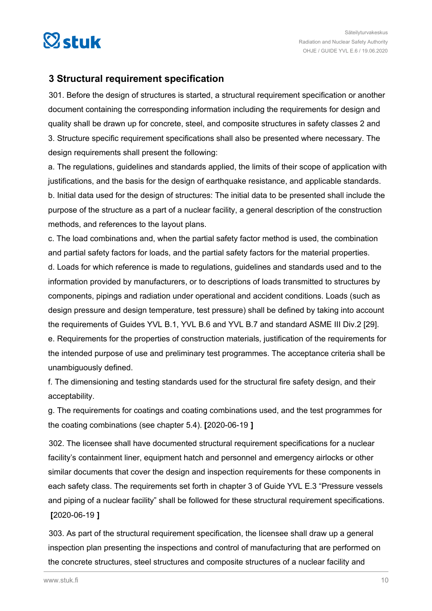<span id="page-9-0"></span>

## **3 Structural requirement specification**

301. Before the design of structures is started, a structural requirement specification or another document containing the corresponding information including the requirements for design and quality shall be drawn up for concrete, steel, and composite structures in safety classes 2 and 3. Structure specific requirement specifications shall also be presented where necessary. The design requirements shall present the following:

a. The regulations, guidelines and standards applied, the limits of their scope of application with justifications, and the basis for the design of earthquake resistance, and applicable standards. b. Initial data used for the design of structures: The initial data to be presented shall include the purpose of the structure as a part of a nuclear facility, a general description of the construction methods, and references to the layout plans.

c. The load combinations and, when the partial safety factor method is used, the combination and partial safety factors for loads, and the partial safety factors for the material properties. d. Loads for which reference is made to regulations, guidelines and standards used and to the information provided by manufacturers, or to descriptions of loads transmitted to structures by components, pipings and radiation under operational and accident conditions. Loads (such as design pressure and design temperature, test pressure) shall be defined by taking into account the requirements of Guides YVL B.1, YVL B.6 and YVL B.7 and standard ASME III Div.2 [29]. e. Requirements for the properties of construction materials, justification of the requirements for the intended purpose of use and preliminary test programmes. The acceptance criteria shall be unambiguously defined.

f. The dimensioning and testing standards used for the structural fire safety design, and their acceptability.

g. The requirements for coatings and coating combinations used, and the test programmes for the coating combinations (see chapter 5.4). **[**2020-06-19 **]**

302. The licensee shall have documented structural requirement specifications for a nuclear facility's containment liner, equipment hatch and personnel and emergency airlocks or other similar documents that cover the design and inspection requirements for these components in each safety class. The requirements set forth in chapter 3 of Guide YVL E.3 "Pressure vessels and piping of a nuclear facility" shall be followed for these structural requirement specifications. **[**2020-06-19 **]**

303. As part of the structural requirement specification, the licensee shall draw up a general inspection plan presenting the inspections and control of manufacturing that are performed on the concrete structures, steel structures and composite structures of a nuclear facility and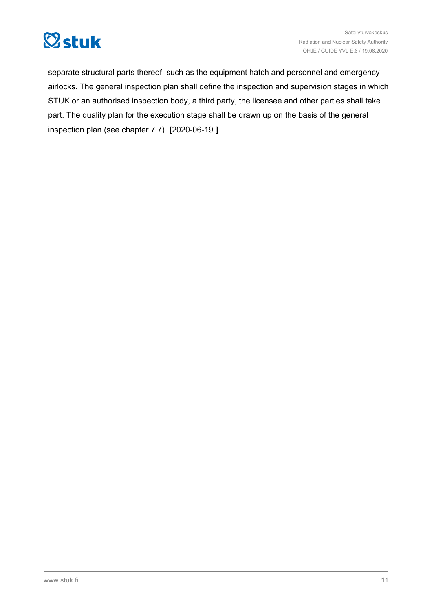

separate structural parts thereof, such as the equipment hatch and personnel and emergency airlocks. The general inspection plan shall define the inspection and supervision stages in which STUK or an authorised inspection body, a third party, the licensee and other parties shall take part. The quality plan for the execution stage shall be drawn up on the basis of the general inspection plan (see chapter 7.7). **[**2020-06-19 **]**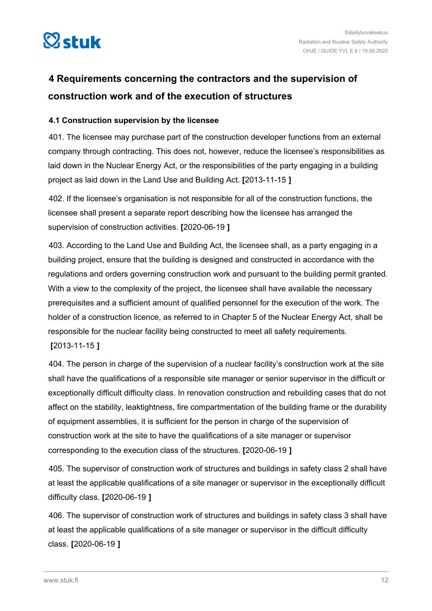<span id="page-11-0"></span>

## **4 Requirements concerning the contractors and the supervision of construction work and of the execution of structures**

### **4.1 Construction supervision by the licensee**

401. The licensee may purchase part of the construction developer functions from an external company through contracting. This does not, however, reduce the licensee's responsibilities as laid down in the Nuclear Energy Act, or the responsibilities of the party engaging in a building project as laid down in the Land Use and Building Act. **[**2013-11-15 **]**

402. If the licensee's organisation is not responsible for all of the construction functions, the licensee shall present a separate report describing how the licensee has arranged the supervision of construction activities. **[**2020-06-19 **]**

403. According to the Land Use and Building Act, the licensee shall, as a party engaging in a building project, ensure that the building is designed and constructed in accordance with the regulations and orders governing construction work and pursuant to the building permit granted. With a view to the complexity of the project, the licensee shall have available the necessary prerequisites and a sufficient amount of qualified personnel for the execution of the work. The holder of a construction licence, as referred to in Chapter 5 of the Nuclear Energy Act, shall be responsible for the nuclear facility being constructed to meet all safety requirements.

#### **[**2013-11-15 **]**

404. The person in charge of the supervision of a nuclear facility's construction work at the site shall have the qualifications of a responsible site manager or senior supervisor in the difficult or exceptionally difficult difficulty class. In renovation construction and rebuilding cases that do not affect on the stability, leaktightness, fire compartmentation of the building frame or the durability of equipment assemblies, it is sufficient for the person in charge of the supervision of construction work at the site to have the qualifications of a site manager or supervisor corresponding to the execution class of the structures. **[**2020-06-19 **]**

405. The supervisor of construction work of structures and buildings in safety class 2 shall have at least the applicable qualifications of a site manager or supervisor in the exceptionally difficult difficulty class. **[**2020-06-19 **]**

406. The supervisor of construction work of structures and buildings in safety class 3 shall have at least the applicable qualifications of a site manager or supervisor in the difficult difficulty class. **[**2020-06-19 **]**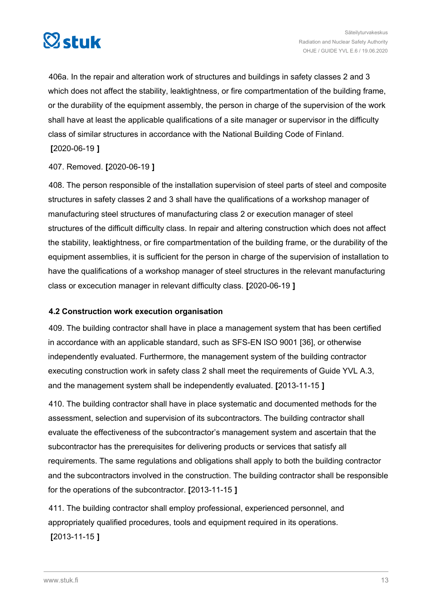<span id="page-12-0"></span>

406a. In the repair and alteration work of structures and buildings in safety classes 2 and 3 which does not affect the stability, leaktightness, or fire compartmentation of the building frame, or the durability of the equipment assembly, the person in charge of the supervision of the work shall have at least the applicable qualifications of a site manager or supervisor in the difficulty class of similar structures in accordance with the National Building Code of Finland. **[**2020-06-19 **]**

### 407. Removed. **[**2020-06-19 **]**

408. The person responsible of the installation supervision of steel parts of steel and composite structures in safety classes 2 and 3 shall have the qualifications of a workshop manager of manufacturing steel structures of manufacturing class 2 or execution manager of steel structures of the difficult difficulty class. In repair and altering construction which does not affect the stability, leaktightness, or fire compartmentation of the building frame, or the durability of the equipment assemblies, it is sufficient for the person in charge of the supervision of installation to have the qualifications of a workshop manager of steel structures in the relevant manufacturing class or excecution manager in relevant difficulty class. **[**2020-06-19 **]**

## **4.2 Construction work execution organisation**

409. The building contractor shall have in place a management system that has been certified in accordance with an applicable standard, such as SFS-EN ISO 9001 [36], or otherwise independently evaluated. Furthermore, the management system of the building contractor executing construction work in safety class 2 shall meet the requirements of Guide YVL A.3, and the management system shall be independently evaluated. **[**2013-11-15 **]**

410. The building contractor shall have in place systematic and documented methods for the assessment, selection and supervision of its subcontractors. The building contractor shall evaluate the effectiveness of the subcontractor's management system and ascertain that the subcontractor has the prerequisites for delivering products or services that satisfy all requirements. The same regulations and obligations shall apply to both the building contractor and the subcontractors involved in the construction. The building contractor shall be responsible for the operations of the subcontractor. **[**2013-11-15 **]**

411. The building contractor shall employ professional, experienced personnel, and appropriately qualified procedures, tools and equipment required in its operations. **[**2013-11-15 **]**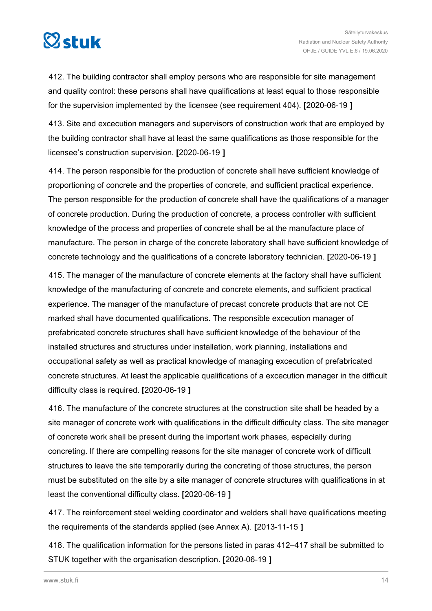

412. The building contractor shall employ persons who are responsible for site management and quality control: these persons shall have qualifications at least equal to those responsible for the supervision implemented by the licensee (see requirement 404). **[**2020-06-19 **]**

413. Site and excecution managers and supervisors of construction work that are employed by the building contractor shall have at least the same qualifications as those responsible for the licensee's construction supervision. **[**2020-06-19 **]**

414. The person responsible for the production of concrete shall have sufficient knowledge of proportioning of concrete and the properties of concrete, and sufficient practical experience. The person responsible for the production of concrete shall have the qualifications of a manager of concrete production. During the production of concrete, a process controller with sufficient knowledge of the process and properties of concrete shall be at the manufacture place of manufacture. The person in charge of the concrete laboratory shall have sufficient knowledge of concrete technology and the qualifications of a concrete laboratory technician. **[**2020-06-19 **]**

415. The manager of the manufacture of concrete elements at the factory shall have sufficient knowledge of the manufacturing of concrete and concrete elements, and sufficient practical experience. The manager of the manufacture of precast concrete products that are not CE marked shall have documented qualifications. The responsible excecution manager of prefabricated concrete structures shall have sufficient knowledge of the behaviour of the installed structures and structures under installation, work planning, installations and occupational safety as well as practical knowledge of managing excecution of prefabricated concrete structures. At least the applicable qualifications of a excecution manager in the difficult difficulty class is required. **[**2020-06-19 **]**

416. The manufacture of the concrete structures at the construction site shall be headed by a site manager of concrete work with qualifications in the difficult difficulty class. The site manager of concrete work shall be present during the important work phases, especially during concreting. If there are compelling reasons for the site manager of concrete work of difficult structures to leave the site temporarily during the concreting of those structures, the person must be substituted on the site by a site manager of concrete structures with qualifications in at least the conventional difficulty class. **[**2020-06-19 **]**

417. The reinforcement steel welding coordinator and welders shall have qualifications meeting the requirements of the standards applied (see Annex A). **[**2013-11-15 **]**

418. The qualification information for the persons listed in paras 412–417 shall be submitted to STUK together with the organisation description. **[**2020-06-19 **]**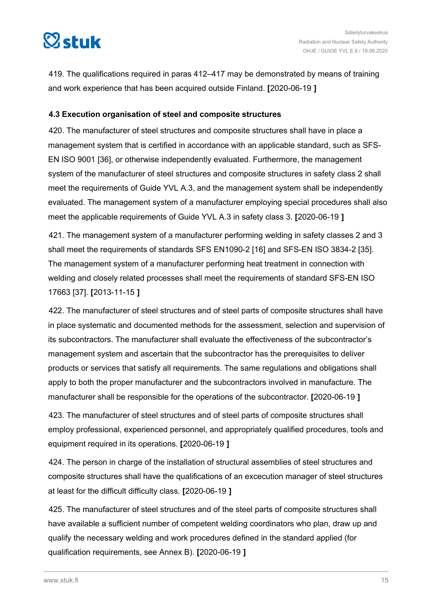<span id="page-14-0"></span>

419. The qualifications required in paras 412–417 may be demonstrated by means of training and work experience that has been acquired outside Finland. **[**2020-06-19 **]**

#### **4.3 Execution organisation of steel and composite structures**

420. The manufacturer of steel structures and composite structures shall have in place a management system that is certified in accordance with an applicable standard, such as SFS-EN ISO 9001 [36], or otherwise independently evaluated. Furthermore, the management system of the manufacturer of steel structures and composite structures in safety class 2 shall meet the requirements of Guide YVL A.3, and the management system shall be independently evaluated. The management system of a manufacturer employing special procedures shall also meet the applicable requirements of Guide YVL A.3 in safety class 3. **[**2020-06-19 **]**

421. The management system of a manufacturer performing welding in safety classes 2 and 3 shall meet the requirements of standards SFS EN1090-2 [16] and SFS-EN ISO 3834-2 [35]. The management system of a manufacturer performing heat treatment in connection with welding and closely related processes shall meet the requirements of standard SFS-EN ISO 17663 [37]. **[**2013-11-15 **]**

422. The manufacturer of steel structures and of steel parts of composite structures shall have in place systematic and documented methods for the assessment, selection and supervision of its subcontractors. The manufacturer shall evaluate the effectiveness of the subcontractor's management system and ascertain that the subcontractor has the prerequisites to deliver products or services that satisfy all requirements. The same regulations and obligations shall apply to both the proper manufacturer and the subcontractors involved in manufacture. The manufacturer shall be responsible for the operations of the subcontractor. **[**2020-06-19 **]**

423. The manufacturer of steel structures and of steel parts of composite structures shall employ professional, experienced personnel, and appropriately qualified procedures, tools and equipment required in its operations. **[**2020-06-19 **]**

424. The person in charge of the installation of structural assemblies of steel structures and composite structures shall have the qualifications of an excecution manager of steel structures at least for the difficult difficulty class. **[**2020-06-19 **]**

425. The manufacturer of steel structures and of the steel parts of composite structures shall have available a sufficient number of competent welding coordinators who plan, draw up and qualify the necessary welding and work procedures defined in the standard applied (for qualification requirements, see Annex B). **[**2020-06-19 **]**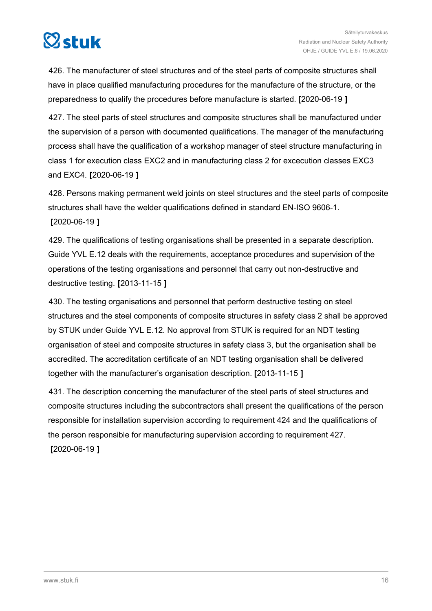# $\boxtimes$ stuk

426. The manufacturer of steel structures and of the steel parts of composite structures shall have in place qualified manufacturing procedures for the manufacture of the structure, or the preparedness to qualify the procedures before manufacture is started. **[**2020-06-19 **]**

427. The steel parts of steel structures and composite structures shall be manufactured under the supervision of a person with documented qualifications. The manager of the manufacturing process shall have the qualification of a workshop manager of steel structure manufacturing in class 1 for execution class EXC2 and in manufacturing class 2 for excecution classes EXC3 and EXC4. **[**2020-06-19 **]**

428. Persons making permanent weld joints on steel structures and the steel parts of composite structures shall have the welder qualifications defined in standard EN-ISO 9606-1. **[**2020-06-19 **]**

429. The qualifications of testing organisations shall be presented in a separate description. Guide YVL E.12 deals with the requirements, acceptance procedures and supervision of the operations of the testing organisations and personnel that carry out non-destructive and destructive testing. **[**2013-11-15 **]**

430. The testing organisations and personnel that perform destructive testing on steel structures and the steel components of composite structures in safety class 2 shall be approved by STUK under Guide YVL E.12. No approval from STUK is required for an NDT testing organisation of steel and composite structures in safety class 3, but the organisation shall be accredited. The accreditation certificate of an NDT testing organisation shall be delivered together with the manufacturer's organisation description. **[**2013-11-15 **]**

431. The description concerning the manufacturer of the steel parts of steel structures and composite structures including the subcontractors shall present the qualifications of the person responsible for installation supervision according to requirement 424 and the qualifications of the person responsible for manufacturing supervision according to requirement 427. **[**2020-06-19 **]**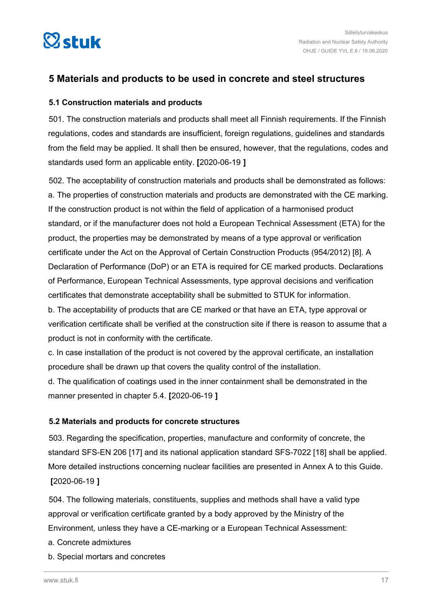<span id="page-16-0"></span>

## **5 Materials and products to be used in concrete and steel structures**

## **5.1 Construction materials and products**

501. The construction materials and products shall meet all Finnish requirements. If the Finnish regulations, codes and standards are insufficient, foreign regulations, guidelines and standards from the field may be applied. It shall then be ensured, however, that the regulations, codes and standards used form an applicable entity. **[**2020-06-19 **]**

502. The acceptability of construction materials and products shall be demonstrated as follows: a. The properties of construction materials and products are demonstrated with the CE marking. If the construction product is not within the field of application of a harmonised product standard, or if the manufacturer does not hold a European Technical Assessment (ETA) for the product, the properties may be demonstrated by means of a type approval or verification certificate under the Act on the Approval of Certain Construction Products (954/2012) [8]. A Declaration of Performance (DoP) or an ETA is required for CE marked products. Declarations of Performance, European Technical Assessments, type approval decisions and verification certificates that demonstrate acceptability shall be submitted to STUK for information.

b. The acceptability of products that are CE marked or that have an ETA, type approval or verification certificate shall be verified at the construction site if there is reason to assume that a product is not in conformity with the certificate.

c. In case installation of the product is not covered by the approval certificate, an installation procedure shall be drawn up that covers the quality control of the installation.

d. The qualification of coatings used in the inner containment shall be demonstrated in the manner presented in chapter 5.4. **[**2020-06-19 **]**

## **5.2 Materials and products for concrete structures**

503. Regarding the specification, properties, manufacture and conformity of concrete, the standard SFS-EN 206 [17] and its national application standard SFS-7022 [18] shall be applied. More detailed instructions concerning nuclear facilities are presented in Annex A to this Guide. **[**2020-06-19 **]**

504. The following materials, constituents, supplies and methods shall have a valid type approval or verification certificate granted by a body approved by the Ministry of the Environment, unless they have a CE-marking or a European Technical Assessment:

- a. Concrete admixtures
- b. Special mortars and concretes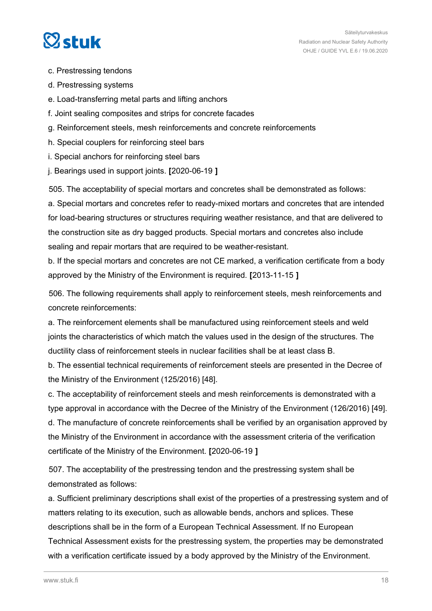## $\heartsuit$ stuk

- c. Prestressing tendons
- d. Prestressing systems
- e. Load-transferring metal parts and lifting anchors
- f. Joint sealing composites and strips for concrete facades
- g. Reinforcement steels, mesh reinforcements and concrete reinforcements
- h. Special couplers for reinforcing steel bars
- i. Special anchors for reinforcing steel bars
- j. Bearings used in support joints. **[**2020-06-19 **]**

505. The acceptability of special mortars and concretes shall be demonstrated as follows: a. Special mortars and concretes refer to ready-mixed mortars and concretes that are intended for load-bearing structures or structures requiring weather resistance, and that are delivered to the construction site as dry bagged products. Special mortars and concretes also include sealing and repair mortars that are required to be weather-resistant.

b. If the special mortars and concretes are not CE marked, a verification certificate from a body approved by the Ministry of the Environment is required. **[**2013-11-15 **]**

506. The following requirements shall apply to reinforcement steels, mesh reinforcements and concrete reinforcements:

a. The reinforcement elements shall be manufactured using reinforcement steels and weld joints the characteristics of which match the values used in the design of the structures. The ductility class of reinforcement steels in nuclear facilities shall be at least class B.

b. The essential technical requirements of reinforcement steels are presented in the Decree of the Ministry of the Environment (125/2016) [48].

c. The acceptability of reinforcement steels and mesh reinforcements is demonstrated with a type approval in accordance with the Decree of the Ministry of the Environment (126/2016) [49]. d. The manufacture of concrete reinforcements shall be verified by an organisation approved by the Ministry of the Environment in accordance with the assessment criteria of the verification certificate of the Ministry of the Environment. **[**2020-06-19 **]**

507. The acceptability of the prestressing tendon and the prestressing system shall be demonstrated as follows:

a. Sufficient preliminary descriptions shall exist of the properties of a prestressing system and of matters relating to its execution, such as allowable bends, anchors and splices. These descriptions shall be in the form of a European Technical Assessment. If no European Technical Assessment exists for the prestressing system, the properties may be demonstrated with a verification certificate issued by a body approved by the Ministry of the Environment.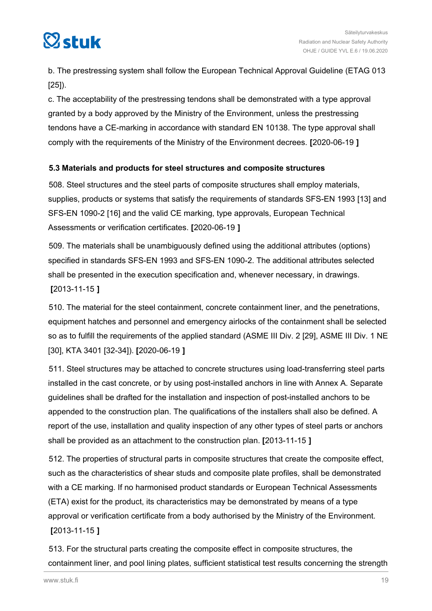<span id="page-18-0"></span>

b. The prestressing system shall follow the European Technical Approval Guideline (ETAG 013 [25]).

c. The acceptability of the prestressing tendons shall be demonstrated with a type approval granted by a body approved by the Ministry of the Environment, unless the prestressing tendons have a CE-marking in accordance with standard EN 10138. The type approval shall comply with the requirements of the Ministry of the Environment decrees. **[**2020-06-19 **]**

## **5.3 Materials and products for steel structures and composite structures**

508. Steel structures and the steel parts of composite structures shall employ materials, supplies, products or systems that satisfy the requirements of standards SFS-EN 1993 [13] and SFS-EN 1090-2 [16] and the valid CE marking, type approvals, European Technical Assessments or verification certificates. **[**2020-06-19 **]**

509. The materials shall be unambiguously defined using the additional attributes (options) specified in standards SFS-EN 1993 and SFS-EN 1090-2. The additional attributes selected shall be presented in the execution specification and, whenever necessary, in drawings. **[**2013-11-15 **]**

510. The material for the steel containment, concrete containment liner, and the penetrations, equipment hatches and personnel and emergency airlocks of the containment shall be selected so as to fulfill the requirements of the applied standard (ASME III Div. 2 [29], ASME III Div. 1 NE [30], KTA 3401 [32-34]). **[**2020-06-19 **]**

511. Steel structures may be attached to concrete structures using load-transferring steel parts installed in the cast concrete, or by using post-installed anchors in line with Annex A. Separate guidelines shall be drafted for the installation and inspection of post-installed anchors to be appended to the construction plan. The qualifications of the installers shall also be defined. A report of the use, installation and quality inspection of any other types of steel parts or anchors shall be provided as an attachment to the construction plan. **[**2013-11-15 **]**

512. The properties of structural parts in composite structures that create the composite effect, such as the characteristics of shear studs and composite plate profiles, shall be demonstrated with a CE marking. If no harmonised product standards or European Technical Assessments (ETA) exist for the product, its characteristics may be demonstrated by means of a type approval or verification certificate from a body authorised by the Ministry of the Environment. **[**2013-11-15 **]**

513. For the structural parts creating the composite effect in composite structures, the containment liner, and pool lining plates, sufficient statistical test results concerning the strength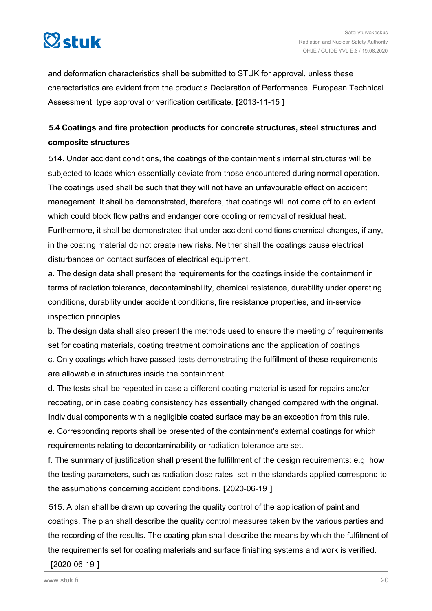<span id="page-19-0"></span>

and deformation characteristics shall be submitted to STUK for approval, unless these characteristics are evident from the product's Declaration of Performance, European Technical Assessment, type approval or verification certificate. **[**2013-11-15 **]**

## **5.4 Coatings and fire protection products for concrete structures, steel structures and composite structures**

514. Under accident conditions, the coatings of the containment's internal structures will be subjected to loads which essentially deviate from those encountered during normal operation. The coatings used shall be such that they will not have an unfavourable effect on accident management. It shall be demonstrated, therefore, that coatings will not come off to an extent which could block flow paths and endanger core cooling or removal of residual heat. Furthermore, it shall be demonstrated that under accident conditions chemical changes, if any, in the coating material do not create new risks. Neither shall the coatings cause electrical disturbances on contact surfaces of electrical equipment.

a. The design data shall present the requirements for the coatings inside the containment in terms of radiation tolerance, decontaminability, chemical resistance, durability under operating conditions, durability under accident conditions, fire resistance properties, and in-service inspection principles.

b. The design data shall also present the methods used to ensure the meeting of requirements set for coating materials, coating treatment combinations and the application of coatings. c. Only coatings which have passed tests demonstrating the fulfillment of these requirements are allowable in structures inside the containment.

d. The tests shall be repeated in case a different coating material is used for repairs and/or recoating, or in case coating consistency has essentially changed compared with the original. Individual components with a negligible coated surface may be an exception from this rule.

e. Corresponding reports shall be presented of the containment's external coatings for which requirements relating to decontaminability or radiation tolerance are set.

f. The summary of justification shall present the fulfillment of the design requirements: e.g. how the testing parameters, such as radiation dose rates, set in the standards applied correspond to the assumptions concerning accident conditions. **[**2020-06-19 **]**

515. A plan shall be drawn up covering the quality control of the application of paint and coatings. The plan shall describe the quality control measures taken by the various parties and the recording of the results. The coating plan shall describe the means by which the fulfilment of the requirements set for coating materials and surface finishing systems and work is verified.

#### **[**2020-06-19 **]**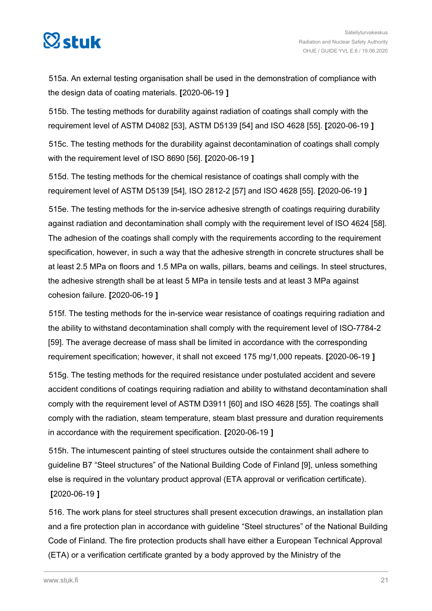

515a. An external testing organisation shall be used in the demonstration of compliance with the design data of coating materials. **[**2020-06-19 **]**

515b. The testing methods for durability against radiation of coatings shall comply with the requirement level of ASTM D4082 [53], ASTM D5139 [54] and ISO 4628 [55]. **[**2020-06-19 **]**

515c. The testing methods for the durability against decontamination of coatings shall comply with the requirement level of ISO 8690 [56]. **[**2020-06-19 **]**

515d. The testing methods for the chemical resistance of coatings shall comply with the requirement level of ASTM D5139 [54], ISO 2812-2 [57] and ISO 4628 [55]. **[**2020-06-19 **]**

515e. The testing methods for the in-service adhesive strength of coatings requiring durability against radiation and decontamination shall comply with the requirement level of ISO 4624 [58]. The adhesion of the coatings shall comply with the requirements according to the requirement specification, however, in such a way that the adhesive strength in concrete structures shall be at least 2.5 MPa on floors and 1.5 MPa on walls, pillars, beams and ceilings. In steel structures, the adhesive strength shall be at least 5 MPa in tensile tests and at least 3 MPa against cohesion failure. **[**2020-06-19 **]**

515f. The testing methods for the in-service wear resistance of coatings requiring radiation and the ability to withstand decontamination shall comply with the requirement level of ISO-7784-2 [59]. The average decrease of mass shall be limited in accordance with the corresponding requirement specification; however, it shall not exceed 175 mg/1,000 repeats. **[**2020-06-19 **]**

515g. The testing methods for the required resistance under postulated accident and severe accident conditions of coatings requiring radiation and ability to withstand decontamination shall comply with the requirement level of ASTM D3911 [60] and ISO 4628 [55]. The coatings shall comply with the radiation, steam temperature, steam blast pressure and duration requirements in accordance with the requirement specification. **[**2020-06-19 **]**

515h. The intumescent painting of steel structures outside the containment shall adhere to guideline B7 "Steel structures" of the National Building Code of Finland [9], unless something else is required in the voluntary product approval (ETA approval or verification certificate). **[**2020-06-19 **]**

516. The work plans for steel structures shall present excecution drawings, an installation plan and a fire protection plan in accordance with guideline "Steel structures" of the National Building Code of Finland. The fire protection products shall have either a European Technical Approval (ETA) or a verification certificate granted by a body approved by the Ministry of the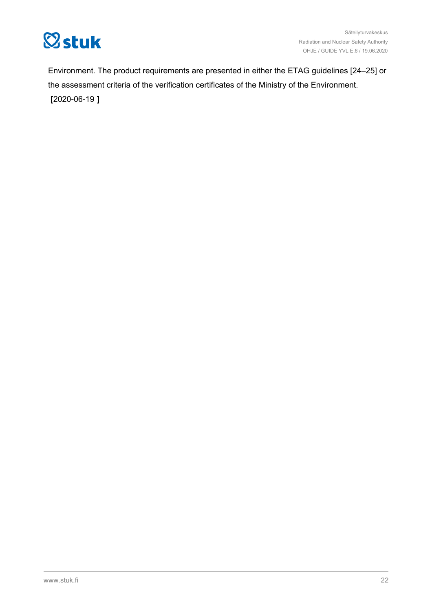

Environment. The product requirements are presented in either the ETAG guidelines [24–25] or the assessment criteria of the verification certificates of the Ministry of the Environment. **[**2020-06-19 **]**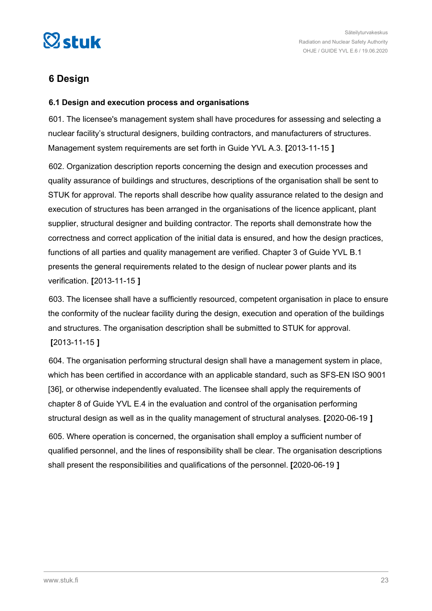<span id="page-22-0"></span>

## **6 Design**

### **6.1 Design and execution process and organisations**

601. The licensee's management system shall have procedures for assessing and selecting a nuclear facility's structural designers, building contractors, and manufacturers of structures. Management system requirements are set forth in Guide YVL A.3. **[**2013-11-15 **]**

602. Organization description reports concerning the design and execution processes and quality assurance of buildings and structures, descriptions of the organisation shall be sent to STUK for approval. The reports shall describe how quality assurance related to the design and execution of structures has been arranged in the organisations of the licence applicant, plant supplier, structural designer and building contractor. The reports shall demonstrate how the correctness and correct application of the initial data is ensured, and how the design practices, functions of all parties and quality management are verified. Chapter 3 of Guide YVL B.1 presents the general requirements related to the design of nuclear power plants and its verification. **[**2013-11-15 **]**

603. The licensee shall have a sufficiently resourced, competent organisation in place to ensure the conformity of the nuclear facility during the design, execution and operation of the buildings and structures. The organisation description shall be submitted to STUK for approval. **[**2013-11-15 **]**

604. The organisation performing structural design shall have a management system in place, which has been certified in accordance with an applicable standard, such as SFS-EN ISO 9001 [36], or otherwise independently evaluated. The licensee shall apply the requirements of chapter 8 of Guide YVL E.4 in the evaluation and control of the organisation performing structural design as well as in the quality management of structural analyses. **[**2020-06-19 **]** 605. Where operation is concerned, the organisation shall employ a sufficient number of qualified personnel, and the lines of responsibility shall be clear. The organisation descriptions

shall present the responsibilities and qualifications of the personnel. **[**2020-06-19 **]**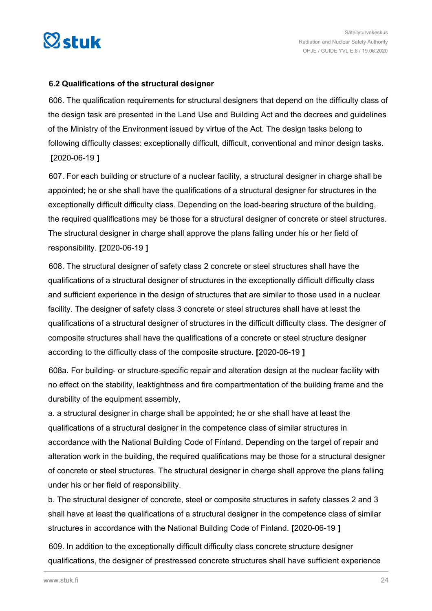<span id="page-23-0"></span>

### **6.2 Qualifications of the structural designer**

606. The qualification requirements for structural designers that depend on the difficulty class of the design task are presented in the Land Use and Building Act and the decrees and guidelines of the Ministry of the Environment issued by virtue of the Act. The design tasks belong to following difficulty classes: exceptionally difficult, difficult, conventional and minor design tasks. **[**2020-06-19 **]**

607. For each building or structure of a nuclear facility, a structural designer in charge shall be appointed; he or she shall have the qualifications of a structural designer for structures in the exceptionally difficult difficulty class. Depending on the load-bearing structure of the building, the required qualifications may be those for a structural designer of concrete or steel structures. The structural designer in charge shall approve the plans falling under his or her field of responsibility. **[**2020-06-19 **]**

608. The structural designer of safety class 2 concrete or steel structures shall have the qualifications of a structural designer of structures in the exceptionally difficult difficulty class and sufficient experience in the design of structures that are similar to those used in a nuclear facility. The designer of safety class 3 concrete or steel structures shall have at least the qualifications of a structural designer of structures in the difficult difficulty class. The designer of composite structures shall have the qualifications of a concrete or steel structure designer according to the difficulty class of the composite structure. **[**2020-06-19 **]**

608a. For building- or structure-specific repair and alteration design at the nuclear facility with no effect on the stability, leaktightness and fire compartmentation of the building frame and the durability of the equipment assembly,

a. a structural designer in charge shall be appointed; he or she shall have at least the qualifications of a structural designer in the competence class of similar structures in accordance with the National Building Code of Finland. Depending on the target of repair and alteration work in the building, the required qualifications may be those for a structural designer of concrete or steel structures. The structural designer in charge shall approve the plans falling under his or her field of responsibility.

b. The structural designer of concrete, steel or composite structures in safety classes 2 and 3 shall have at least the qualifications of a structural designer in the competence class of similar structures in accordance with the National Building Code of Finland. **[**2020-06-19 **]**

609. In addition to the exceptionally difficult difficulty class concrete structure designer qualifications, the designer of prestressed concrete structures shall have sufficient experience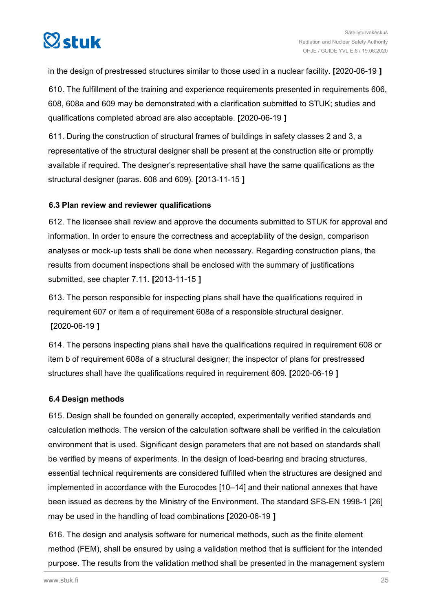<span id="page-24-0"></span>

in the design of prestressed structures similar to those used in a nuclear facility. **[**2020-06-19 **]**

610. The fulfillment of the training and experience requirements presented in requirements 606, 608, 608a and 609 may be demonstrated with a clarification submitted to STUK; studies and qualifications completed abroad are also acceptable. **[**2020-06-19 **]**

611. During the construction of structural frames of buildings in safety classes 2 and 3, a representative of the structural designer shall be present at the construction site or promptly available if required. The designer's representative shall have the same qualifications as the structural designer (paras. 608 and 609). **[**2013-11-15 **]**

## **6.3 Plan review and reviewer qualifications**

612. The licensee shall review and approve the documents submitted to STUK for approval and information. In order to ensure the correctness and acceptability of the design, comparison analyses or mock-up tests shall be done when necessary. Regarding construction plans, the results from document inspections shall be enclosed with the summary of justifications submitted, see chapter 7.11. **[**2013-11-15 **]**

613. The person responsible for inspecting plans shall have the qualifications required in requirement 607 or item a of requirement 608a of a responsible structural designer. **[**2020-06-19 **]**

614. The persons inspecting plans shall have the qualifications required in requirement 608 or item b of requirement 608a of a structural designer; the inspector of plans for prestressed structures shall have the qualifications required in requirement 609. **[**2020-06-19 **]**

#### **6.4 Design methods**

615. Design shall be founded on generally accepted, experimentally verified standards and calculation methods. The version of the calculation software shall be verified in the calculation environment that is used. Significant design parameters that are not based on standards shall be verified by means of experiments. In the design of load-bearing and bracing structures, essential technical requirements are considered fulfilled when the structures are designed and implemented in accordance with the Eurocodes [10–14] and their national annexes that have been issued as decrees by the Ministry of the Environment. The standard SFS-EN 1998-1 [26] may be used in the handling of load combinations **[**2020-06-19 **]**

616. The design and analysis software for numerical methods, such as the finite element method (FEM), shall be ensured by using a validation method that is sufficient for the intended purpose. The results from the validation method shall be presented in the management system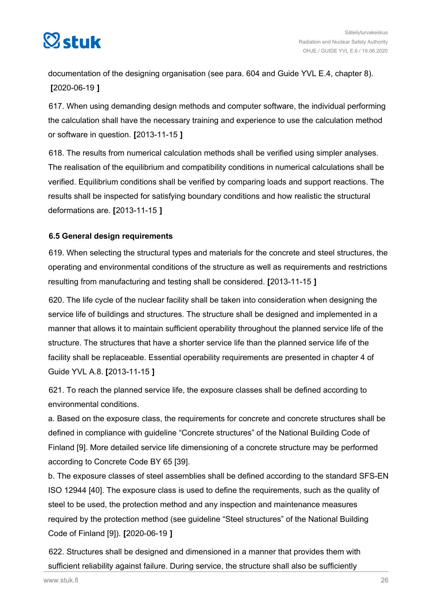<span id="page-25-0"></span>

documentation of the designing organisation (see para. 604 and Guide YVL E.4, chapter 8). **[**2020-06-19 **]**

617. When using demanding design methods and computer software, the individual performing the calculation shall have the necessary training and experience to use the calculation method or software in question. **[**2013-11-15 **]**

618. The results from numerical calculation methods shall be verified using simpler analyses. The realisation of the equilibrium and compatibility conditions in numerical calculations shall be verified. Equilibrium conditions shall be verified by comparing loads and support reactions. The results shall be inspected for satisfying boundary conditions and how realistic the structural deformations are. **[**2013-11-15 **]**

## **6.5 General design requirements**

619. When selecting the structural types and materials for the concrete and steel structures, the operating and environmental conditions of the structure as well as requirements and restrictions resulting from manufacturing and testing shall be considered. **[**2013-11-15 **]**

620. The life cycle of the nuclear facility shall be taken into consideration when designing the service life of buildings and structures. The structure shall be designed and implemented in a manner that allows it to maintain sufficient operability throughout the planned service life of the structure. The structures that have a shorter service life than the planned service life of the facility shall be replaceable. Essential operability requirements are presented in chapter 4 of Guide YVL A.8. **[**2013-11-15 **]**

621. To reach the planned service life, the exposure classes shall be defined according to environmental conditions.

a. Based on the exposure class, the requirements for concrete and concrete structures shall be defined in compliance with guideline "Concrete structures" of the National Building Code of Finland [9]. More detailed service life dimensioning of a concrete structure may be performed according to Concrete Code BY 65 [39].

b. The exposure classes of steel assemblies shall be defined according to the standard SFS-EN ISO 12944 [40]. The exposure class is used to define the requirements, such as the quality of steel to be used, the protection method and any inspection and maintenance measures required by the protection method (see guideline "Steel structures" of the National Building Code of Finland [9]). **[**2020-06-19 **]**

622. Structures shall be designed and dimensioned in a manner that provides them with sufficient reliability against failure. During service, the structure shall also be sufficiently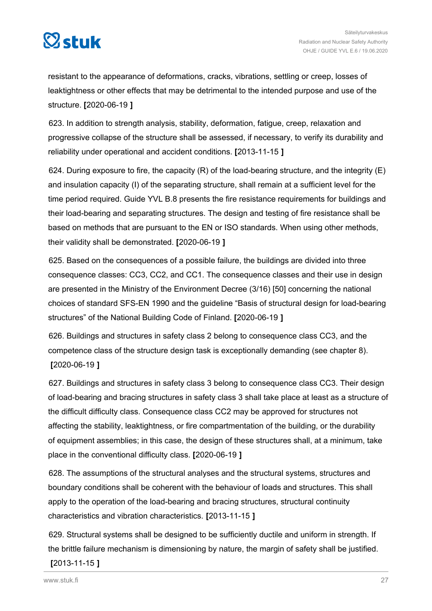

resistant to the appearance of deformations, cracks, vibrations, settling or creep, losses of leaktightness or other effects that may be detrimental to the intended purpose and use of the structure. **[**2020-06-19 **]**

623. In addition to strength analysis, stability, deformation, fatigue, creep, relaxation and progressive collapse of the structure shall be assessed, if necessary, to verify its durability and reliability under operational and accident conditions. **[**2013-11-15 **]**

624. During exposure to fire, the capacity  $(R)$  of the load-bearing structure, and the integrity  $(E)$ and insulation capacity (I) of the separating structure, shall remain at a sufficient level for the time period required. Guide YVL B.8 presents the fire resistance requirements for buildings and their load-bearing and separating structures. The design and testing of fire resistance shall be based on methods that are pursuant to the EN or ISO standards. When using other methods, their validity shall be demonstrated. **[**2020-06-19 **]**

625. Based on the consequences of a possible failure, the buildings are divided into three consequence classes: CC3, CC2, and CC1. The consequence classes and their use in design are presented in the Ministry of the Environment Decree (3/16) [50] concerning the national choices of standard SFS-EN 1990 and the guideline "Basis of structural design for load-bearing structures" of the National Building Code of Finland. **[**2020-06-19 **]**

626. Buildings and structures in safety class 2 belong to consequence class CC3, and the competence class of the structure design task is exceptionally demanding (see chapter 8). **[**2020-06-19 **]**

627. Buildings and structures in safety class 3 belong to consequence class CC3. Their design of load-bearing and bracing structures in safety class 3 shall take place at least as a structure of the difficult difficulty class. Consequence class CC2 may be approved for structures not affecting the stability, leaktightness, or fire compartmentation of the building, or the durability of equipment assemblies; in this case, the design of these structures shall, at a minimum, take place in the conventional difficulty class. **[**2020-06-19 **]**

628. The assumptions of the structural analyses and the structural systems, structures and boundary conditions shall be coherent with the behaviour of loads and structures. This shall apply to the operation of the load-bearing and bracing structures, structural continuity characteristics and vibration characteristics. **[**2013-11-15 **]**

629. Structural systems shall be designed to be sufficiently ductile and uniform in strength. If the brittle failure mechanism is dimensioning by nature, the margin of safety shall be justified.

### **[**2013-11-15 **]**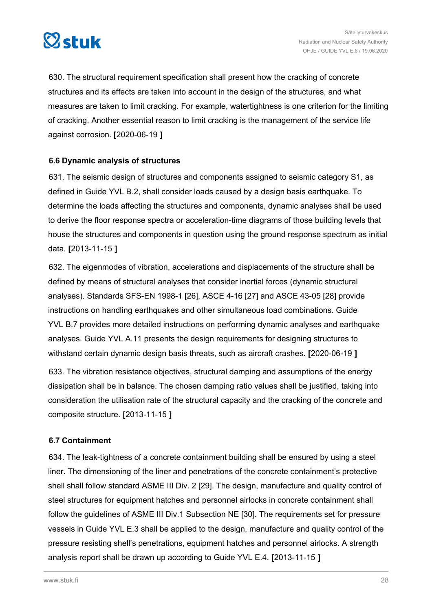<span id="page-27-0"></span>

630. The structural requirement specification shall present how the cracking of concrete structures and its effects are taken into account in the design of the structures, and what measures are taken to limit cracking. For example, watertightness is one criterion for the limiting of cracking. Another essential reason to limit cracking is the management of the service life against corrosion. **[**2020-06-19 **]**

## **6.6 Dynamic analysis of structures**

631. The seismic design of structures and components assigned to seismic category S1, as defined in Guide YVL B.2, shall consider loads caused by a design basis earthquake. To determine the loads affecting the structures and components, dynamic analyses shall be used to derive the floor response spectra or acceleration-time diagrams of those building levels that house the structures and components in question using the ground response spectrum as initial data. **[**2013-11-15 **]**

632. The eigenmodes of vibration, accelerations and displacements of the structure shall be defined by means of structural analyses that consider inertial forces (dynamic structural analyses). Standards SFS-EN 1998-1 [26], ASCE 4-16 [27] and ASCE 43-05 [28] provide instructions on handling earthquakes and other simultaneous load combinations. Guide YVL B.7 provides more detailed instructions on performing dynamic analyses and earthquake analyses. Guide YVL A.11 presents the design requirements for designing structures to withstand certain dynamic design basis threats, such as aircraft crashes. **[**2020-06-19 **]**

633. The vibration resistance objectives, structural damping and assumptions of the energy dissipation shall be in balance. The chosen damping ratio values shall be justified, taking into consideration the utilisation rate of the structural capacity and the cracking of the concrete and composite structure. **[**2013-11-15 **]**

## **6.7 Containment**

634. The leak-tightness of a concrete containment building shall be ensured by using a steel liner. The dimensioning of the liner and penetrations of the concrete containment's protective shell shall follow standard ASME III Div. 2 [29]. The design, manufacture and quality control of steel structures for equipment hatches and personnel airlocks in concrete containment shall follow the guidelines of ASME III Div.1 Subsection NE [30]. The requirements set for pressure vessels in Guide YVL E.3 shall be applied to the design, manufacture and quality control of the pressure resisting shell's penetrations, equipment hatches and personnel airlocks. A strength analysis report shall be drawn up according to Guide YVL E.4. **[**2013-11-15 **]**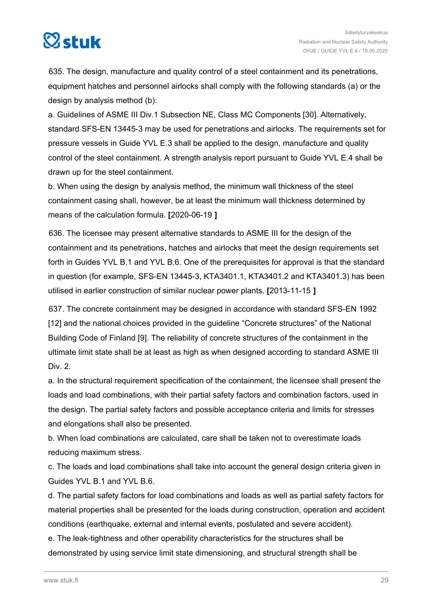# $\boxtimes$ stuk

635. The design, manufacture and quality control of a steel containment and its penetrations, equipment hatches and personnel airlocks shall comply with the following standards (a) or the design by analysis method (b):

a. Guidelines of ASME III Div.1 Subsection NE, Class MC Components [30]. Alternatively, standard SFS-EN 13445-3 may be used for penetrations and airlocks. The requirements set for pressure vessels in Guide YVL E.3 shall be applied to the design, manufacture and quality control of the steel containment. A strength analysis report pursuant to Guide YVL E.4 shall be drawn up for the steel containment.

b. When using the design by analysis method, the minimum wall thickness of the steel containment casing shall, however, be at least the minimum wall thickness determined by means of the calculation formula. **[**2020-06-19 **]**

636. The licensee may present alternative standards to ASME III for the design of the containment and its penetrations, hatches and airlocks that meet the design requirements set forth in Guides YVL B.1 and YVL B.6. One of the prerequisites for approval is that the standard in question (for example, SFS-EN 13445-3, KTA3401.1, KTA3401.2 and KTA3401.3) has been utilised in earlier construction of similar nuclear power plants. **[**2013-11-15 **]**

637. The concrete containment may be designed in accordance with standard SFS-EN 1992 [12] and the national choices provided in the guideline "Concrete structures" of the National Building Code of Finland [9]. The reliability of concrete structures of the containment in the ultimate limit state shall be at least as high as when designed according to standard ASME III Div. 2.

a. In the structural requirement specification of the containment, the licensee shall present the loads and load combinations, with their partial safety factors and combination factors, used in the design. The partial safety factors and possible acceptance criteria and limits for stresses and elongations shall also be presented.

b. When load combinations are calculated, care shall be taken not to overestimate loads reducing maximum stress.

c. The loads and load combinations shall take into account the general design criteria given in Guides YVL B.1 and YVL B.6.

d. The partial safety factors for load combinations and loads as well as partial safety factors for material properties shall be presented for the loads during construction, operation and accident conditions (earthquake, external and internal events, postulated and severe accident). e. The leak-tightness and other operability characteristics for the structures shall be

demonstrated by using service limit state dimensioning, and structural strength shall be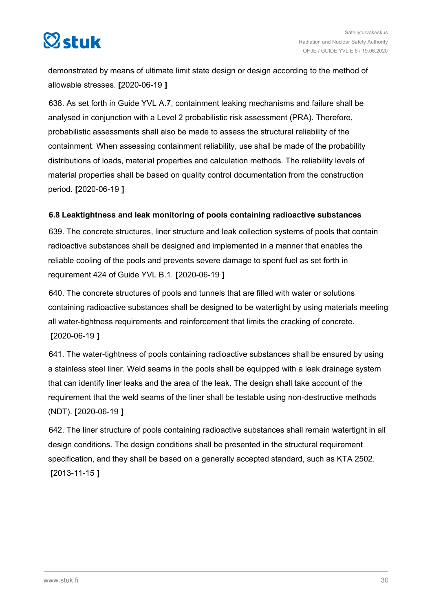<span id="page-29-0"></span>

demonstrated by means of ultimate limit state design or design according to the method of allowable stresses. **[**2020-06-19 **]**

638. As set forth in Guide YVL A.7, containment leaking mechanisms and failure shall be analysed in conjunction with a Level 2 probabilistic risk assessment (PRA). Therefore, probabilistic assessments shall also be made to assess the structural reliability of the containment. When assessing containment reliability, use shall be made of the probability distributions of loads, material properties and calculation methods. The reliability levels of material properties shall be based on quality control documentation from the construction period. **[**2020-06-19 **]**

## **6.8 Leaktightness and leak monitoring of pools containing radioactive substances**

639. The concrete structures, liner structure and leak collection systems of pools that contain radioactive substances shall be designed and implemented in a manner that enables the reliable cooling of the pools and prevents severe damage to spent fuel as set forth in requirement 424 of Guide YVL B.1. **[**2020-06-19 **]**

640. The concrete structures of pools and tunnels that are filled with water or solutions containing radioactive substances shall be designed to be watertight by using materials meeting all water-tightness requirements and reinforcement that limits the cracking of concrete. **[**2020-06-19 **]**

641. The water-tightness of pools containing radioactive substances shall be ensured by using a stainless steel liner. Weld seams in the pools shall be equipped with a leak drainage system that can identify liner leaks and the area of the leak. The design shall take account of the requirement that the weld seams of the liner shall be testable using non-destructive methods (NDT). **[**2020-06-19 **]**

642. The liner structure of pools containing radioactive substances shall remain watertight in all design conditions. The design conditions shall be presented in the structural requirement specification, and they shall be based on a generally accepted standard, such as KTA 2502. **[**2013-11-15 **]**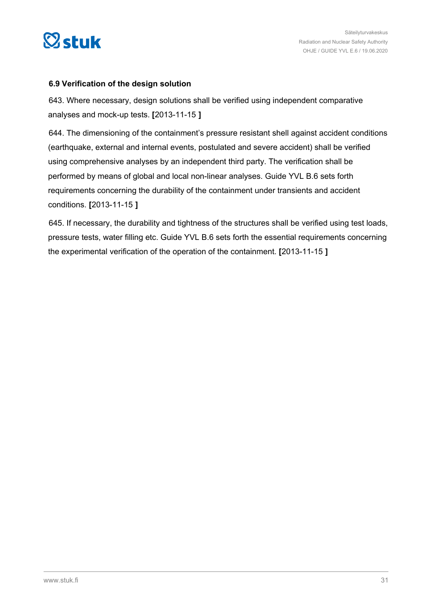<span id="page-30-0"></span>

### **6.9 Verification of the design solution**

643. Where necessary, design solutions shall be verified using independent comparative analyses and mock-up tests. **[**2013-11-15 **]**

644. The dimensioning of the containment's pressure resistant shell against accident conditions (earthquake, external and internal events, postulated and severe accident) shall be verified using comprehensive analyses by an independent third party. The verification shall be performed by means of global and local non-linear analyses. Guide YVL B.6 sets forth requirements concerning the durability of the containment under transients and accident conditions. **[**2013-11-15 **]**

645. If necessary, the durability and tightness of the structures shall be verified using test loads, pressure tests, water filling etc. Guide YVL B.6 sets forth the essential requirements concerning the experimental verification of the operation of the containment. **[**2013-11-15 **]**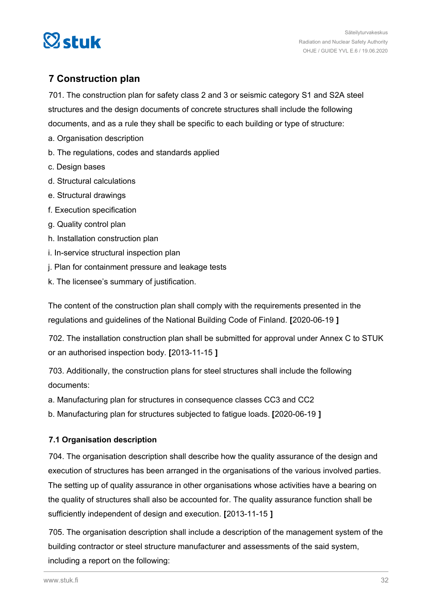<span id="page-31-0"></span>

## **7 Construction plan**

701. The construction plan for safety class 2 and 3 or seismic category S1 and S2A steel structures and the design documents of concrete structures shall include the following documents, and as a rule they shall be specific to each building or type of structure:

- a. Organisation description
- b. The regulations, codes and standards applied
- c. Design bases
- d. Structural calculations
- e. Structural drawings
- f. Execution specification
- g. Quality control plan
- h. Installation construction plan
- i. In-service structural inspection plan
- j. Plan for containment pressure and leakage tests
- k. The licensee's summary of justification.

The content of the construction plan shall comply with the requirements presented in the regulations and guidelines of the National Building Code of Finland. **[**2020-06-19 **]**

702. The installation construction plan shall be submitted for approval under Annex C to STUK or an authorised inspection body. **[**2013-11-15 **]**

703. Additionally, the construction plans for steel structures shall include the following documents:

a. Manufacturing plan for structures in consequence classes CC3 and CC2

b. Manufacturing plan for structures subjected to fatigue loads. **[**2020-06-19 **]**

## **7.1 Organisation description**

704. The organisation description shall describe how the quality assurance of the design and execution of structures has been arranged in the organisations of the various involved parties. The setting up of quality assurance in other organisations whose activities have a bearing on the quality of structures shall also be accounted for. The quality assurance function shall be sufficiently independent of design and execution. **[**2013-11-15 **]**

705. The organisation description shall include a description of the management system of the building contractor or steel structure manufacturer and assessments of the said system, including a report on the following: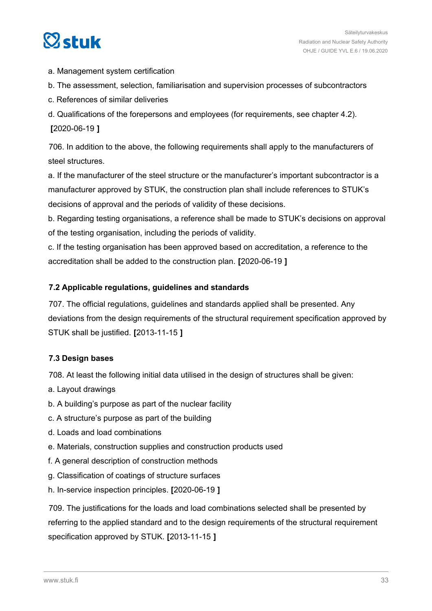<span id="page-32-0"></span>

- a. Management system certification
- b. The assessment, selection, familiarisation and supervision processes of subcontractors
- c. References of similar deliveries
- d. Qualifications of the forepersons and employees (for requirements, see chapter 4.2). **[**2020-06-19 **]**

706. In addition to the above, the following requirements shall apply to the manufacturers of steel structures.

a. If the manufacturer of the steel structure or the manufacturer's important subcontractor is a manufacturer approved by STUK, the construction plan shall include references to STUK's decisions of approval and the periods of validity of these decisions.

b. Regarding testing organisations, a reference shall be made to STUK's decisions on approval of the testing organisation, including the periods of validity.

c. If the testing organisation has been approved based on accreditation, a reference to the accreditation shall be added to the construction plan. **[**2020-06-19 **]**

### **7.2 Applicable regulations, guidelines and standards**

707. The official regulations, guidelines and standards applied shall be presented. Any deviations from the design requirements of the structural requirement specification approved by STUK shall be justified. **[**2013-11-15 **]**

## **7.3 Design bases**

708. At least the following initial data utilised in the design of structures shall be given:

- a. Layout drawings
- b. A building's purpose as part of the nuclear facility
- c. A structure's purpose as part of the building
- d. Loads and load combinations
- e. Materials, construction supplies and construction products used
- f. A general description of construction methods
- g. Classification of coatings of structure surfaces
- h. In-service inspection principles. **[**2020-06-19 **]**

709. The justifications for the loads and load combinations selected shall be presented by referring to the applied standard and to the design requirements of the structural requirement specification approved by STUK. **[**2013-11-15 **]**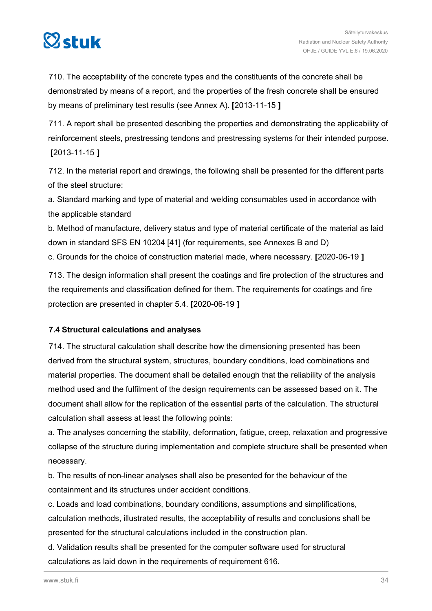<span id="page-33-0"></span>

710. The acceptability of the concrete types and the constituents of the concrete shall be demonstrated by means of a report, and the properties of the fresh concrete shall be ensured by means of preliminary test results (see Annex A). **[**2013-11-15 **]**

711. A report shall be presented describing the properties and demonstrating the applicability of reinforcement steels, prestressing tendons and prestressing systems for their intended purpose. **[**2013-11-15 **]**

712. In the material report and drawings, the following shall be presented for the different parts of the steel structure:

a. Standard marking and type of material and welding consumables used in accordance with the applicable standard

b. Method of manufacture, delivery status and type of material certificate of the material as laid down in standard SFS EN 10204 [41] (for requirements, see Annexes B and D) c. Grounds for the choice of construction material made, where necessary. **[**2020-06-19 **]**

713. The design information shall present the coatings and fire protection of the structures and the requirements and classification defined for them. The requirements for coatings and fire protection are presented in chapter 5.4. **[**2020-06-19 **]**

## **7.4 Structural calculations and analyses**

714. The structural calculation shall describe how the dimensioning presented has been derived from the structural system, structures, boundary conditions, load combinations and material properties. The document shall be detailed enough that the reliability of the analysis method used and the fulfilment of the design requirements can be assessed based on it. The document shall allow for the replication of the essential parts of the calculation. The structural calculation shall assess at least the following points:

a. The analyses concerning the stability, deformation, fatigue, creep, relaxation and progressive collapse of the structure during implementation and complete structure shall be presented when necessary.

b. The results of non-linear analyses shall also be presented for the behaviour of the containment and its structures under accident conditions.

c. Loads and load combinations, boundary conditions, assumptions and simplifications, calculation methods, illustrated results, the acceptability of results and conclusions shall be presented for the structural calculations included in the construction plan.

d. Validation results shall be presented for the computer software used for structural calculations as laid down in the requirements of requirement 616.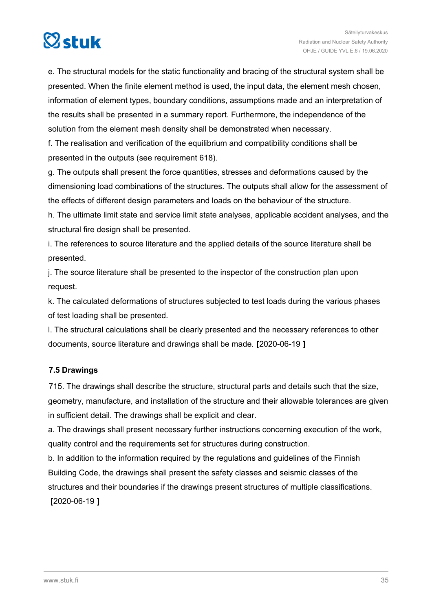# <span id="page-34-0"></span> $\boxtimes$ stuk

e. The structural models for the static functionality and bracing of the structural system shall be presented. When the finite element method is used, the input data, the element mesh chosen, information of element types, boundary conditions, assumptions made and an interpretation of the results shall be presented in a summary report. Furthermore, the independence of the solution from the element mesh density shall be demonstrated when necessary.

f. The realisation and verification of the equilibrium and compatibility conditions shall be presented in the outputs (see requirement 618).

g. The outputs shall present the force quantities, stresses and deformations caused by the dimensioning load combinations of the structures. The outputs shall allow for the assessment of the effects of different design parameters and loads on the behaviour of the structure.

h. The ultimate limit state and service limit state analyses, applicable accident analyses, and the structural fire design shall be presented.

i. The references to source literature and the applied details of the source literature shall be presented.

j. The source literature shall be presented to the inspector of the construction plan upon request.

k. The calculated deformations of structures subjected to test loads during the various phases of test loading shall be presented.

l. The structural calculations shall be clearly presented and the necessary references to other documents, source literature and drawings shall be made. **[**2020-06-19 **]**

## **7.5 Drawings**

715. The drawings shall describe the structure, structural parts and details such that the size, geometry, manufacture, and installation of the structure and their allowable tolerances are given in sufficient detail. The drawings shall be explicit and clear.

a. The drawings shall present necessary further instructions concerning execution of the work, quality control and the requirements set for structures during construction.

b. In addition to the information required by the regulations and guidelines of the Finnish Building Code, the drawings shall present the safety classes and seismic classes of the structures and their boundaries if the drawings present structures of multiple classifications. **[**2020-06-19 **]**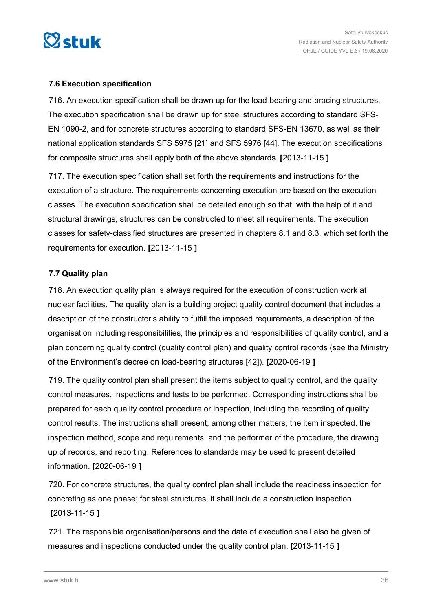<span id="page-35-0"></span>

### **7.6 Execution specification**

716. An execution specification shall be drawn up for the load-bearing and bracing structures. The execution specification shall be drawn up for steel structures according to standard SFS-EN 1090-2, and for concrete structures according to standard SFS-EN 13670, as well as their national application standards SFS 5975 [21] and SFS 5976 [44]. The execution specifications for composite structures shall apply both of the above standards. **[**2013-11-15 **]**

717. The execution specification shall set forth the requirements and instructions for the execution of a structure. The requirements concerning execution are based on the execution classes. The execution specification shall be detailed enough so that, with the help of it and structural drawings, structures can be constructed to meet all requirements. The execution classes for safety-classified structures are presented in chapters 8.1 and 8.3, which set forth the requirements for execution. **[**2013-11-15 **]**

### **7.7 Quality plan**

718. An execution quality plan is always required for the execution of construction work at nuclear facilities. The quality plan is a building project quality control document that includes a description of the constructor's ability to fulfill the imposed requirements, a description of the organisation including responsibilities, the principles and responsibilities of quality control, and a plan concerning quality control (quality control plan) and quality control records (see the Ministry of the Environment's decree on load-bearing structures [42]). **[**2020-06-19 **]**

719. The quality control plan shall present the items subject to quality control, and the quality control measures, inspections and tests to be performed. Corresponding instructions shall be prepared for each quality control procedure or inspection, including the recording of quality control results. The instructions shall present, among other matters, the item inspected, the inspection method, scope and requirements, and the performer of the procedure, the drawing up of records, and reporting. References to standards may be used to present detailed information. **[**2020-06-19 **]**

720. For concrete structures, the quality control plan shall include the readiness inspection for concreting as one phase; for steel structures, it shall include a construction inspection. **[**2013-11-15 **]**

721. The responsible organisation/persons and the date of execution shall also be given of measures and inspections conducted under the quality control plan. **[**2013-11-15 **]**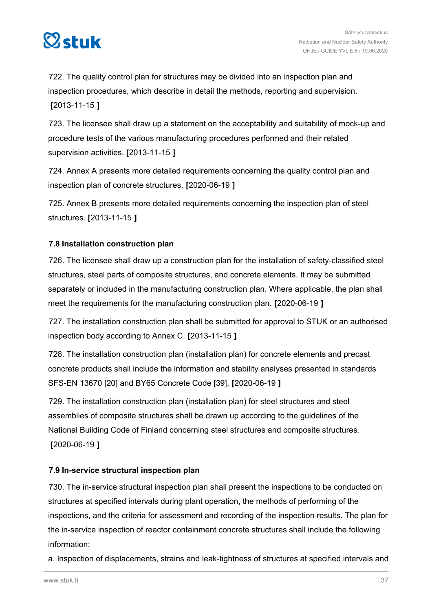

722. The quality control plan for structures may be divided into an inspection plan and inspection procedures, which describe in detail the methods, reporting and supervision. **[**2013-11-15 **]**

723. The licensee shall draw up a statement on the acceptability and suitability of mock-up and procedure tests of the various manufacturing procedures performed and their related supervision activities. **[**2013-11-15 **]**

724. Annex A presents more detailed requirements concerning the quality control plan and inspection plan of concrete structures. **[**2020-06-19 **]**

725. Annex B presents more detailed requirements concerning the inspection plan of steel structures. **[**2013-11-15 **]**

#### **7.8 Installation construction plan**

726. The licensee shall draw up a construction plan for the installation of safety-classified steel structures, steel parts of composite structures, and concrete elements. It may be submitted separately or included in the manufacturing construction plan. Where applicable, the plan shall meet the requirements for the manufacturing construction plan. **[**2020-06-19 **]**

727. The installation construction plan shall be submitted for approval to STUK or an authorised inspection body according to Annex C. **[**2013-11-15 **]**

728. The installation construction plan (installation plan) for concrete elements and precast concrete products shall include the information and stability analyses presented in standards SFS-EN 13670 [20] and BY65 Concrete Code [39]. **[**2020-06-19 **]**

729. The installation construction plan (installation plan) for steel structures and steel assemblies of composite structures shall be drawn up according to the guidelines of the National Building Code of Finland concerning steel structures and composite structures. **[**2020-06-19 **]**

#### **7.9 In-service structural inspection plan**

730. The in-service structural inspection plan shall present the inspections to be conducted on structures at specified intervals during plant operation, the methods of performing of the inspections, and the criteria for assessment and recording of the inspection results. The plan for the in-service inspection of reactor containment concrete structures shall include the following information:

a. Inspection of displacements, strains and leak-tightness of structures at specified intervals and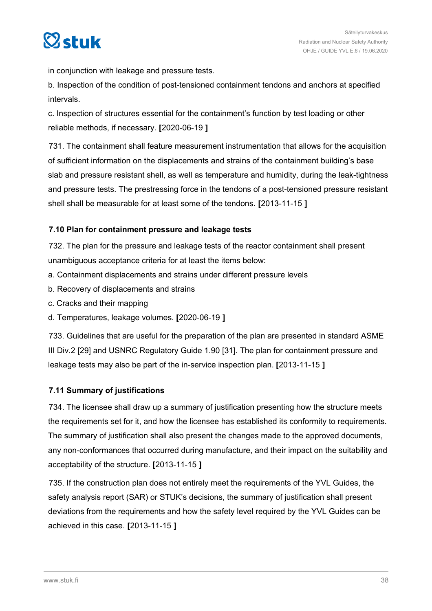

in conjunction with leakage and pressure tests.

b. Inspection of the condition of post-tensioned containment tendons and anchors at specified intervals.

c. Inspection of structures essential for the containment's function by test loading or other reliable methods, if necessary. **[**2020-06-19 **]**

731. The containment shall feature measurement instrumentation that allows for the acquisition of sufficient information on the displacements and strains of the containment building's base slab and pressure resistant shell, as well as temperature and humidity, during the leak-tightness and pressure tests. The prestressing force in the tendons of a post-tensioned pressure resistant shell shall be measurable for at least some of the tendons. **[**2013-11-15 **]**

#### **7.10 Plan for containment pressure and leakage tests**

732. The plan for the pressure and leakage tests of the reactor containment shall present unambiguous acceptance criteria for at least the items below:

- a. Containment displacements and strains under different pressure levels
- b. Recovery of displacements and strains
- c. Cracks and their mapping
- d. Temperatures, leakage volumes. **[**2020-06-19 **]**

733. Guidelines that are useful for the preparation of the plan are presented in standard ASME III Div.2 [29] and USNRC Regulatory Guide 1.90 [31]. The plan for containment pressure and leakage tests may also be part of the in-service inspection plan. **[**2013-11-15 **]**

#### **7.11 Summary of justifications**

734. The licensee shall draw up a summary of justification presenting how the structure meets the requirements set for it, and how the licensee has established its conformity to requirements. The summary of justification shall also present the changes made to the approved documents, any non-conformances that occurred during manufacture, and their impact on the suitability and acceptability of the structure. **[**2013-11-15 **]**

735. If the construction plan does not entirely meet the requirements of the YVL Guides, the safety analysis report (SAR) or STUK's decisions, the summary of justification shall present deviations from the requirements and how the safety level required by the YVL Guides can be achieved in this case. **[**2013-11-15 **]**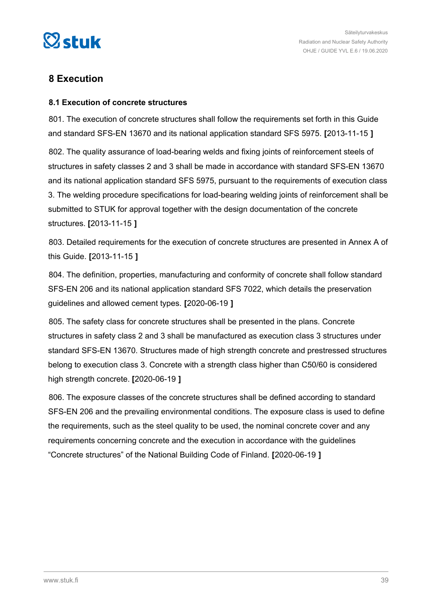

### **8 Execution**

#### **8.1 Execution of concrete structures**

801. The execution of concrete structures shall follow the requirements set forth in this Guide and standard SFS-EN 13670 and its national application standard SFS 5975. **[**2013-11-15 **]**

802. The quality assurance of load-bearing welds and fixing joints of reinforcement steels of structures in safety classes 2 and 3 shall be made in accordance with standard SFS-EN 13670 and its national application standard SFS 5975, pursuant to the requirements of execution class 3. The welding procedure specifications for load-bearing welding joints of reinforcement shall be submitted to STUK for approval together with the design documentation of the concrete structures. **[**2013-11-15 **]**

803. Detailed requirements for the execution of concrete structures are presented in Annex A of this Guide. **[**2013-11-15 **]**

804. The definition, properties, manufacturing and conformity of concrete shall follow standard SFS-EN 206 and its national application standard SFS 7022, which details the preservation guidelines and allowed cement types. **[**2020-06-19 **]**

805. The safety class for concrete structures shall be presented in the plans. Concrete structures in safety class 2 and 3 shall be manufactured as execution class 3 structures under standard SFS-EN 13670. Structures made of high strength concrete and prestressed structures belong to execution class 3. Concrete with a strength class higher than C50/60 is considered high strength concrete. **[**2020-06-19 **]**

806. The exposure classes of the concrete structures shall be defined according to standard SFS-EN 206 and the prevailing environmental conditions. The exposure class is used to define the requirements, such as the steel quality to be used, the nominal concrete cover and any requirements concerning concrete and the execution in accordance with the guidelines "Concrete structures" of the National Building Code of Finland. **[**2020-06-19 **]**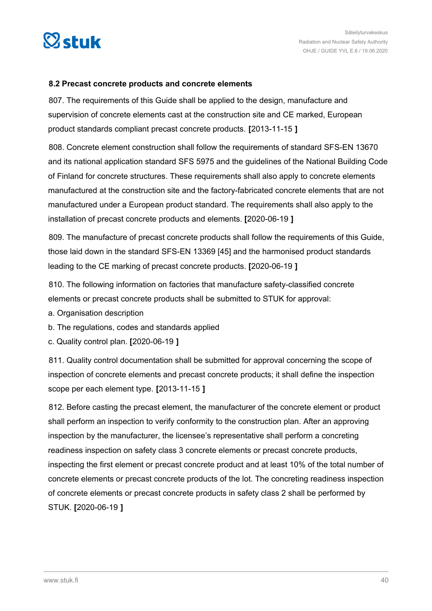

#### **8.2 Precast concrete products and concrete elements**

807. The requirements of this Guide shall be applied to the design, manufacture and supervision of concrete elements cast at the construction site and CE marked, European product standards compliant precast concrete products. **[**2013-11-15 **]**

808. Concrete element construction shall follow the requirements of standard SFS-EN 13670 and its national application standard SFS 5975 and the guidelines of the National Building Code of Finland for concrete structures. These requirements shall also apply to concrete elements manufactured at the construction site and the factory-fabricated concrete elements that are not manufactured under a European product standard. The requirements shall also apply to the installation of precast concrete products and elements. **[**2020-06-19 **]**

809. The manufacture of precast concrete products shall follow the requirements of this Guide, those laid down in the standard SFS-EN 13369 [45] and the harmonised product standards leading to the CE marking of precast concrete products. **[**2020-06-19 **]**

810. The following information on factories that manufacture safety-classified concrete elements or precast concrete products shall be submitted to STUK for approval:

a. Organisation description

- b. The regulations, codes and standards applied
- c. Quality control plan. **[**2020-06-19 **]**

811. Quality control documentation shall be submitted for approval concerning the scope of inspection of concrete elements and precast concrete products; it shall define the inspection scope per each element type. **[**2013-11-15 **]**

812. Before casting the precast element, the manufacturer of the concrete element or product shall perform an inspection to verify conformity to the construction plan. After an approving inspection by the manufacturer, the licensee's representative shall perform a concreting readiness inspection on safety class 3 concrete elements or precast concrete products, inspecting the first element or precast concrete product and at least 10% of the total number of concrete elements or precast concrete products of the lot. The concreting readiness inspection of concrete elements or precast concrete products in safety class 2 shall be performed by STUK. **[**2020-06-19 **]**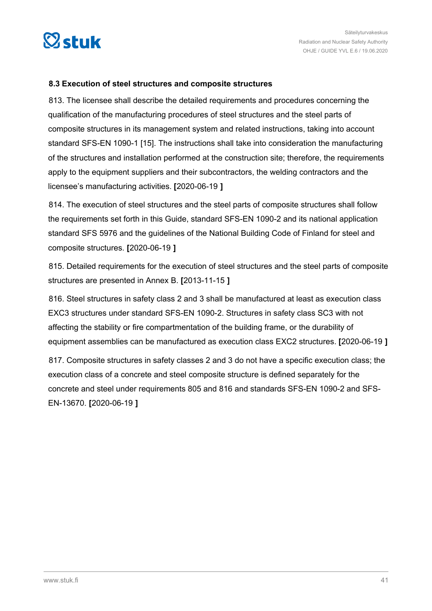

#### **8.3 Execution of steel structures and composite structures**

813. The licensee shall describe the detailed requirements and procedures concerning the qualification of the manufacturing procedures of steel structures and the steel parts of composite structures in its management system and related instructions, taking into account standard SFS-EN 1090-1 [15]. The instructions shall take into consideration the manufacturing of the structures and installation performed at the construction site; therefore, the requirements apply to the equipment suppliers and their subcontractors, the welding contractors and the licensee's manufacturing activities. **[**2020-06-19 **]**

814. The execution of steel structures and the steel parts of composite structures shall follow the requirements set forth in this Guide, standard SFS-EN 1090-2 and its national application standard SFS 5976 and the guidelines of the National Building Code of Finland for steel and composite structures. **[**2020-06-19 **]**

815. Detailed requirements for the execution of steel structures and the steel parts of composite structures are presented in Annex B. **[**2013-11-15 **]**

816. Steel structures in safety class 2 and 3 shall be manufactured at least as execution class EXC3 structures under standard SFS-EN 1090-2. Structures in safety class SC3 with not affecting the stability or fire compartmentation of the building frame, or the durability of equipment assemblies can be manufactured as execution class EXC2 structures. **[**2020-06-19 **]**

817. Composite structures in safety classes 2 and 3 do not have a specific execution class; the execution class of a concrete and steel composite structure is defined separately for the concrete and steel under requirements 805 and 816 and standards SFS-EN 1090-2 and SFS-EN-13670. **[**2020-06-19 **]**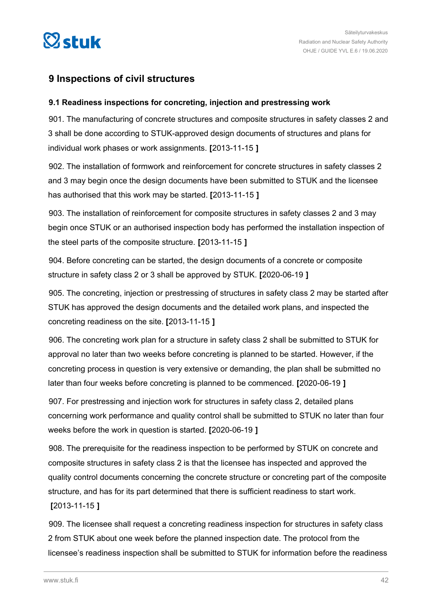

### **9 Inspections of civil structures**

#### **9.1 Readiness inspections for concreting, injection and prestressing work**

901. The manufacturing of concrete structures and composite structures in safety classes 2 and 3 shall be done according to STUK-approved design documents of structures and plans for individual work phases or work assignments. **[**2013-11-15 **]**

902. The installation of formwork and reinforcement for concrete structures in safety classes 2 and 3 may begin once the design documents have been submitted to STUK and the licensee has authorised that this work may be started. **[**2013-11-15 **]**

903. The installation of reinforcement for composite structures in safety classes 2 and 3 may begin once STUK or an authorised inspection body has performed the installation inspection of the steel parts of the composite structure. **[**2013-11-15 **]**

904. Before concreting can be started, the design documents of a concrete or composite structure in safety class 2 or 3 shall be approved by STUK. **[**2020-06-19 **]**

905. The concreting, injection or prestressing of structures in safety class 2 may be started after STUK has approved the design documents and the detailed work plans, and inspected the concreting readiness on the site. **[**2013-11-15 **]**

906. The concreting work plan for a structure in safety class 2 shall be submitted to STUK for approval no later than two weeks before concreting is planned to be started. However, if the concreting process in question is very extensive or demanding, the plan shall be submitted no later than four weeks before concreting is planned to be commenced. **[**2020-06-19 **]**

907. For prestressing and injection work for structures in safety class 2, detailed plans concerning work performance and quality control shall be submitted to STUK no later than four weeks before the work in question is started. **[**2020-06-19 **]**

908. The prerequisite for the readiness inspection to be performed by STUK on concrete and composite structures in safety class 2 is that the licensee has inspected and approved the quality control documents concerning the concrete structure or concreting part of the composite structure, and has for its part determined that there is sufficient readiness to start work.

**[**2013-11-15 **]**

909. The licensee shall request a concreting readiness inspection for structures in safety class 2 from STUK about one week before the planned inspection date. The protocol from the licensee's readiness inspection shall be submitted to STUK for information before the readiness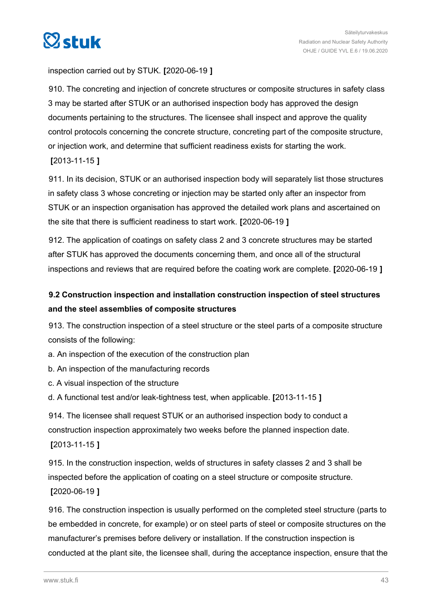

#### inspection carried out by STUK. **[**2020-06-19 **]**

910. The concreting and injection of concrete structures or composite structures in safety class 3 may be started after STUK or an authorised inspection body has approved the design documents pertaining to the structures. The licensee shall inspect and approve the quality control protocols concerning the concrete structure, concreting part of the composite structure, or injection work, and determine that sufficient readiness exists for starting the work. **[**2013-11-15 **]**

911. In its decision, STUK or an authorised inspection body will separately list those structures in safety class 3 whose concreting or injection may be started only after an inspector from STUK or an inspection organisation has approved the detailed work plans and ascertained on the site that there is sufficient readiness to start work. **[**2020-06-19 **]**

912. The application of coatings on safety class 2 and 3 concrete structures may be started after STUK has approved the documents concerning them, and once all of the structural inspections and reviews that are required before the coating work are complete. **[**2020-06-19 **]**

### **9.2 Construction inspection and installation construction inspection of steel structures and the steel assemblies of composite structures**

913. The construction inspection of a steel structure or the steel parts of a composite structure consists of the following:

a. An inspection of the execution of the construction plan

- b. An inspection of the manufacturing records
- c. A visual inspection of the structure

d. A functional test and/or leak-tightness test, when applicable. **[**2013-11-15 **]**

914. The licensee shall request STUK or an authorised inspection body to conduct a construction inspection approximately two weeks before the planned inspection date. **[**2013-11-15 **]**

915. In the construction inspection, welds of structures in safety classes 2 and 3 shall be inspected before the application of coating on a steel structure or composite structure. **[**2020-06-19 **]**

916. The construction inspection is usually performed on the completed steel structure (parts to be embedded in concrete, for example) or on steel parts of steel or composite structures on the manufacturer's premises before delivery or installation. If the construction inspection is conducted at the plant site, the licensee shall, during the acceptance inspection, ensure that the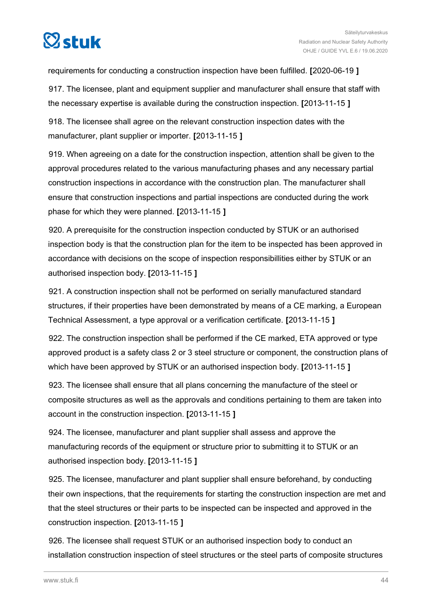

requirements for conducting a construction inspection have been fulfilled. **[**2020-06-19 **]**

917. The licensee, plant and equipment supplier and manufacturer shall ensure that staff with the necessary expertise is available during the construction inspection. **[**2013-11-15 **]**

918. The licensee shall agree on the relevant construction inspection dates with the manufacturer, plant supplier or importer. **[**2013-11-15 **]**

919. When agreeing on a date for the construction inspection, attention shall be given to the approval procedures related to the various manufacturing phases and any necessary partial construction inspections in accordance with the construction plan. The manufacturer shall ensure that construction inspections and partial inspections are conducted during the work phase for which they were planned. **[**2013-11-15 **]**

920. A prerequisite for the construction inspection conducted by STUK or an authorised inspection body is that the construction plan for the item to be inspected has been approved in accordance with decisions on the scope of inspection responsibillities either by STUK or an authorised inspection body. **[**2013-11-15 **]**

921. A construction inspection shall not be performed on serially manufactured standard structures, if their properties have been demonstrated by means of a CE marking, a European Technical Assessment, a type approval or a verification certificate. **[**2013-11-15 **]**

922. The construction inspection shall be performed if the CE marked, ETA approved or type approved product is a safety class 2 or 3 steel structure or component, the construction plans of which have been approved by STUK or an authorised inspection body. **[**2013-11-15 **]**

923. The licensee shall ensure that all plans concerning the manufacture of the steel or composite structures as well as the approvals and conditions pertaining to them are taken into account in the construction inspection. **[**2013-11-15 **]**

924. The licensee, manufacturer and plant supplier shall assess and approve the manufacturing records of the equipment or structure prior to submitting it to STUK or an authorised inspection body. **[**2013-11-15 **]**

925. The licensee, manufacturer and plant supplier shall ensure beforehand, by conducting their own inspections, that the requirements for starting the construction inspection are met and that the steel structures or their parts to be inspected can be inspected and approved in the construction inspection. **[**2013-11-15 **]**

926. The licensee shall request STUK or an authorised inspection body to conduct an installation construction inspection of steel structures or the steel parts of composite structures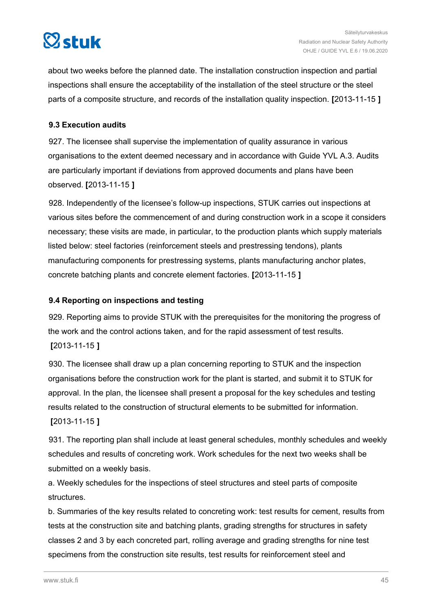# $\heartsuit$ stuk

about two weeks before the planned date. The installation construction inspection and partial inspections shall ensure the acceptability of the installation of the steel structure or the steel parts of a composite structure, and records of the installation quality inspection. **[**2013-11-15 **]**

#### **9.3 Execution audits**

927. The licensee shall supervise the implementation of quality assurance in various organisations to the extent deemed necessary and in accordance with Guide YVL A.3. Audits are particularly important if deviations from approved documents and plans have been observed. **[**2013-11-15 **]**

928. Independently of the licensee's follow-up inspections, STUK carries out inspections at various sites before the commencement of and during construction work in a scope it considers necessary; these visits are made, in particular, to the production plants which supply materials listed below: steel factories (reinforcement steels and prestressing tendons), plants manufacturing components for prestressing systems, plants manufacturing anchor plates, concrete batching plants and concrete element factories. **[**2013-11-15 **]**

#### **9.4 Reporting on inspections and testing**

929. Reporting aims to provide STUK with the prerequisites for the monitoring the progress of the work and the control actions taken, and for the rapid assessment of test results. **[**2013-11-15 **]**

930. The licensee shall draw up a plan concerning reporting to STUK and the inspection organisations before the construction work for the plant is started, and submit it to STUK for approval. In the plan, the licensee shall present a proposal for the key schedules and testing results related to the construction of structural elements to be submitted for information. **[**2013-11-15 **]**

931. The reporting plan shall include at least general schedules, monthly schedules and weekly schedules and results of concreting work. Work schedules for the next two weeks shall be submitted on a weekly basis.

a. Weekly schedules for the inspections of steel structures and steel parts of composite structures.

b. Summaries of the key results related to concreting work: test results for cement, results from tests at the construction site and batching plants, grading strengths for structures in safety classes 2 and 3 by each concreted part, rolling average and grading strengths for nine test specimens from the construction site results, test results for reinforcement steel and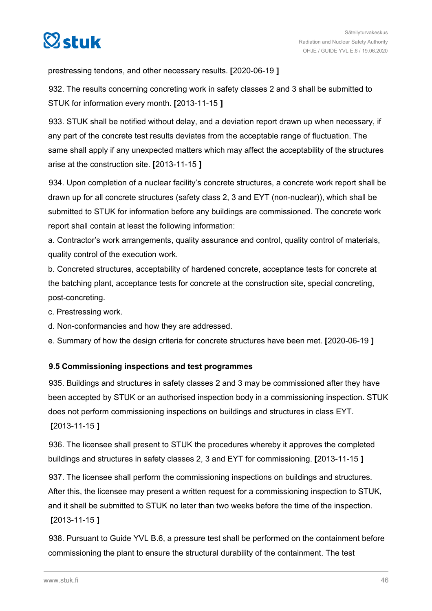

prestressing tendons, and other necessary results. **[**2020-06-19 **]**

932. The results concerning concreting work in safety classes 2 and 3 shall be submitted to STUK for information every month. **[**2013-11-15 **]**

933. STUK shall be notified without delay, and a deviation report drawn up when necessary, if any part of the concrete test results deviates from the acceptable range of fluctuation. The same shall apply if any unexpected matters which may affect the acceptability of the structures arise at the construction site. **[**2013-11-15 **]**

934. Upon completion of a nuclear facility's concrete structures, a concrete work report shall be drawn up for all concrete structures (safety class 2, 3 and EYT (non-nuclear)), which shall be submitted to STUK for information before any buildings are commissioned. The concrete work report shall contain at least the following information:

a. Contractor's work arrangements, quality assurance and control, quality control of materials, quality control of the execution work.

b. Concreted structures, acceptability of hardened concrete, acceptance tests for concrete at the batching plant, acceptance tests for concrete at the construction site, special concreting, post-concreting.

c. Prestressing work.

d. Non-conformancies and how they are addressed.

e. Summary of how the design criteria for concrete structures have been met. **[**2020-06-19 **]**

#### **9.5 Commissioning inspections and test programmes**

935. Buildings and structures in safety classes 2 and 3 may be commissioned after they have been accepted by STUK or an authorised inspection body in a commissioning inspection. STUK does not perform commissioning inspections on buildings and structures in class EYT. **[**2013-11-15 **]**

936. The licensee shall present to STUK the procedures whereby it approves the completed buildings and structures in safety classes 2, 3 and EYT for commissioning. **[**2013-11-15 **]**

937. The licensee shall perform the commissioning inspections on buildings and structures. After this, the licensee may present a written request for a commissioning inspection to STUK, and it shall be submitted to STUK no later than two weeks before the time of the inspection. **[**2013-11-15 **]**

938. Pursuant to Guide YVL B.6, a pressure test shall be performed on the containment before commissioning the plant to ensure the structural durability of the containment. The test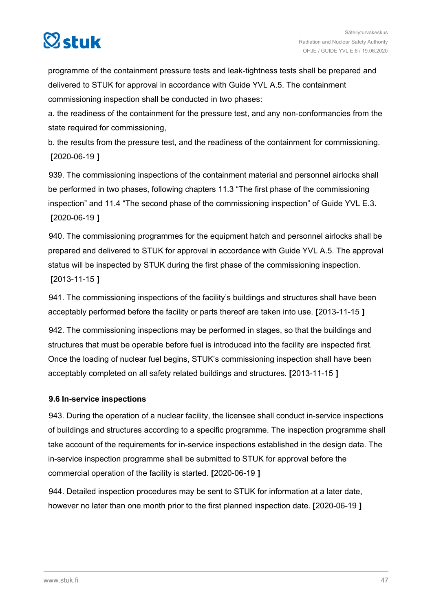

programme of the containment pressure tests and leak-tightness tests shall be prepared and delivered to STUK for approval in accordance with Guide YVL A.5. The containment commissioning inspection shall be conducted in two phases:

a. the readiness of the containment for the pressure test, and any non-conformancies from the state required for commissioning,

b. the results from the pressure test, and the readiness of the containment for commissioning. **[**2020-06-19 **]**

939. The commissioning inspections of the containment material and personnel airlocks shall be performed in two phases, following chapters 11.3 "The first phase of the commissioning inspection" and 11.4 "The second phase of the commissioning inspection" of Guide YVL E.3. **[**2020-06-19 **]**

940. The commissioning programmes for the equipment hatch and personnel airlocks shall be prepared and delivered to STUK for approval in accordance with Guide YVL A.5. The approval status will be inspected by STUK during the first phase of the commissioning inspection. **[**2013-11-15 **]**

941. The commissioning inspections of the facility's buildings and structures shall have been acceptably performed before the facility or parts thereof are taken into use. **[**2013-11-15 **]**

942. The commissioning inspections may be performed in stages, so that the buildings and structures that must be operable before fuel is introduced into the facility are inspected first. Once the loading of nuclear fuel begins, STUK's commissioning inspection shall have been acceptably completed on all safety related buildings and structures. **[**2013-11-15 **]**

#### **9.6 In-service inspections**

943. During the operation of a nuclear facility, the licensee shall conduct in-service inspections of buildings and structures according to a specific programme. The inspection programme shall take account of the requirements for in-service inspections established in the design data. The in-service inspection programme shall be submitted to STUK for approval before the commercial operation of the facility is started. **[**2020-06-19 **]**

944. Detailed inspection procedures may be sent to STUK for information at a later date, however no later than one month prior to the first planned inspection date. **[**2020-06-19 **]**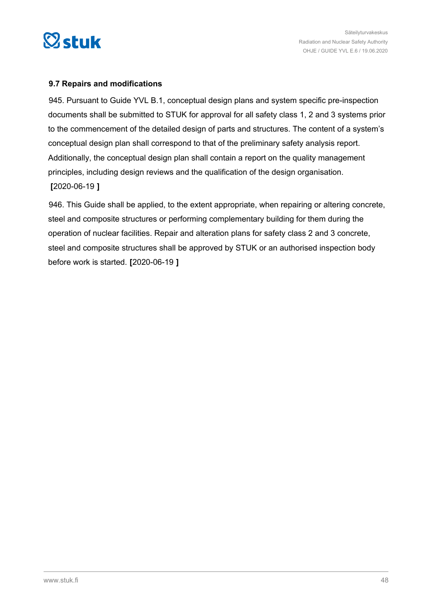

#### **9.7 Repairs and modifications**

945. Pursuant to Guide YVL B.1, conceptual design plans and system specific pre-inspection documents shall be submitted to STUK for approval for all safety class 1, 2 and 3 systems prior to the commencement of the detailed design of parts and structures. The content of a system's conceptual design plan shall correspond to that of the preliminary safety analysis report. Additionally, the conceptual design plan shall contain a report on the quality management principles, including design reviews and the qualification of the design organisation. **[**2020-06-19 **]**

946. This Guide shall be applied, to the extent appropriate, when repairing or altering concrete, steel and composite structures or performing complementary building for them during the operation of nuclear facilities. Repair and alteration plans for safety class 2 and 3 concrete, steel and composite structures shall be approved by STUK or an authorised inspection body before work is started. **[**2020-06-19 **]**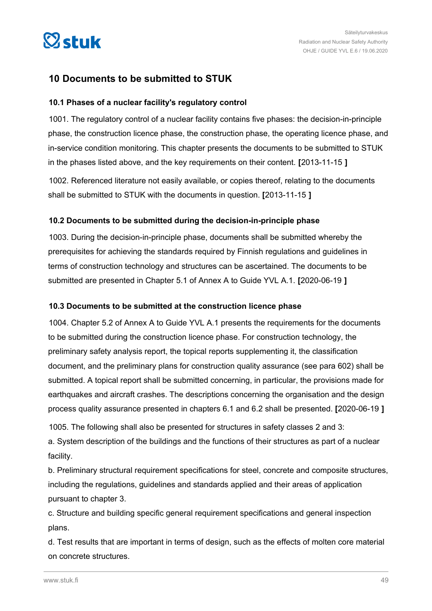

### **10 Documents to be submitted to STUK**

#### **10.1 Phases of a nuclear facility's regulatory control**

1001. The regulatory control of a nuclear facility contains five phases: the decision-in-principle phase, the construction licence phase, the construction phase, the operating licence phase, and in-service condition monitoring. This chapter presents the documents to be submitted to STUK in the phases listed above, and the key requirements on their content. **[**2013-11-15 **]**

1002. Referenced literature not easily available, or copies thereof, relating to the documents shall be submitted to STUK with the documents in question. **[**2013-11-15 **]**

#### **10.2 Documents to be submitted during the decision-in-principle phase**

1003. During the decision-in-principle phase, documents shall be submitted whereby the prerequisites for achieving the standards required by Finnish regulations and guidelines in terms of construction technology and structures can be ascertained. The documents to be submitted are presented in Chapter 5.1 of Annex A to Guide YVL A.1. **[**2020-06-19 **]**

#### **10.3 Documents to be submitted at the construction licence phase**

1004. Chapter 5.2 of Annex A to Guide YVL A.1 presents the requirements for the documents to be submitted during the construction licence phase. For construction technology, the preliminary safety analysis report, the topical reports supplementing it, the classification document, and the preliminary plans for construction quality assurance (see para 602) shall be submitted. A topical report shall be submitted concerning, in particular, the provisions made for earthquakes and aircraft crashes. The descriptions concerning the organisation and the design process quality assurance presented in chapters 6.1 and 6.2 shall be presented. **[**2020-06-19 **]**

1005. The following shall also be presented for structures in safety classes 2 and 3:

a. System description of the buildings and the functions of their structures as part of a nuclear facility.

b. Preliminary structural requirement specifications for steel, concrete and composite structures, including the regulations, guidelines and standards applied and their areas of application pursuant to chapter 3.

c. Structure and building specific general requirement specifications and general inspection plans.

d. Test results that are important in terms of design, such as the effects of molten core material on concrete structures.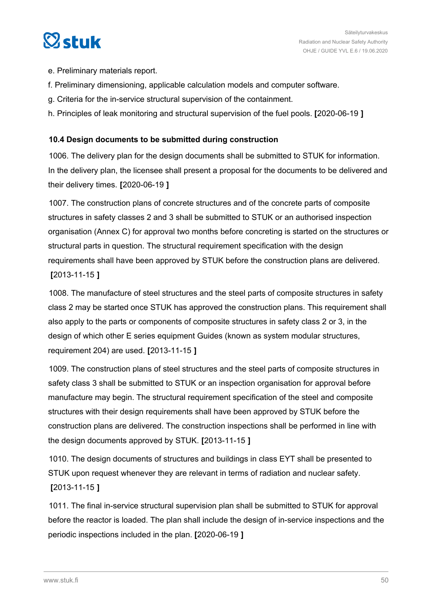

- e. Preliminary materials report.
- f. Preliminary dimensioning, applicable calculation models and computer software.
- g. Criteria for the in-service structural supervision of the containment.
- h. Principles of leak monitoring and structural supervision of the fuel pools. **[**2020-06-19 **]**

#### **10.4 Design documents to be submitted during construction**

1006. The delivery plan for the design documents shall be submitted to STUK for information. In the delivery plan, the licensee shall present a proposal for the documents to be delivered and their delivery times. **[**2020-06-19 **]**

1007. The construction plans of concrete structures and of the concrete parts of composite structures in safety classes 2 and 3 shall be submitted to STUK or an authorised inspection organisation (Annex C) for approval two months before concreting is started on the structures or structural parts in question. The structural requirement specification with the design requirements shall have been approved by STUK before the construction plans are delivered. **[**2013-11-15 **]**

1008. The manufacture of steel structures and the steel parts of composite structures in safety class 2 may be started once STUK has approved the construction plans. This requirement shall also apply to the parts or components of composite structures in safety class 2 or 3, in the design of which other E series equipment Guides (known as system modular structures, requirement 204) are used. **[**2013-11-15 **]**

1009. The construction plans of steel structures and the steel parts of composite structures in safety class 3 shall be submitted to STUK or an inspection organisation for approval before manufacture may begin. The structural requirement specification of the steel and composite structures with their design requirements shall have been approved by STUK before the construction plans are delivered. The construction inspections shall be performed in line with the design documents approved by STUK. **[**2013-11-15 **]**

1010. The design documents of structures and buildings in class EYT shall be presented to STUK upon request whenever they are relevant in terms of radiation and nuclear safety. **[**2013-11-15 **]**

1011. The final in-service structural supervision plan shall be submitted to STUK for approval before the reactor is loaded. The plan shall include the design of in-service inspections and the periodic inspections included in the plan. **[**2020-06-19 **]**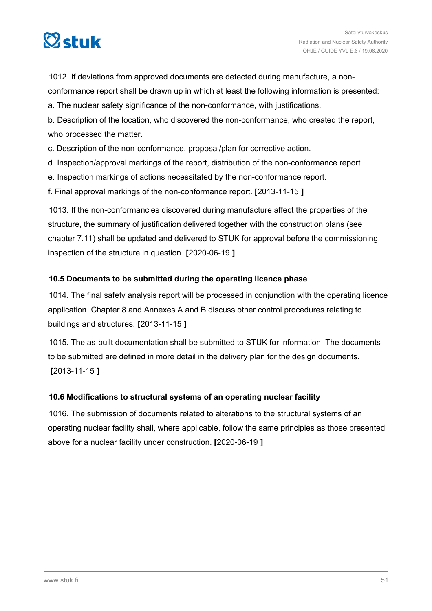

1012. If deviations from approved documents are detected during manufacture, a nonconformance report shall be drawn up in which at least the following information is presented:

a. The nuclear safety significance of the non-conformance, with justifications.

b. Description of the location, who discovered the non-conformance, who created the report, who processed the matter.

c. Description of the non-conformance, proposal/plan for corrective action.

d. Inspection/approval markings of the report, distribution of the non-conformance report.

e. Inspection markings of actions necessitated by the non-conformance report.

f. Final approval markings of the non-conformance report. **[**2013-11-15 **]**

1013. If the non-conformancies discovered during manufacture affect the properties of the structure, the summary of justification delivered together with the construction plans (see chapter 7.11) shall be updated and delivered to STUK for approval before the commissioning inspection of the structure in question. **[**2020-06-19 **]**

#### **10.5 Documents to be submitted during the operating licence phase**

1014. The final safety analysis report will be processed in conjunction with the operating licence application. Chapter 8 and Annexes A and B discuss other control procedures relating to buildings and structures. **[**2013-11-15 **]**

1015. The as-built documentation shall be submitted to STUK for information. The documents to be submitted are defined in more detail in the delivery plan for the design documents. **[**2013-11-15 **]**

#### **10.6 Modifications to structural systems of an operating nuclear facility**

1016. The submission of documents related to alterations to the structural systems of an operating nuclear facility shall, where applicable, follow the same principles as those presented above for a nuclear facility under construction. **[**2020-06-19 **]**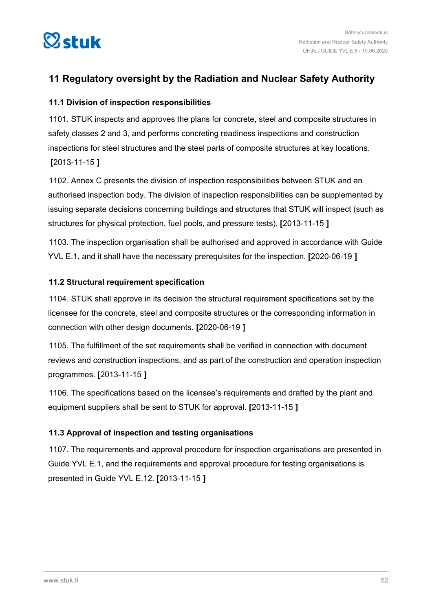

### **11 Regulatory oversight by the Radiation and Nuclear Safety Authority**

#### **11.1 Division of inspection responsibilities**

1101. STUK inspects and approves the plans for concrete, steel and composite structures in safety classes 2 and 3, and performs concreting readiness inspections and construction inspections for steel structures and the steel parts of composite structures at key locations. **[**2013-11-15 **]**

1102. Annex C presents the division of inspection responsibilities between STUK and an authorised inspection body. The division of inspection responsibilities can be supplemented by issuing separate decisions concerning buildings and structures that STUK will inspect (such as structures for physical protection, fuel pools, and pressure tests). **[**2013-11-15 **]**

1103. The inspection organisation shall be authorised and approved in accordance with Guide YVL E.1, and it shall have the necessary prerequisites for the inspection. **[**2020-06-19 **]**

#### **11.2 Structural requirement specification**

1104. STUK shall approve in its decision the structural requirement specifications set by the licensee for the concrete, steel and composite structures or the corresponding information in connection with other design documents. **[**2020-06-19 **]**

1105. The fulfillment of the set requirements shall be verified in connection with document reviews and construction inspections, and as part of the construction and operation inspection programmes. **[**2013-11-15 **]**

1106. The specifications based on the licensee's requirements and drafted by the plant and equipment suppliers shall be sent to STUK for approval. **[**2013-11-15 **]**

#### **11.3 Approval of inspection and testing organisations**

1107. The requirements and approval procedure for inspection organisations are presented in Guide YVL E.1, and the requirements and approval procedure for testing organisations is presented in Guide YVL E.12. **[**2013-11-15 **]**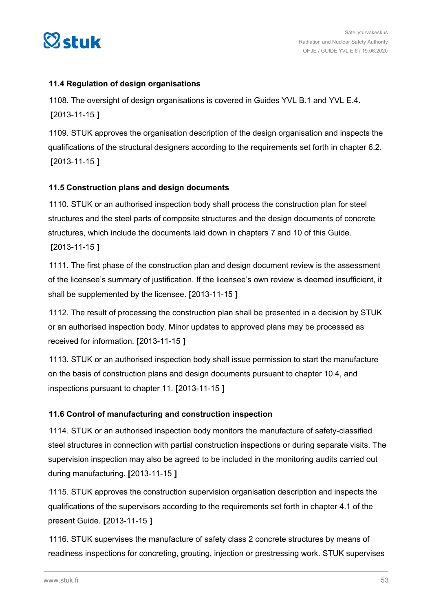

#### **11.4 Regulation of design organisations**

1108. The oversight of design organisations is covered in Guides YVL B.1 and YVL E.4. **[**2013-11-15 **]**

1109. STUK approves the organisation description of the design organisation and inspects the qualifications of the structural designers according to the requirements set forth in chapter 6.2. **[**2013-11-15 **]**

#### **11.5 Construction plans and design documents**

1110. STUK or an authorised inspection body shall process the construction plan for steel structures and the steel parts of composite structures and the design documents of concrete structures, which include the documents laid down in chapters 7 and 10 of this Guide. **[**2013-11-15 **]**

1111. The first phase of the construction plan and design document review is the assessment of the licensee's summary of justification. If the licensee's own review is deemed insufficient, it shall be supplemented by the licensee. **[**2013-11-15 **]**

1112. The result of processing the construction plan shall be presented in a decision by STUK or an authorised inspection body. Minor updates to approved plans may be processed as received for information. **[**2013-11-15 **]**

1113. STUK or an authorised inspection body shall issue permission to start the manufacture on the basis of construction plans and design documents pursuant to chapter 10.4, and inspections pursuant to chapter 11. **[**2013-11-15 **]**

#### **11.6 Control of manufacturing and construction inspection**

1114. STUK or an authorised inspection body monitors the manufacture of safety-classified steel structures in connection with partial construction inspections or during separate visits. The supervision inspection may also be agreed to be included in the monitoring audits carried out during manufacturing. **[**2013-11-15 **]**

1115. STUK approves the construction supervision organisation description and inspects the qualifications of the supervisors according to the requirements set forth in chapter 4.1 of the present Guide. **[**2013-11-15 **]**

1116. STUK supervises the manufacture of safety class 2 concrete structures by means of readiness inspections for concreting, grouting, injection or prestressing work. STUK supervises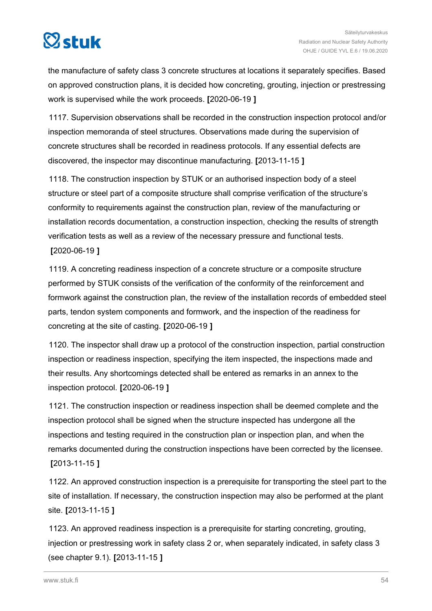

the manufacture of safety class 3 concrete structures at locations it separately specifies. Based on approved construction plans, it is decided how concreting, grouting, injection or prestressing work is supervised while the work proceeds. **[**2020-06-19 **]**

1117. Supervision observations shall be recorded in the construction inspection protocol and/or inspection memoranda of steel structures. Observations made during the supervision of concrete structures shall be recorded in readiness protocols. If any essential defects are discovered, the inspector may discontinue manufacturing. **[**2013-11-15 **]**

1118. The construction inspection by STUK or an authorised inspection body of a steel structure or steel part of a composite structure shall comprise verification of the structure's conformity to requirements against the construction plan, review of the manufacturing or installation records documentation, a construction inspection, checking the results of strength verification tests as well as a review of the necessary pressure and functional tests.

#### **[**2020-06-19 **]**

1119. A concreting readiness inspection of a concrete structure or a composite structure performed by STUK consists of the verification of the conformity of the reinforcement and formwork against the construction plan, the review of the installation records of embedded steel parts, tendon system components and formwork, and the inspection of the readiness for concreting at the site of casting. **[**2020-06-19 **]**

1120. The inspector shall draw up a protocol of the construction inspection, partial construction inspection or readiness inspection, specifying the item inspected, the inspections made and their results. Any shortcomings detected shall be entered as remarks in an annex to the inspection protocol. **[**2020-06-19 **]**

1121. The construction inspection or readiness inspection shall be deemed complete and the inspection protocol shall be signed when the structure inspected has undergone all the inspections and testing required in the construction plan or inspection plan, and when the remarks documented during the construction inspections have been corrected by the licensee. **[**2013-11-15 **]**

1122. An approved construction inspection is a prerequisite for transporting the steel part to the site of installation. If necessary, the construction inspection may also be performed at the plant site. **[**2013-11-15 **]**

1123. An approved readiness inspection is a prerequisite for starting concreting, grouting, injection or prestressing work in safety class 2 or, when separately indicated, in safety class 3 (see chapter 9.1). **[**2013-11-15 **]**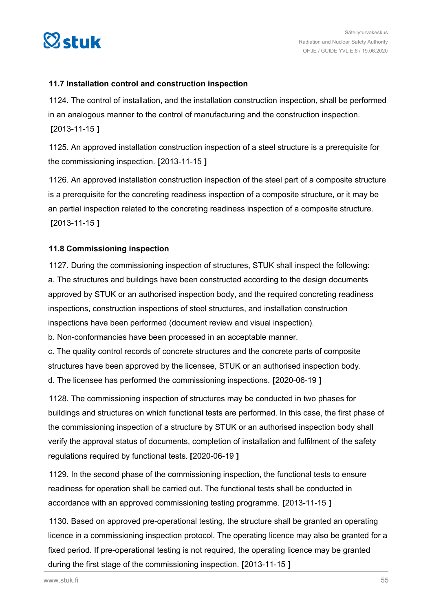

#### **11.7 Installation control and construction inspection**

1124. The control of installation, and the installation construction inspection, shall be performed in an analogous manner to the control of manufacturing and the construction inspection. **[**2013-11-15 **]**

1125. An approved installation construction inspection of a steel structure is a prerequisite for the commissioning inspection. **[**2013-11-15 **]**

1126. An approved installation construction inspection of the steel part of a composite structure is a prerequisite for the concreting readiness inspection of a composite structure, or it may be an partial inspection related to the concreting readiness inspection of a composite structure. **[**2013-11-15 **]**

#### **11.8 Commissioning inspection**

1127. During the commissioning inspection of structures, STUK shall inspect the following: a. The structures and buildings have been constructed according to the design documents approved by STUK or an authorised inspection body, and the required concreting readiness inspections, construction inspections of steel structures, and installation construction inspections have been performed (document review and visual inspection).

b. Non-conformancies have been processed in an acceptable manner.

c. The quality control records of concrete structures and the concrete parts of composite structures have been approved by the licensee, STUK or an authorised inspection body. d. The licensee has performed the commissioning inspections. **[**2020-06-19 **]**

1128. The commissioning inspection of structures may be conducted in two phases for buildings and structures on which functional tests are performed. In this case, the first phase of the commissioning inspection of a structure by STUK or an authorised inspection body shall verify the approval status of documents, completion of installation and fulfilment of the safety regulations required by functional tests. **[**2020-06-19 **]**

1129. In the second phase of the commissioning inspection, the functional tests to ensure readiness for operation shall be carried out. The functional tests shall be conducted in accordance with an approved commissioning testing programme. **[**2013-11-15 **]**

1130. Based on approved pre-operational testing, the structure shall be granted an operating licence in a commissioning inspection protocol. The operating licence may also be granted for a fixed period. If pre-operational testing is not required, the operating licence may be granted during the first stage of the commissioning inspection. **[**2013-11-15 **]**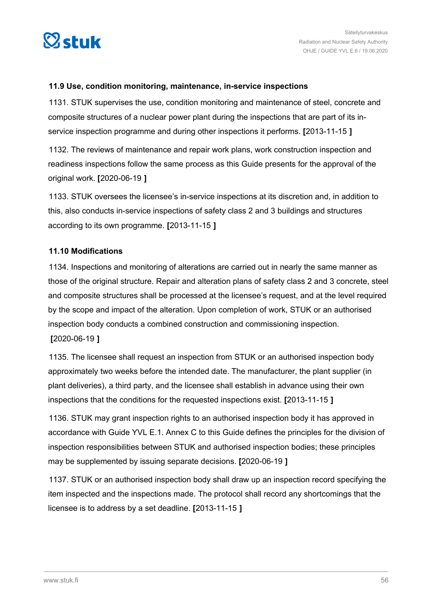

#### **11.9 Use, condition monitoring, maintenance, in-service inspections**

1131. STUK supervises the use, condition monitoring and maintenance of steel, concrete and composite structures of a nuclear power plant during the inspections that are part of its inservice inspection programme and during other inspections it performs. **[**2013-11-15 **]**

1132. The reviews of maintenance and repair work plans, work construction inspection and readiness inspections follow the same process as this Guide presents for the approval of the original work. **[**2020-06-19 **]**

1133. STUK oversees the licensee's in-service inspections at its discretion and, in addition to this, also conducts in-service inspections of safety class 2 and 3 buildings and structures according to its own programme. **[**2013-11-15 **]**

#### **11.10 Modifications**

1134. Inspections and monitoring of alterations are carried out in nearly the same manner as those of the original structure. Repair and alteration plans of safety class 2 and 3 concrete, steel and composite structures shall be processed at the licensee's request, and at the level required by the scope and impact of the alteration. Upon completion of work, STUK or an authorised inspection body conducts a combined construction and commissioning inspection. **[**2020-06-19 **]**

1135. The licensee shall request an inspection from STUK or an authorised inspection body approximately two weeks before the intended date. The manufacturer, the plant supplier (in plant deliveries), a third party, and the licensee shall establish in advance using their own inspections that the conditions for the requested inspections exist. **[**2013-11-15 **]**

1136. STUK may grant inspection rights to an authorised inspection body it has approved in accordance with Guide YVL E.1. Annex C to this Guide defines the principles for the division of inspection responsibilities between STUK and authorised inspection bodies; these principles may be supplemented by issuing separate decisions. **[**2020-06-19 **]**

1137. STUK or an authorised inspection body shall draw up an inspection record specifying the item inspected and the inspections made. The protocol shall record any shortcomings that the licensee is to address by a set deadline. **[**2013-11-15 **]**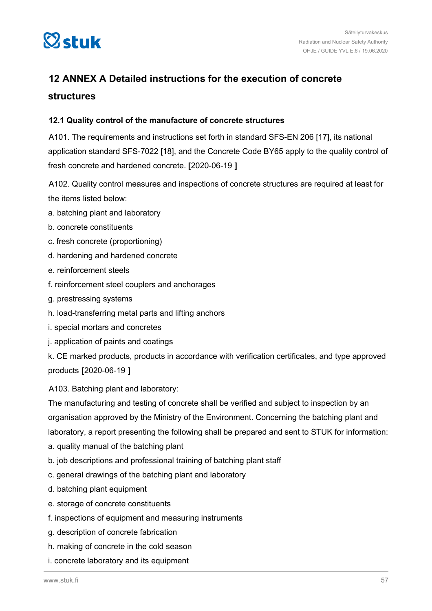

## **12 ANNEX A Detailed instructions for the execution of concrete structures**

#### **12.1 Quality control of the manufacture of concrete structures**

A101. The requirements and instructions set forth in standard SFS-EN 206 [17], its national application standard SFS-7022 [18], and the Concrete Code BY65 apply to the quality control of fresh concrete and hardened concrete. **[**2020-06-19 **]**

A102. Quality control measures and inspections of concrete structures are required at least for the items listed below:

- a. batching plant and laboratory
- b. concrete constituents
- c. fresh concrete (proportioning)
- d. hardening and hardened concrete
- e. reinforcement steels
- f. reinforcement steel couplers and anchorages
- g. prestressing systems
- h. load-transferring metal parts and lifting anchors
- i. special mortars and concretes
- j. application of paints and coatings

k. CE marked products, products in accordance with verification certificates, and type approved products **[**2020-06-19 **]**

A103. Batching plant and laboratory:

The manufacturing and testing of concrete shall be verified and subject to inspection by an organisation approved by the Ministry of the Environment. Concerning the batching plant and laboratory, a report presenting the following shall be prepared and sent to STUK for information:

- a. quality manual of the batching plant
- b. job descriptions and professional training of batching plant staff
- c. general drawings of the batching plant and laboratory
- d. batching plant equipment
- e. storage of concrete constituents
- f. inspections of equipment and measuring instruments
- g. description of concrete fabrication
- h. making of concrete in the cold season
- i. concrete laboratory and its equipment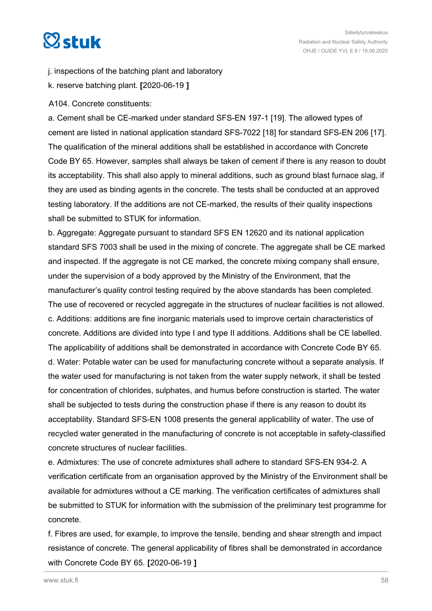# $\heartsuit$ stuk

- j. inspections of the batching plant and laboratory
- k. reserve batching plant. **[**2020-06-19 **]**
- A104. Concrete constituents:

a. Cement shall be CE-marked under standard SFS-EN 197-1 [19]. The allowed types of cement are listed in national application standard SFS-7022 [18] for standard SFS-EN 206 [17]. The qualification of the mineral additions shall be established in accordance with Concrete Code BY 65. However, samples shall always be taken of cement if there is any reason to doubt its acceptability. This shall also apply to mineral additions, such as ground blast furnace slag, if they are used as binding agents in the concrete. The tests shall be conducted at an approved testing laboratory. If the additions are not CE-marked, the results of their quality inspections shall be submitted to STUK for information.

b. Aggregate: Aggregate pursuant to standard SFS EN 12620 and its national application standard SFS 7003 shall be used in the mixing of concrete. The aggregate shall be CE marked and inspected. If the aggregate is not CE marked, the concrete mixing company shall ensure, under the supervision of a body approved by the Ministry of the Environment, that the manufacturer's quality control testing required by the above standards has been completed. The use of recovered or recycled aggregate in the structures of nuclear facilities is not allowed. c. Additions: additions are fine inorganic materials used to improve certain characteristics of concrete. Additions are divided into type I and type II additions. Additions shall be CE labelled. The applicability of additions shall be demonstrated in accordance with Concrete Code BY 65. d. Water: Potable water can be used for manufacturing concrete without a separate analysis. If the water used for manufacturing is not taken from the water supply network, it shall be tested for concentration of chlorides, sulphates, and humus before construction is started. The water shall be subjected to tests during the construction phase if there is any reason to doubt its acceptability. Standard SFS-EN 1008 presents the general applicability of water. The use of recycled water generated in the manufacturing of concrete is not acceptable in safety-classified concrete structures of nuclear facilities.

e. Admixtures: The use of concrete admixtures shall adhere to standard SFS-EN 934-2. A verification certificate from an organisation approved by the Ministry of the Environment shall be available for admixtures without a CE marking. The verification certificates of admixtures shall be submitted to STUK for information with the submission of the preliminary test programme for concrete.

f. Fibres are used, for example, to improve the tensile, bending and shear strength and impact resistance of concrete. The general applicability of fibres shall be demonstrated in accordance with Concrete Code BY 65. **[**2020-06-19 **]**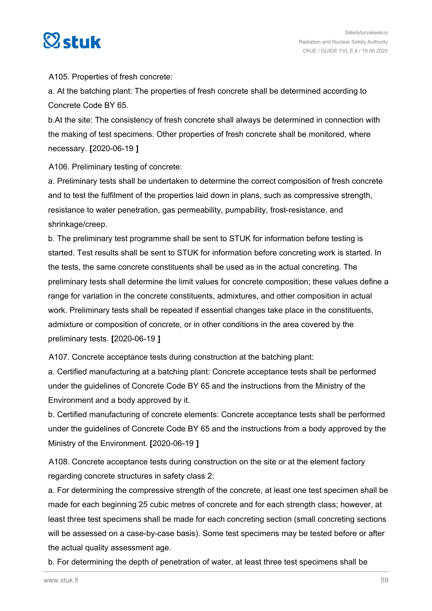

A105. Properties of fresh concrete:

a. At the batching plant: The properties of fresh concrete shall be determined according to Concrete Code BY 65.

b.At the site: The consistency of fresh concrete shall always be determined in connection with the making of test specimens. Other properties of fresh concrete shall be monitored, where necessary. **[**2020-06-19 **]**

A106. Preliminary testing of concrete:

a. Preliminary tests shall be undertaken to determine the correct composition of fresh concrete and to test the fulfilment of the properties laid down in plans, such as compressive strength, resistance to water penetration, gas permeability, pumpability, frost-resistance, and shrinkage/creep.

b. The preliminary test programme shall be sent to STUK for information before testing is started. Test results shall be sent to STUK for information before concreting work is started. In the tests, the same concrete constituents shall be used as in the actual concreting. The preliminary tests shall determine the limit values for concrete composition; these values define a range for variation in the concrete constituents, admixtures, and other composition in actual work. Preliminary tests shall be repeated if essential changes take place in the constituents, admixture or composition of concrete, or in other conditions in the area covered by the preliminary tests. **[**2020-06-19 **]**

A107. Concrete acceptance tests during construction at the batching plant:

a. Certified manufacturing at a batching plant: Concrete acceptance tests shall be performed under the guidelines of Concrete Code BY 65 and the instructions from the Ministry of the Environment and a body approved by it.

b. Certified manufacturing of concrete elements: Concrete acceptance tests shall be performed under the guidelines of Concrete Code BY 65 and the instructions from a body approved by the Ministry of the Environment. **[**2020-06-19 **]**

A108. Concrete acceptance tests during construction on the site or at the element factory regarding concrete structures in safety class 2:

a. For determining the compressive strength of the concrete, at least one test specimen shall be made for each beginning 25 cubic metres of concrete and for each strength class; however, at least three test specimens shall be made for each concreting section (small concreting sections will be assessed on a case-by-case basis). Some test specimens may be tested before or after the actual quality assessment age.

b. For determining the depth of penetration of water, at least three test specimens shall be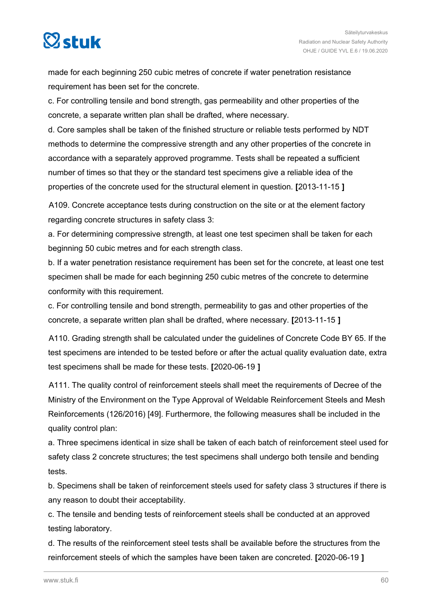

made for each beginning 250 cubic metres of concrete if water penetration resistance requirement has been set for the concrete.

c. For controlling tensile and bond strength, gas permeability and other properties of the concrete, a separate written plan shall be drafted, where necessary.

d. Core samples shall be taken of the finished structure or reliable tests performed by NDT methods to determine the compressive strength and any other properties of the concrete in accordance with a separately approved programme. Tests shall be repeated a sufficient number of times so that they or the standard test specimens give a reliable idea of the properties of the concrete used for the structural element in question. **[**2013-11-15 **]**

A109. Concrete acceptance tests during construction on the site or at the element factory regarding concrete structures in safety class 3:

a. For determining compressive strength, at least one test specimen shall be taken for each beginning 50 cubic metres and for each strength class.

b. If a water penetration resistance requirement has been set for the concrete, at least one test specimen shall be made for each beginning 250 cubic metres of the concrete to determine conformity with this requirement.

c. For controlling tensile and bond strength, permeability to gas and other properties of the concrete, a separate written plan shall be drafted, where necessary. **[**2013-11-15 **]**

A110. Grading strength shall be calculated under the guidelines of Concrete Code BY 65. If the test specimens are intended to be tested before or after the actual quality evaluation date, extra test specimens shall be made for these tests. **[**2020-06-19 **]**

A111. The quality control of reinforcement steels shall meet the requirements of Decree of the Ministry of the Environment on the Type Approval of Weldable Reinforcement Steels and Mesh Reinforcements (126/2016) [49]. Furthermore, the following measures shall be included in the quality control plan:

a. Three specimens identical in size shall be taken of each batch of reinforcement steel used for safety class 2 concrete structures; the test specimens shall undergo both tensile and bending tests.

b. Specimens shall be taken of reinforcement steels used for safety class 3 structures if there is any reason to doubt their acceptability.

c. The tensile and bending tests of reinforcement steels shall be conducted at an approved testing laboratory.

d. The results of the reinforcement steel tests shall be available before the structures from the reinforcement steels of which the samples have been taken are concreted. **[**2020-06-19 **]**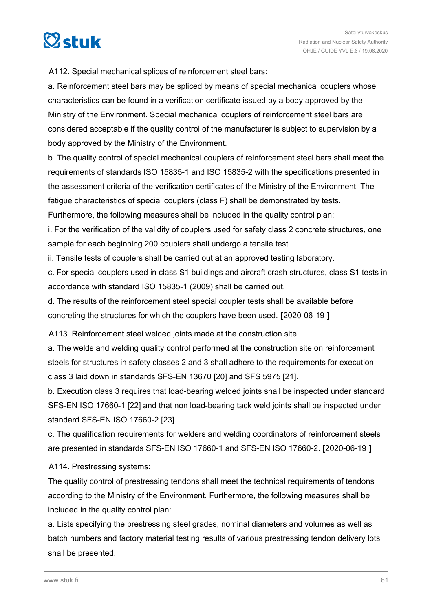

A112. Special mechanical splices of reinforcement steel bars:

a. Reinforcement steel bars may be spliced by means of special mechanical couplers whose characteristics can be found in a verification certificate issued by a body approved by the Ministry of the Environment. Special mechanical couplers of reinforcement steel bars are considered acceptable if the quality control of the manufacturer is subject to supervision by a body approved by the Ministry of the Environment.

b. The quality control of special mechanical couplers of reinforcement steel bars shall meet the requirements of standards ISO 15835-1 and ISO 15835-2 with the specifications presented in the assessment criteria of the verification certificates of the Ministry of the Environment. The fatigue characteristics of special couplers (class F) shall be demonstrated by tests.

Furthermore, the following measures shall be included in the quality control plan:

i. For the verification of the validity of couplers used for safety class 2 concrete structures, one sample for each beginning 200 couplers shall undergo a tensile test.

ii. Tensile tests of couplers shall be carried out at an approved testing laboratory.

c. For special couplers used in class S1 buildings and aircraft crash structures, class S1 tests in accordance with standard ISO 15835-1 (2009) shall be carried out.

d. The results of the reinforcement steel special coupler tests shall be available before concreting the structures for which the couplers have been used. **[**2020-06-19 **]**

A113. Reinforcement steel welded joints made at the construction site:

a. The welds and welding quality control performed at the construction site on reinforcement steels for structures in safety classes 2 and 3 shall adhere to the requirements for execution class 3 laid down in standards SFS-EN 13670 [20] and SFS 5975 [21].

b. Execution class 3 requires that load-bearing welded joints shall be inspected under standard SFS-EN ISO 17660-1 [22] and that non load-bearing tack weld joints shall be inspected under standard SFS-EN ISO 17660-2 [23].

c. The qualification requirements for welders and welding coordinators of reinforcement steels are presented in standards SFS-EN ISO 17660-1 and SFS-EN ISO 17660-2. **[**2020-06-19 **]**

A114. Prestressing systems:

The quality control of prestressing tendons shall meet the technical requirements of tendons according to the Ministry of the Environment. Furthermore, the following measures shall be included in the quality control plan:

a. Lists specifying the prestressing steel grades, nominal diameters and volumes as well as batch numbers and factory material testing results of various prestressing tendon delivery lots shall be presented.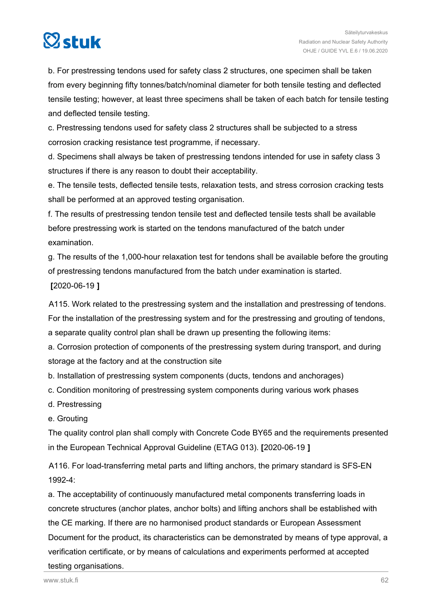# $\heartsuit$ stuk

b. For prestressing tendons used for safety class 2 structures, one specimen shall be taken from every beginning fifty tonnes/batch/nominal diameter for both tensile testing and deflected tensile testing; however, at least three specimens shall be taken of each batch for tensile testing and deflected tensile testing.

c. Prestressing tendons used for safety class 2 structures shall be subjected to a stress corrosion cracking resistance test programme, if necessary.

d. Specimens shall always be taken of prestressing tendons intended for use in safety class 3 structures if there is any reason to doubt their acceptability.

e. The tensile tests, deflected tensile tests, relaxation tests, and stress corrosion cracking tests shall be performed at an approved testing organisation.

f. The results of prestressing tendon tensile test and deflected tensile tests shall be available before prestressing work is started on the tendons manufactured of the batch under examination.

g. The results of the 1,000-hour relaxation test for tendons shall be available before the grouting of prestressing tendons manufactured from the batch under examination is started. **[**2020-06-19 **]**

A115. Work related to the prestressing system and the installation and prestressing of tendons. For the installation of the prestressing system and for the prestressing and grouting of tendons, a separate quality control plan shall be drawn up presenting the following items:

a. Corrosion protection of components of the prestressing system during transport, and during storage at the factory and at the construction site

b. Installation of prestressing system components (ducts, tendons and anchorages)

- c. Condition monitoring of prestressing system components during various work phases
- d. Prestressing
- e. Grouting

The quality control plan shall comply with Concrete Code BY65 and the requirements presented in the European Technical Approval Guideline (ETAG 013). **[**2020-06-19 **]**

A116. For load-transferring metal parts and lifting anchors, the primary standard is SFS-EN 1992-4:

a. The acceptability of continuously manufactured metal components transferring loads in concrete structures (anchor plates, anchor bolts) and lifting anchors shall be established with the CE marking. If there are no harmonised product standards or European Assessment Document for the product, its characteristics can be demonstrated by means of type approval, a verification certificate, or by means of calculations and experiments performed at accepted testing organisations.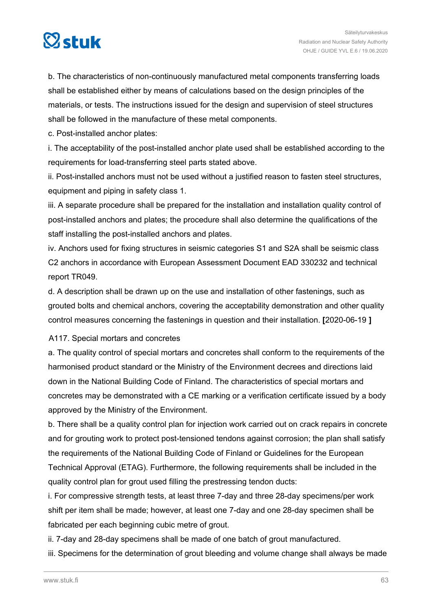

b. The characteristics of non-continuously manufactured metal components transferring loads shall be established either by means of calculations based on the design principles of the materials, or tests. The instructions issued for the design and supervision of steel structures shall be followed in the manufacture of these metal components.

c. Post-installed anchor plates:

i. The acceptability of the post-installed anchor plate used shall be established according to the requirements for load-transferring steel parts stated above.

ii. Post-installed anchors must not be used without a justified reason to fasten steel structures, equipment and piping in safety class 1.

iii. A separate procedure shall be prepared for the installation and installation quality control of post-installed anchors and plates; the procedure shall also determine the qualifications of the staff installing the post-installed anchors and plates.

iv. Anchors used for fixing structures in seismic categories S1 and S2A shall be seismic class C2 anchors in accordance with European Assessment Document EAD 330232 and technical report TR049.

d. A description shall be drawn up on the use and installation of other fastenings, such as grouted bolts and chemical anchors, covering the acceptability demonstration and other quality control measures concerning the fastenings in question and their installation. **[**2020-06-19 **]**

A117. Special mortars and concretes

a. The quality control of special mortars and concretes shall conform to the requirements of the harmonised product standard or the Ministry of the Environment decrees and directions laid down in the National Building Code of Finland. The characteristics of special mortars and concretes may be demonstrated with a CE marking or a verification certificate issued by a body approved by the Ministry of the Environment.

b. There shall be a quality control plan for injection work carried out on crack repairs in concrete and for grouting work to protect post-tensioned tendons against corrosion; the plan shall satisfy the requirements of the National Building Code of Finland or Guidelines for the European Technical Approval (ETAG). Furthermore, the following requirements shall be included in the quality control plan for grout used filling the prestressing tendon ducts:

i. For compressive strength tests, at least three 7-day and three 28-day specimens/per work shift per item shall be made; however, at least one 7-day and one 28-day specimen shall be fabricated per each beginning cubic metre of grout.

ii. 7-day and 28-day specimens shall be made of one batch of grout manufactured.

iii. Specimens for the determination of grout bleeding and volume change shall always be made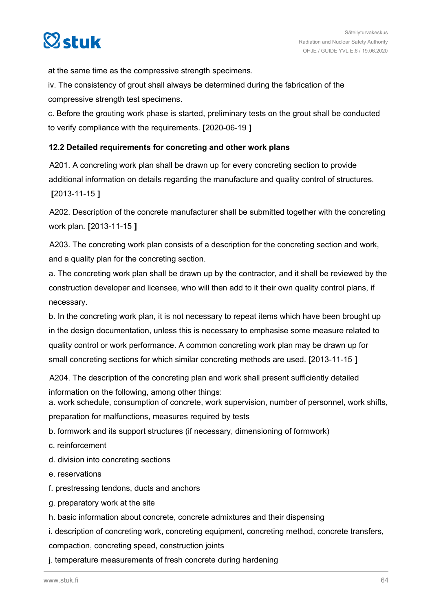

at the same time as the compressive strength specimens.

iv. The consistency of grout shall always be determined during the fabrication of the compressive strength test specimens.

c. Before the grouting work phase is started, preliminary tests on the grout shall be conducted to verify compliance with the requirements. **[**2020-06-19 **]**

#### **12.2 Detailed requirements for concreting and other work plans**

A201. A concreting work plan shall be drawn up for every concreting section to provide additional information on details regarding the manufacture and quality control of structures. **[**2013-11-15 **]**

A202. Description of the concrete manufacturer shall be submitted together with the concreting work plan. **[**2013-11-15 **]**

A203. The concreting work plan consists of a description for the concreting section and work, and a quality plan for the concreting section.

a. The concreting work plan shall be drawn up by the contractor, and it shall be reviewed by the construction developer and licensee, who will then add to it their own quality control plans, if necessary.

b. In the concreting work plan, it is not necessary to repeat items which have been brought up in the design documentation, unless this is necessary to emphasise some measure related to quality control or work performance. A common concreting work plan may be drawn up for small concreting sections for which similar concreting methods are used. **[**2013-11-15 **]**

A204. The description of the concreting plan and work shall present sufficiently detailed information on the following, among other things:

a. work schedule, consumption of concrete, work supervision, number of personnel, work shifts, preparation for malfunctions, measures required by tests

b. formwork and its support structures (if necessary, dimensioning of formwork)

c. reinforcement

d. division into concreting sections

- e. reservations
- f. prestressing tendons, ducts and anchors
- g. preparatory work at the site
- h. basic information about concrete, concrete admixtures and their dispensing

i. description of concreting work, concreting equipment, concreting method, concrete transfers,

compaction, concreting speed, construction joints

j. temperature measurements of fresh concrete during hardening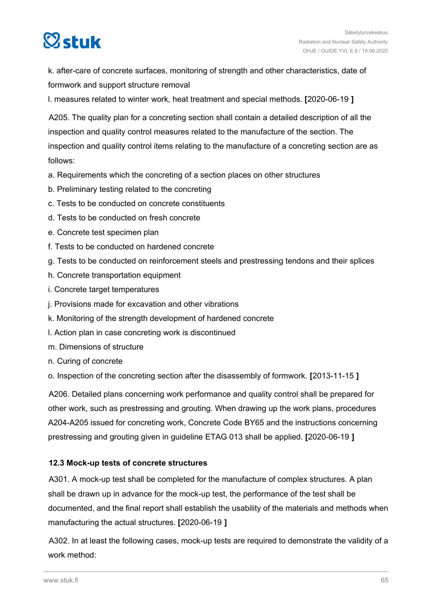# $\heartsuit$ stuk

k. after-care of concrete surfaces, monitoring of strength and other characteristics, date of formwork and support structure removal

l. measures related to winter work, heat treatment and special methods. **[**2020-06-19 **]**

A205. The quality plan for a concreting section shall contain a detailed description of all the inspection and quality control measures related to the manufacture of the section. The inspection and quality control items relating to the manufacture of a concreting section are as follows:

- a. Requirements which the concreting of a section places on other structures
- b. Preliminary testing related to the concreting
- c. Tests to be conducted on concrete constituents
- d. Tests to be conducted on fresh concrete
- e. Concrete test specimen plan
- f. Tests to be conducted on hardened concrete
- g. Tests to be conducted on reinforcement steels and prestressing tendons and their splices
- h. Concrete transportation equipment
- i. Concrete target temperatures
- j. Provisions made for excavation and other vibrations
- k. Monitoring of the strength development of hardened concrete
- l. Action plan in case concreting work is discontinued
- m. Dimensions of structure
- n. Curing of concrete

o. Inspection of the concreting section after the disassembly of formwork. **[**2013-11-15 **]**

A206. Detailed plans concerning work performance and quality control shall be prepared for other work, such as prestressing and grouting. When drawing up the work plans, procedures A204-A205 issued for concreting work, Concrete Code BY65 and the instructions concerning prestressing and grouting given in guideline ETAG 013 shall be applied. **[**2020-06-19 **]**

#### **12.3 Mock-up tests of concrete structures**

A301. A mock-up test shall be completed for the manufacture of complex structures. A plan shall be drawn up in advance for the mock-up test, the performance of the test shall be documented, and the final report shall establish the usability of the materials and methods when manufacturing the actual structures. **[**2020-06-19 **]**

A302. In at least the following cases, mock-up tests are required to demonstrate the validity of a work method: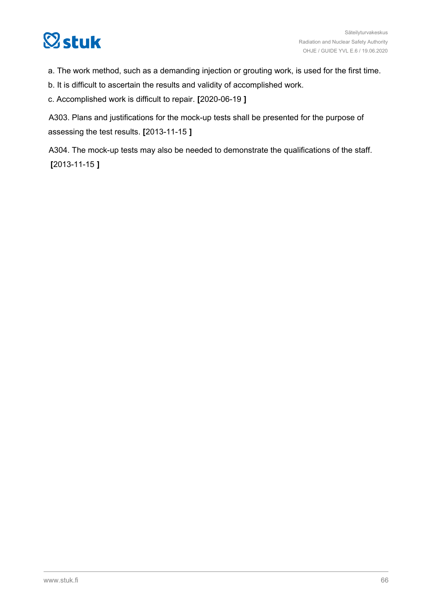# **Østuk**

a. The work method, such as a demanding injection or grouting work, is used for the first time.

b. It is difficult to ascertain the results and validity of accomplished work.

c. Accomplished work is difficult to repair. **[**2020-06-19 **]**

A303. Plans and justifications for the mock-up tests shall be presented for the purpose of assessing the test results. **[**2013-11-15 **]**

A304. The mock-up tests may also be needed to demonstrate the qualifications of the staff. **[**2013-11-15 **]**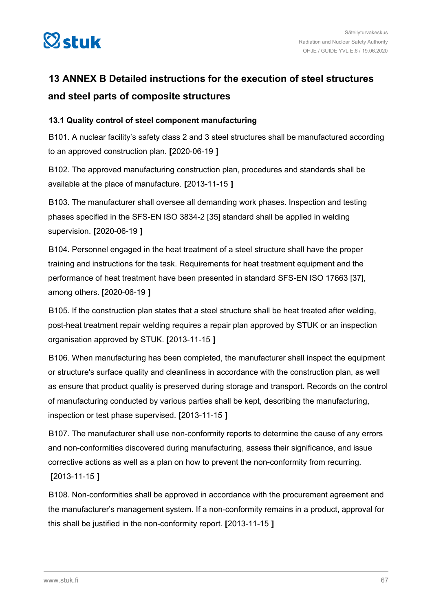

## **13 ANNEX B Detailed instructions for the execution of steel structures and steel parts of composite structures**

#### **13.1 Quality control of steel component manufacturing**

B101. A nuclear facility's safety class 2 and 3 steel structures shall be manufactured according to an approved construction plan. **[**2020-06-19 **]**

B102. The approved manufacturing construction plan, procedures and standards shall be available at the place of manufacture. **[**2013-11-15 **]**

B103. The manufacturer shall oversee all demanding work phases. Inspection and testing phases specified in the SFS-EN ISO 3834-2 [35] standard shall be applied in welding supervision. **[**2020-06-19 **]**

B104. Personnel engaged in the heat treatment of a steel structure shall have the proper training and instructions for the task. Requirements for heat treatment equipment and the performance of heat treatment have been presented in standard SFS-EN ISO 17663 [37], among others. **[**2020-06-19 **]**

B105. If the construction plan states that a steel structure shall be heat treated after welding, post-heat treatment repair welding requires a repair plan approved by STUK or an inspection organisation approved by STUK. **[**2013-11-15 **]**

B106. When manufacturing has been completed, the manufacturer shall inspect the equipment or structure's surface quality and cleanliness in accordance with the construction plan, as well as ensure that product quality is preserved during storage and transport. Records on the control of manufacturing conducted by various parties shall be kept, describing the manufacturing, inspection or test phase supervised. **[**2013-11-15 **]**

B107. The manufacturer shall use non-conformity reports to determine the cause of any errors and non-conformities discovered during manufacturing, assess their significance, and issue corrective actions as well as a plan on how to prevent the non-conformity from recurring. **[**2013-11-15 **]**

B108. Non-conformities shall be approved in accordance with the procurement agreement and the manufacturer's management system. If a non-conformity remains in a product, approval for this shall be justified in the non-conformity report. **[**2013-11-15 **]**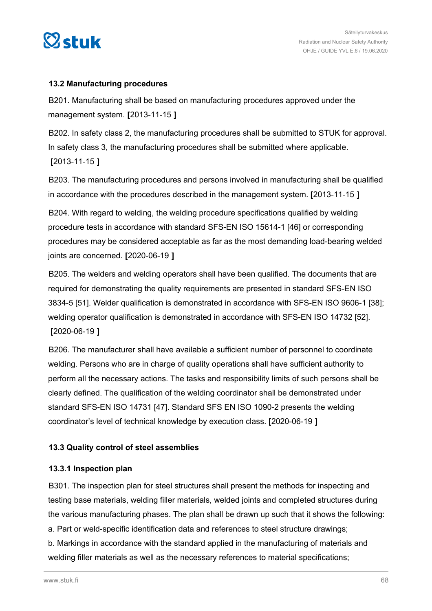

#### **13.2 Manufacturing procedures**

B201. Manufacturing shall be based on manufacturing procedures approved under the management system. **[**2013-11-15 **]**

B202. In safety class 2, the manufacturing procedures shall be submitted to STUK for approval. In safety class 3, the manufacturing procedures shall be submitted where applicable. **[**2013-11-15 **]**

B203. The manufacturing procedures and persons involved in manufacturing shall be qualified in accordance with the procedures described in the management system. **[**2013-11-15 **]**

B204. With regard to welding, the welding procedure specifications qualified by welding procedure tests in accordance with standard SFS-EN ISO 15614-1 [46] or corresponding procedures may be considered acceptable as far as the most demanding load-bearing welded joints are concerned. **[**2020-06-19 **]**

B205. The welders and welding operators shall have been qualified. The documents that are required for demonstrating the quality requirements are presented in standard SFS-EN ISO 3834-5 [51]. Welder qualification is demonstrated in accordance with SFS-EN ISO 9606-1 [38]; welding operator qualification is demonstrated in accordance with SFS-EN ISO 14732 [52]. **[**2020-06-19 **]**

B206. The manufacturer shall have available a sufficient number of personnel to coordinate welding. Persons who are in charge of quality operations shall have sufficient authority to perform all the necessary actions. The tasks and responsibility limits of such persons shall be clearly defined. The qualification of the welding coordinator shall be demonstrated under standard SFS-EN ISO 14731 [47]. Standard SFS EN ISO 1090-2 presents the welding coordinator's level of technical knowledge by execution class. **[**2020-06-19 **]**

#### **13.3 Quality control of steel assemblies**

#### **13.3.1 Inspection plan**

B301. The inspection plan for steel structures shall present the methods for inspecting and testing base materials, welding filler materials, welded joints and completed structures during the various manufacturing phases. The plan shall be drawn up such that it shows the following: a. Part or weld-specific identification data and references to steel structure drawings; b. Markings in accordance with the standard applied in the manufacturing of materials and welding filler materials as well as the necessary references to material specifications;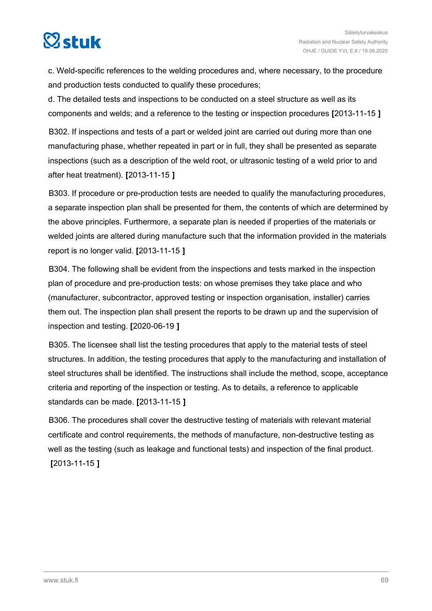

c. Weld-specific references to the welding procedures and, where necessary, to the procedure and production tests conducted to qualify these procedures;

d. The detailed tests and inspections to be conducted on a steel structure as well as its components and welds; and a reference to the testing or inspection procedures **[**2013-11-15 **]**

B302. If inspections and tests of a part or welded joint are carried out during more than one manufacturing phase, whether repeated in part or in full, they shall be presented as separate inspections (such as a description of the weld root, or ultrasonic testing of a weld prior to and after heat treatment). **[**2013-11-15 **]**

B303. If procedure or pre-production tests are needed to qualify the manufacturing procedures, a separate inspection plan shall be presented for them, the contents of which are determined by the above principles. Furthermore, a separate plan is needed if properties of the materials or welded joints are altered during manufacture such that the information provided in the materials report is no longer valid. **[**2013-11-15 **]**

B304. The following shall be evident from the inspections and tests marked in the inspection plan of procedure and pre-production tests: on whose premises they take place and who (manufacturer, subcontractor, approved testing or inspection organisation, installer) carries them out. The inspection plan shall present the reports to be drawn up and the supervision of inspection and testing. **[**2020-06-19 **]**

B305. The licensee shall list the testing procedures that apply to the material tests of steel structures. In addition, the testing procedures that apply to the manufacturing and installation of steel structures shall be identified. The instructions shall include the method, scope, acceptance criteria and reporting of the inspection or testing. As to details, a reference to applicable standards can be made. **[**2013-11-15 **]**

B306. The procedures shall cover the destructive testing of materials with relevant material certificate and control requirements, the methods of manufacture, non-destructive testing as well as the testing (such as leakage and functional tests) and inspection of the final product. **[**2013-11-15 **]**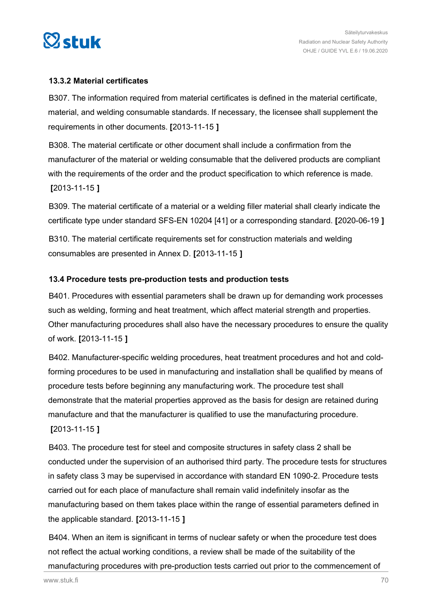

#### **13.3.2 Material certificates**

B307. The information required from material certificates is defined in the material certificate, material, and welding consumable standards. If necessary, the licensee shall supplement the requirements in other documents. **[**2013-11-15 **]**

B308. The material certificate or other document shall include a confirmation from the manufacturer of the material or welding consumable that the delivered products are compliant with the requirements of the order and the product specification to which reference is made. **[**2013-11-15 **]**

B309. The material certificate of a material or a welding filler material shall clearly indicate the certificate type under standard SFS-EN 10204 [41] or a corresponding standard. **[**2020-06-19 **]**

B310. The material certificate requirements set for construction materials and welding consumables are presented in Annex D. **[**2013-11-15 **]**

#### **13.4 Procedure tests pre-production tests and production tests**

B401. Procedures with essential parameters shall be drawn up for demanding work processes such as welding, forming and heat treatment, which affect material strength and properties. Other manufacturing procedures shall also have the necessary procedures to ensure the quality of work. **[**2013-11-15 **]**

B402. Manufacturer-specific welding procedures, heat treatment procedures and hot and coldforming procedures to be used in manufacturing and installation shall be qualified by means of procedure tests before beginning any manufacturing work. The procedure test shall demonstrate that the material properties approved as the basis for design are retained during manufacture and that the manufacturer is qualified to use the manufacturing procedure.

#### **[**2013-11-15 **]**

B403. The procedure test for steel and composite structures in safety class 2 shall be conducted under the supervision of an authorised third party. The procedure tests for structures in safety class 3 may be supervised in accordance with standard EN 1090-2. Procedure tests carried out for each place of manufacture shall remain valid indefinitely insofar as the manufacturing based on them takes place within the range of essential parameters defined in the applicable standard. **[**2013-11-15 **]**

B404. When an item is significant in terms of nuclear safety or when the procedure test does not reflect the actual working conditions, a review shall be made of the suitability of the manufacturing procedures with pre-production tests carried out prior to the commencement of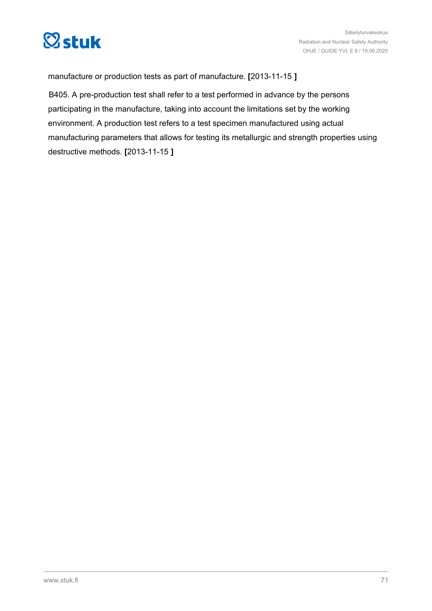

manufacture or production tests as part of manufacture. **[**2013-11-15 **]**

B405. A pre-production test shall refer to a test performed in advance by the persons participating in the manufacture, taking into account the limitations set by the working environment. A production test refers to a test specimen manufactured using actual manufacturing parameters that allows for testing its metallurgic and strength properties using destructive methods. **[**2013-11-15 **]**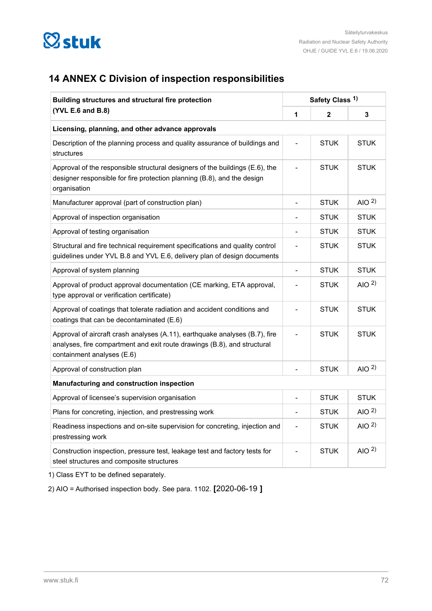

## **14 ANNEX C Division of inspection responsibilities**

| Building structures and structural fire protection<br>(YVL E.6 and B.8)                                                                                                               | Safety Class <sup>1)</sup> |              |                  |
|---------------------------------------------------------------------------------------------------------------------------------------------------------------------------------------|----------------------------|--------------|------------------|
|                                                                                                                                                                                       | 1                          | $\mathbf{2}$ | 3                |
| Licensing, planning, and other advance approvals                                                                                                                                      |                            |              |                  |
| Description of the planning process and quality assurance of buildings and<br>structures                                                                                              |                            | <b>STUK</b>  | <b>STUK</b>      |
| Approval of the responsible structural designers of the buildings (E.6), the<br>designer responsible for fire protection planning (B.8), and the design<br>organisation               |                            | <b>STUK</b>  | <b>STUK</b>      |
| Manufacturer approval (part of construction plan)                                                                                                                                     | $\overline{\phantom{a}}$   | <b>STUK</b>  | AIO $2$ )        |
| Approval of inspection organisation                                                                                                                                                   |                            | <b>STUK</b>  | <b>STUK</b>      |
| Approval of testing organisation                                                                                                                                                      | $\overline{\phantom{a}}$   | <b>STUK</b>  | <b>STUK</b>      |
| Structural and fire technical requirement specifications and quality control<br>guidelines under YVL B.8 and YVL E.6, delivery plan of design documents                               |                            | <b>STUK</b>  | <b>STUK</b>      |
| Approval of system planning                                                                                                                                                           | $\overline{\phantom{a}}$   | <b>STUK</b>  | <b>STUK</b>      |
| Approval of product approval documentation (CE marking, ETA approval,<br>type approval or verification certificate)                                                                   |                            | <b>STUK</b>  | AIO $^{2)}$      |
| Approval of coatings that tolerate radiation and accident conditions and<br>coatings that can be decontaminated (E.6)                                                                 |                            | <b>STUK</b>  | <b>STUK</b>      |
| Approval of aircraft crash analyses (A.11), earthquake analyses (B.7), fire<br>analyses, fire compartment and exit route drawings (B.8), and structural<br>containment analyses (E.6) |                            | <b>STUK</b>  | <b>STUK</b>      |
| Approval of construction plan                                                                                                                                                         |                            | <b>STUK</b>  | AIO $^{2)}$      |
| Manufacturing and construction inspection                                                                                                                                             |                            |              |                  |
| Approval of licensee's supervision organisation                                                                                                                                       | $\overline{\phantom{a}}$   | <b>STUK</b>  | <b>STUK</b>      |
| Plans for concreting, injection, and prestressing work                                                                                                                                | $\overline{\phantom{a}}$   | <b>STUK</b>  | AIO $2$ )        |
| Readiness inspections and on-site supervision for concreting, injection and<br>prestressing work                                                                                      | $\overline{a}$             | <b>STUK</b>  | AIO $2$ )        |
| Construction inspection, pressure test, leakage test and factory tests for<br>steel structures and composite structures                                                               |                            | <b>STUK</b>  | AIO <sup>2</sup> |

1) Class EYT to be defined separately.

2) AIO = Authorised inspection body. See para. 1102. **[**2020-06-19 **]**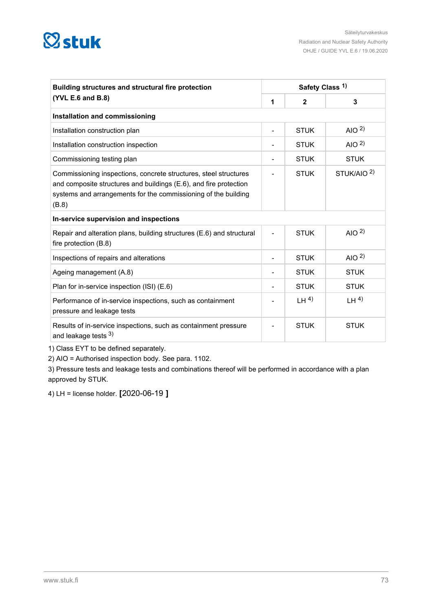## **Østuk**

| Building structures and structural fire protection                                                                                                                                                               | Safety Class <sup>1)</sup> |              |                       |  |
|------------------------------------------------------------------------------------------------------------------------------------------------------------------------------------------------------------------|----------------------------|--------------|-----------------------|--|
| (YVL E.6 and B.8)                                                                                                                                                                                                |                            | $\mathbf{2}$ | 3                     |  |
| Installation and commissioning                                                                                                                                                                                   |                            |              |                       |  |
| Installation construction plan                                                                                                                                                                                   | $\overline{a}$             | <b>STUK</b>  | AIO $2$ )             |  |
| Installation construction inspection                                                                                                                                                                             |                            | <b>STUK</b>  | AIO $2$ )             |  |
| Commissioning testing plan                                                                                                                                                                                       |                            | <b>STUK</b>  | <b>STUK</b>           |  |
| Commissioning inspections, concrete structures, steel structures<br>and composite structures and buildings (E.6), and fire protection<br>systems and arrangements for the commissioning of the building<br>(B.8) |                            | <b>STUK</b>  | STUK/AIO <sup>2</sup> |  |
| In-service supervision and inspections                                                                                                                                                                           |                            |              |                       |  |
| Repair and alteration plans, building structures (E.6) and structural<br>fire protection (B.8)                                                                                                                   |                            | <b>STUK</b>  | AIO $2$ )             |  |
| Inspections of repairs and alterations                                                                                                                                                                           |                            | <b>STUK</b>  | AIO $^{2)}$           |  |
| Ageing management (A.8)                                                                                                                                                                                          |                            | <b>STUK</b>  | <b>STUK</b>           |  |
| Plan for in-service inspection (ISI) (E.6)                                                                                                                                                                       |                            | <b>STUK</b>  | <b>STUK</b>           |  |
| Performance of in-service inspections, such as containment<br>pressure and leakage tests                                                                                                                         |                            | LH $4)$      | LH <sup>4</sup>       |  |
| Results of in-service inspections, such as containment pressure<br>and leakage tests 3)                                                                                                                          |                            | <b>STUK</b>  | <b>STUK</b>           |  |

1) Class EYT to be defined separately.

2) AIO = Authorised inspection body. See para. 1102.

3) Pressure tests and leakage tests and combinations thereof will be performed in accordance with a plan approved by STUK.

4) LH = license holder. **[**2020-06-19 **]**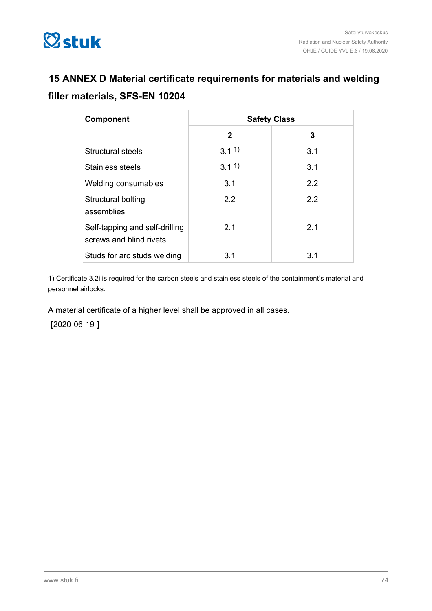

### **15 ANNEX D Material certificate requirements for materials and welding filler materials, SFS-EN 10204**

| Component                                                 | <b>Safety Class</b> |     |  |
|-----------------------------------------------------------|---------------------|-----|--|
|                                                           | $\mathbf{2}$        | 3   |  |
| <b>Structural steels</b>                                  | 3.11                | 3.1 |  |
| Stainless steels                                          | $3.1^{1}$           | 3.1 |  |
| <b>Welding consumables</b>                                | 3.1                 | 2.2 |  |
| Structural bolting<br>assemblies                          | 2.2                 | 2.2 |  |
| Self-tapping and self-drilling<br>screws and blind rivets | 2.1                 | 2.1 |  |
| Studs for arc studs welding                               | 3.1                 | 3.1 |  |

1) Certificate 3.2i is required for the carbon steels and stainless steels of the containment's material and personnel airlocks.

A material certificate of a higher level shall be approved in all cases.

**[**2020-06-19 **]**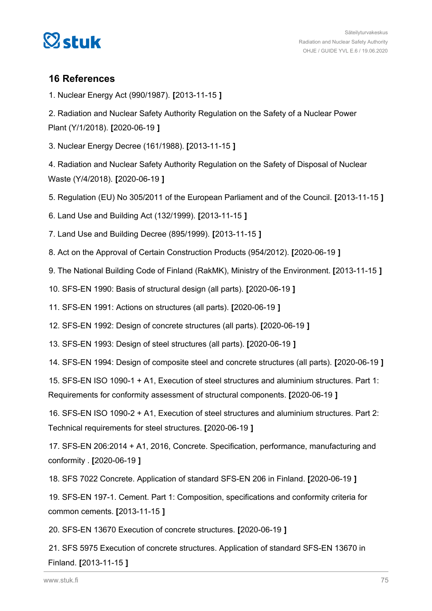

#### **16 References**

1. Nuclear Energy Act (990/1987). **[**2013-11-15 **]**

2. Radiation and Nuclear Safety Authority Regulation on the Safety of a Nuclear Power Plant (Y/1/2018). **[**2020-06-19 **]**

3. Nuclear Energy Decree (161/1988). **[**2013-11-15 **]**

4. Radiation and Nuclear Safety Authority Regulation on the Safety of Disposal of Nuclear Waste (Y/4/2018). **[**2020-06-19 **]**

5. Regulation (EU) No 305/2011 of the European Parliament and of the Council. **[**2013-11-15 **]**

6. Land Use and Building Act (132/1999). **[**2013-11-15 **]**

7. Land Use and Building Decree (895/1999). **[**2013-11-15 **]**

8. Act on the Approval of Certain Construction Products (954/2012). **[**2020-06-19 **]**

9. The National Building Code of Finland (RakMK), Ministry of the Environment. **[**2013-11-15 **]**

10. SFS-EN 1990: Basis of structural design (all parts). **[**2020-06-19 **]**

11. SFS-EN 1991: Actions on structures (all parts). **[**2020-06-19 **]**

12. SFS-EN 1992: Design of concrete structures (all parts). **[**2020-06-19 **]**

13. SFS-EN 1993: Design of steel structures (all parts). **[**2020-06-19 **]**

14. SFS-EN 1994: Design of composite steel and concrete structures (all parts). **[**2020-06-19 **]**

15. SFS-EN ISO 1090-1 + A1, Execution of steel structures and aluminium structures. Part 1: Requirements for conformity assessment of structural components. **[**2020-06-19 **]**

16. SFS-EN ISO 1090-2 + A1, Execution of steel structures and aluminium structures. Part 2: Technical requirements for steel structures. **[**2020-06-19 **]**

17. SFS-EN 206:2014 + A1, 2016, Concrete. Specification, performance, manufacturing and conformity . **[**2020-06-19 **]**

18. SFS 7022 Concrete. Application of standard SFS-EN 206 in Finland. **[**2020-06-19 **]**

19. SFS-EN 197-1. Cement. Part 1: Composition, specifications and conformity criteria for common cements. **[**2013-11-15 **]**

20. SFS-EN 13670 Execution of concrete structures. **[**2020-06-19 **]**

21. SFS 5975 Execution of concrete structures. Application of standard SFS-EN 13670 in Finland. **[**2013-11-15 **]**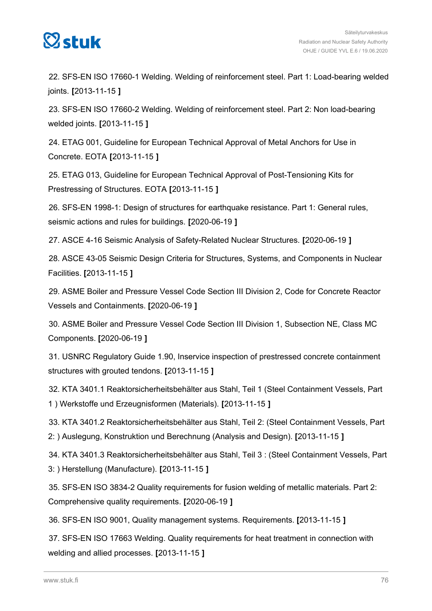

22. SFS-EN ISO 17660-1 Welding. Welding of reinforcement steel. Part 1: Load-bearing welded joints. **[**2013-11-15 **]**

23. SFS-EN ISO 17660-2 Welding. Welding of reinforcement steel. Part 2: Non load-bearing welded joints. **[**2013-11-15 **]**

24. ETAG 001, Guideline for European Technical Approval of Metal Anchors for Use in Concrete. EOTA **[**2013-11-15 **]**

25. ETAG 013, Guideline for European Technical Approval of Post-Tensioning Kits for Prestressing of Structures. EOTA **[**2013-11-15 **]**

26. SFS-EN 1998-1: Design of structures for earthquake resistance. Part 1: General rules, seismic actions and rules for buildings. **[**2020-06-19 **]**

27. ASCE 4-16 Seismic Analysis of Safety-Related Nuclear Structures. **[**2020-06-19 **]**

28. ASCE 43-05 Seismic Design Criteria for Structures, Systems, and Components in Nuclear Facilities. **[**2013-11-15 **]**

29. ASME Boiler and Pressure Vessel Code Section III Division 2, Code for Concrete Reactor Vessels and Containments. **[**2020-06-19 **]**

30. ASME Boiler and Pressure Vessel Code Section III Division 1, Subsection NE, Class MC Components. **[**2020-06-19 **]**

31. USNRC Regulatory Guide 1.90, Inservice inspection of prestressed concrete containment structures with grouted tendons. **[**2013-11-15 **]**

32. KTA 3401.1 Reaktorsicherheitsbehälter aus Stahl, Teil 1 (Steel Containment Vessels, Part 1 ) Werkstoffe und Erzeugnisformen (Materials). **[**2013-11-15 **]**

33. KTA 3401.2 Reaktorsicherheitsbehälter aus Stahl, Teil 2: (Steel Containment Vessels, Part 2: ) Auslegung, Konstruktion und Berechnung (Analysis and Design). **[**2013-11-15 **]**

34. KTA 3401.3 Reaktorsicherheitsbehälter aus Stahl, Teil 3 : (Steel Containment Vessels, Part 3: ) Herstellung (Manufacture). **[**2013-11-15 **]**

35. SFS-EN ISO 3834-2 Quality requirements for fusion welding of metallic materials. Part 2: Comprehensive quality requirements. **[**2020-06-19 **]**

36. SFS-EN ISO 9001, Quality management systems. Requirements. **[**2013-11-15 **]**

37. SFS-EN ISO 17663 Welding. Quality requirements for heat treatment in connection with welding and allied processes. **[**2013-11-15 **]**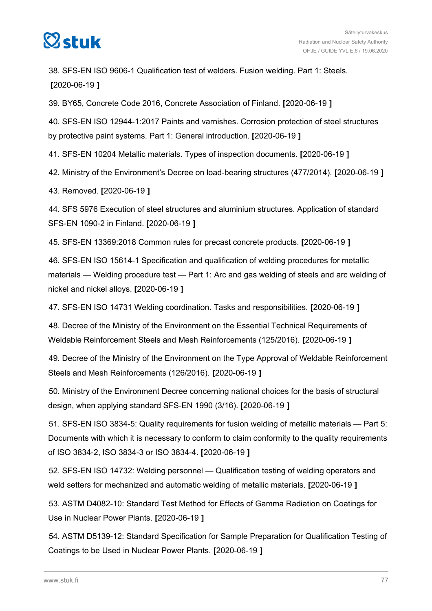

38. SFS-EN ISO 9606-1 Qualification test of welders. Fusion welding. Part 1: Steels. **[**2020-06-19 **]**

39. BY65, Concrete Code 2016, Concrete Association of Finland. **[**2020-06-19 **]**

40. SFS-EN ISO 12944-1:2017 Paints and varnishes. Corrosion protection of steel structures by protective paint systems. Part 1: General introduction. **[**2020-06-19 **]**

41. SFS-EN 10204 Metallic materials. Types of inspection documents. **[**2020-06-19 **]**

42. Ministry of the Environment's Decree on load-bearing structures (477/2014). **[**2020-06-19 **]**

43. Removed. **[**2020-06-19 **]**

44. SFS 5976 Execution of steel structures and aluminium structures. Application of standard SFS-EN 1090-2 in Finland. **[**2020-06-19 **]**

45. SFS-EN 13369:2018 Common rules for precast concrete products. **[**2020-06-19 **]**

46. SFS-EN ISO 15614-1 Specification and qualification of welding procedures for metallic materials — Welding procedure test — Part 1: Arc and gas welding of steels and arc welding of nickel and nickel alloys. **[**2020-06-19 **]**

47. SFS-EN ISO 14731 Welding coordination. Tasks and responsibilities. **[**2020-06-19 **]**

48. Decree of the Ministry of the Environment on the Essential Technical Requirements of Weldable Reinforcement Steels and Mesh Reinforcements (125/2016). **[**2020-06-19 **]**

49. Decree of the Ministry of the Environment on the Type Approval of Weldable Reinforcement Steels and Mesh Reinforcements (126/2016). **[**2020-06-19 **]**

50. Ministry of the Environment Decree concerning national choices for the basis of structural design, when applying standard SFS-EN 1990 (3/16). **[**2020-06-19 **]**

51. SFS-EN ISO 3834-5: Quality requirements for fusion welding of metallic materials — Part 5: Documents with which it is necessary to conform to claim conformity to the quality requirements of ISO 3834-2, ISO 3834-3 or ISO 3834-4. **[**2020-06-19 **]**

52. SFS-EN ISO 14732: Welding personnel — Qualification testing of welding operators and weld setters for mechanized and automatic welding of metallic materials. **[**2020-06-19 **]**

53. ASTM D4082-10: Standard Test Method for Effects of Gamma Radiation on Coatings for Use in Nuclear Power Plants. **[**2020-06-19 **]**

54. ASTM D5139-12: Standard Specification for Sample Preparation for Qualification Testing of Coatings to be Used in Nuclear Power Plants. **[**2020-06-19 **]**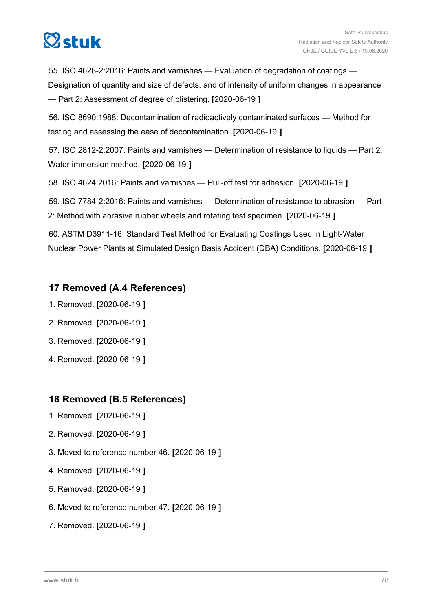# $\heartsuit$ stuk

55. ISO 4628-2:2016: Paints and varnishes — Evaluation of degradation of coatings — Designation of quantity and size of defects, and of intensity of uniform changes in appearance — Part 2: Assessment of degree of blistering. **[**2020-06-19 **]**

56. ISO 8690:1988: Decontamination of radioactively contaminated surfaces — Method for testing and assessing the ease of decontamination. **[**2020-06-19 **]**

57. ISO 2812-2:2007: Paints and varnishes — Determination of resistance to liquids — Part 2: Water immersion method. **[**2020-06-19 **]**

58. ISO 4624:2016: Paints and varnishes — Pull-off test for adhesion. **[**2020-06-19 **]**

59. ISO 7784-2:2016: Paints and varnishes — Determination of resistance to abrasion — Part 2: Method with abrasive rubber wheels and rotating test specimen. **[**2020-06-19 **]**

60. ASTM D3911-16: Standard Test Method for Evaluating Coatings Used in Light-Water Nuclear Power Plants at Simulated Design Basis Accident (DBA) Conditions. **[**2020-06-19 **]**

#### **17 Removed (A.4 References)**

- 1. Removed. **[**2020-06-19 **]**
- 2. Removed. **[**2020-06-19 **]**
- 3. Removed. **[**2020-06-19 **]**
- 4. Removed. **[**2020-06-19 **]**

#### **18 Removed (B.5 References)**

- 1. Removed. **[**2020-06-19 **]**
- 2. Removed. **[**2020-06-19 **]**
- 3. Moved to reference number 46. **[**2020-06-19 **]**
- 4. Removed. **[**2020-06-19 **]**
- 5. Removed. **[**2020-06-19 **]**
- 6. Moved to reference number 47. **[**2020-06-19 **]**
- 7. Removed. **[**2020-06-19 **]**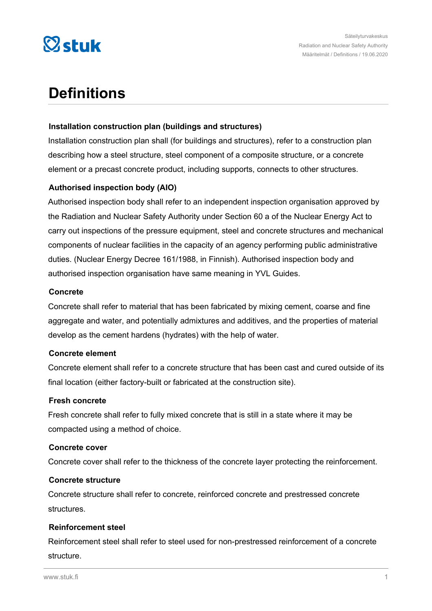

### **Definitions**

#### **Installation construction plan (buildings and structures)**

Installation construction plan shall (for buildings and structures), refer to a construction plan describing how a steel structure, steel component of a composite structure, or a concrete element or a precast concrete product, including supports, connects to other structures.

#### **Authorised inspection body (AIO)**

Authorised inspection body shall refer to an independent inspection organisation approved by the Radiation and Nuclear Safety Authority under Section 60 a of the Nuclear Energy Act to carry out inspections of the pressure equipment, steel and concrete structures and mechanical components of nuclear facilities in the capacity of an agency performing public administrative duties. (Nuclear Energy Decree 161/1988, in Finnish). Authorised inspection body and authorised inspection organisation have same meaning in YVL Guides.

#### **Concrete**

Concrete shall refer to material that has been fabricated by mixing cement, coarse and fine aggregate and water, and potentially admixtures and additives, and the properties of material develop as the cement hardens (hydrates) with the help of water.

#### **Concrete element**

Concrete element shall refer to a concrete structure that has been cast and cured outside of its final location (either factory-built or fabricated at the construction site).

#### **Fresh concrete**

Fresh concrete shall refer to fully mixed concrete that is still in a state where it may be compacted using a method of choice.

#### **Concrete cover**

Concrete cover shall refer to the thickness of the concrete layer protecting the reinforcement.

#### **Concrete structure**

Concrete structure shall refer to concrete, reinforced concrete and prestressed concrete structures.

#### **Reinforcement steel**

Reinforcement steel shall refer to steel used for non-prestressed reinforcement of a concrete structure.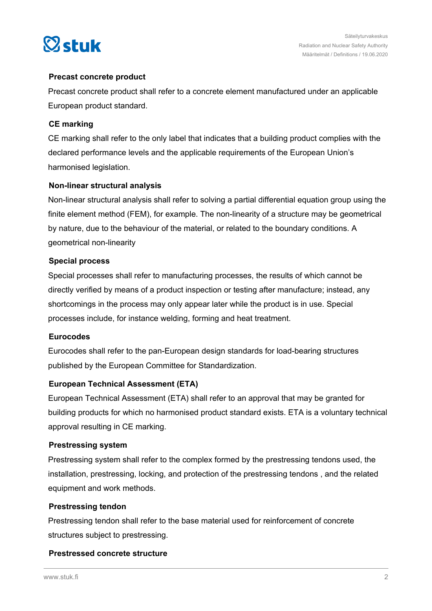

#### **Precast concrete product**

Precast concrete product shall refer to a concrete element manufactured under an applicable European product standard.

#### **CE marking**

CE marking shall refer to the only label that indicates that a building product complies with the declared performance levels and the applicable requirements of the European Union's harmonised legislation.

#### **Non-linear structural analysis**

Non-linear structural analysis shall refer to solving a partial differential equation group using the finite element method (FEM), for example. The non-linearity of a structure may be geometrical by nature, due to the behaviour of the material, or related to the boundary conditions. A geometrical non-linearity

#### **Special process**

Special processes shall refer to manufacturing processes, the results of which cannot be directly verified by means of a product inspection or testing after manufacture; instead, any shortcomings in the process may only appear later while the product is in use. Special processes include, for instance welding, forming and heat treatment.

#### **Eurocodes**

Eurocodes shall refer to the pan-European design standards for load-bearing structures published by the European Committee for Standardization.

#### **European Technical Assessment (ETA)**

European Technical Assessment (ETA) shall refer to an approval that may be granted for building products for which no harmonised product standard exists. ETA is a voluntary technical approval resulting in CE marking.

#### **Prestressing system**

Prestressing system shall refer to the complex formed by the prestressing tendons used, the installation, prestressing, locking, and protection of the prestressing tendons , and the related equipment and work methods.

#### **Prestressing tendon**

Prestressing tendon shall refer to the base material used for reinforcement of concrete structures subject to prestressing.

#### **Prestressed concrete structure**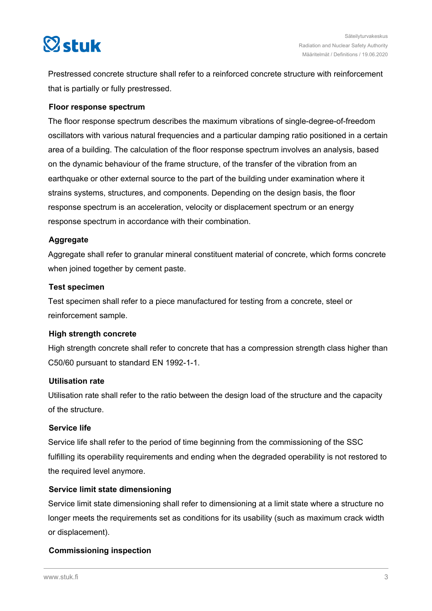

Prestressed concrete structure shall refer to a reinforced concrete structure with reinforcement that is partially or fully prestressed.

#### **Floor response spectrum**

The floor response spectrum describes the maximum vibrations of single-degree-of-freedom oscillators with various natural frequencies and a particular damping ratio positioned in a certain area of a building. The calculation of the floor response spectrum involves an analysis, based on the dynamic behaviour of the frame structure, of the transfer of the vibration from an earthquake or other external source to the part of the building under examination where it strains systems, structures, and components. Depending on the design basis, the floor response spectrum is an acceleration, velocity or displacement spectrum or an energy response spectrum in accordance with their combination.

#### **Aggregate**

Aggregate shall refer to granular mineral constituent material of concrete, which forms concrete when joined together by cement paste.

#### **Test specimen**

Test specimen shall refer to a piece manufactured for testing from a concrete, steel or reinforcement sample.

#### **High strength concrete**

High strength concrete shall refer to concrete that has a compression strength class higher than C50/60 pursuant to standard EN 1992-1-1.

#### **Utilisation rate**

Utilisation rate shall refer to the ratio between the design load of the structure and the capacity of the structure.

#### **Service life**

Service life shall refer to the period of time beginning from the commissioning of the SSC fulfilling its operability requirements and ending when the degraded operability is not restored to the required level anymore.

#### **Service limit state dimensioning**

Service limit state dimensioning shall refer to dimensioning at a limit state where a structure no longer meets the requirements set as conditions for its usability (such as maximum crack width or displacement).

#### **Commissioning inspection**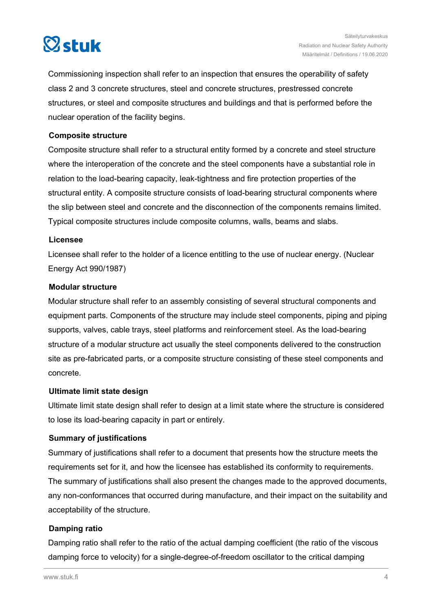

Commissioning inspection shall refer to an inspection that ensures the operability of safety class 2 and 3 concrete structures, steel and concrete structures, prestressed concrete structures, or steel and composite structures and buildings and that is performed before the nuclear operation of the facility begins.

#### **Composite structure**

Composite structure shall refer to a structural entity formed by a concrete and steel structure where the interoperation of the concrete and the steel components have a substantial role in relation to the load-bearing capacity, leak-tightness and fire protection properties of the structural entity. A composite structure consists of load-bearing structural components where the slip between steel and concrete and the disconnection of the components remains limited. Typical composite structures include composite columns, walls, beams and slabs.

#### **Licensee**

Licensee shall refer to the holder of a licence entitling to the use of nuclear energy. (Nuclear Energy Act 990/1987)

#### **Modular structure**

Modular structure shall refer to an assembly consisting of several structural components and equipment parts. Components of the structure may include steel components, piping and piping supports, valves, cable trays, steel platforms and reinforcement steel. As the load-bearing structure of a modular structure act usually the steel components delivered to the construction site as pre-fabricated parts, or a composite structure consisting of these steel components and concrete.

#### **Ultimate limit state design**

Ultimate limit state design shall refer to design at a limit state where the structure is considered to lose its load-bearing capacity in part or entirely.

#### **Summary of justifications**

Summary of justifications shall refer to a document that presents how the structure meets the requirements set for it, and how the licensee has established its conformity to requirements. The summary of justifications shall also present the changes made to the approved documents, any non-conformances that occurred during manufacture, and their impact on the suitability and acceptability of the structure.

#### **Damping ratio**

Damping ratio shall refer to the ratio of the actual damping coefficient (the ratio of the viscous damping force to velocity) for a single-degree-of-freedom oscillator to the critical damping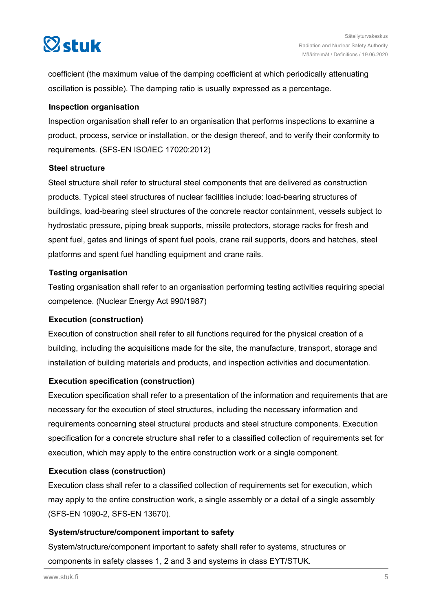

coefficient (the maximum value of the damping coefficient at which periodically attenuating oscillation is possible). The damping ratio is usually expressed as a percentage.

#### **Inspection organisation**

Inspection organisation shall refer to an organisation that performs inspections to examine a product, process, service or installation, or the design thereof, and to verify their conformity to requirements. (SFS-EN ISO/IEC 17020:2012)

#### **Steel structure**

Steel structure shall refer to structural steel components that are delivered as construction products. Typical steel structures of nuclear facilities include: load-bearing structures of buildings, load-bearing steel structures of the concrete reactor containment, vessels subject to hydrostatic pressure, piping break supports, missile protectors, storage racks for fresh and spent fuel, gates and linings of spent fuel pools, crane rail supports, doors and hatches, steel platforms and spent fuel handling equipment and crane rails.

#### **Testing organisation**

Testing organisation shall refer to an organisation performing testing activities requiring special competence. (Nuclear Energy Act 990/1987)

#### **Execution (construction)**

Execution of construction shall refer to all functions required for the physical creation of a building, including the acquisitions made for the site, the manufacture, transport, storage and installation of building materials and products, and inspection activities and documentation.

#### **Execution specification (construction)**

Execution specification shall refer to a presentation of the information and requirements that are necessary for the execution of steel structures, including the necessary information and requirements concerning steel structural products and steel structure components. Execution specification for a concrete structure shall refer to a classified collection of requirements set for execution, which may apply to the entire construction work or a single component.

#### **Execution class (construction)**

Execution class shall refer to a classified collection of requirements set for execution, which may apply to the entire construction work, a single assembly or a detail of a single assembly (SFS-EN 1090-2, SFS-EN 13670).

#### **System/structure/component important to safety**

System/structure/component important to safety shall refer to systems, structures or components in safety classes 1, 2 and 3 and systems in class EYT/STUK.